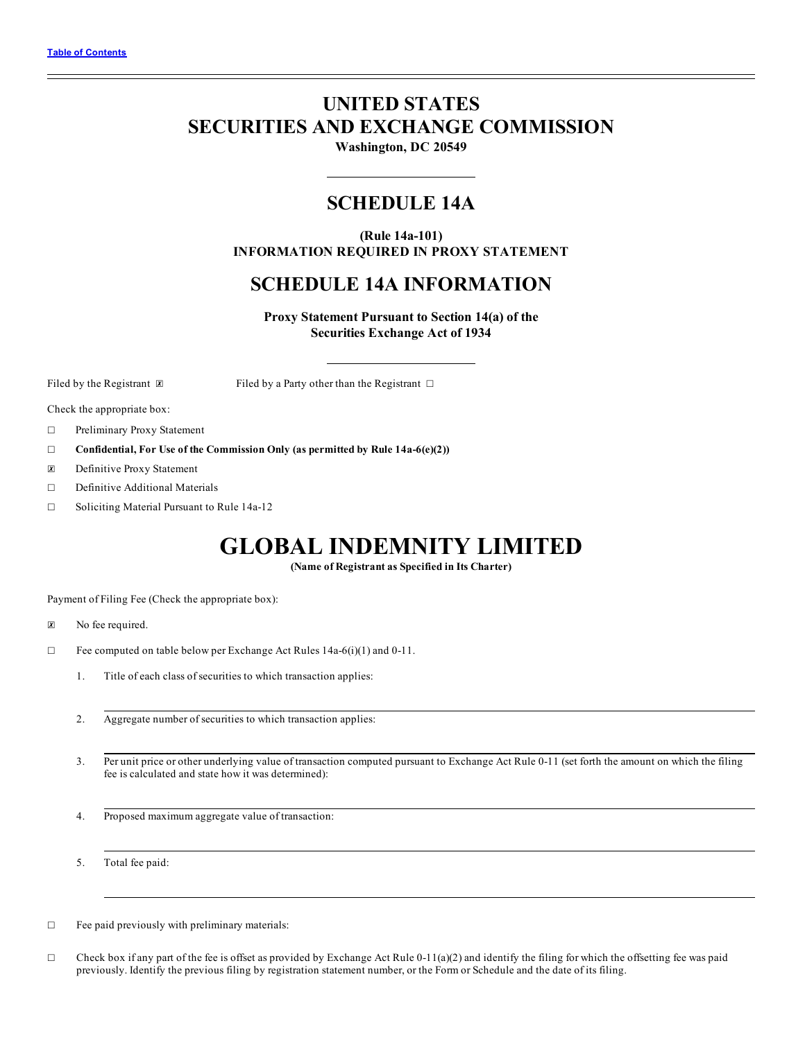# **UNITED STATES SECURITIES AND EXCHANGE COMMISSION**

**Washington, DC 20549**

# **SCHEDULE 14A**

**(Rule 14a-101) INFORMATION REQUIRED IN PROXY STATEMENT**

# **SCHEDULE 14A INFORMATION**

**Proxy Statement Pursuant to Section 14(a) of the Securities Exchange Act of 1934**

Filed by the Registrant **⊠** Filed by a Party other than the Registrant □

Check the appropriate box:

- ☐ Preliminary Proxy Statement
- ☐ **Confidential, For Use of the Commission Only (as permitted by Rule 14a-6(e)(2))**
- ☒ Definitive Proxy Statement
- ☐ Definitive Additional Materials
- ☐ Soliciting Material Pursuant to Rule 14a-12

# **GLOBAL INDEMNITY LIMITED**

**(Name of Registrant as Specified in Its Charter)**

Payment of Filing Fee (Check the appropriate box):

- ☒ No fee required.
- ☐ Fee computed on table below per Exchange Act Rules 14a-6(i)(1) and 0-11.
	- 1. Title of each class of securities to which transaction applies:
	- 2. Aggregate number of securities to which transaction applies:
	- 3. Per unit price or other underlying value of transaction computed pursuant to Exchange Act Rule 0-11 (set forth the amount on which the filing fee is calculated and state how it was determined):
	- 4. Proposed maximum aggregate value of transaction:
	- 5. Total fee paid:
- ☐ Fee paid previously with preliminary materials:
- $\Box$  Check box if any part of the fee is offset as provided by Exchange Act Rule 0-11(a)(2) and identify the filing for which the offsetting fee was paid previously. Identify the previous filing by registration statement number, or the Form or Schedule and the date of its filing.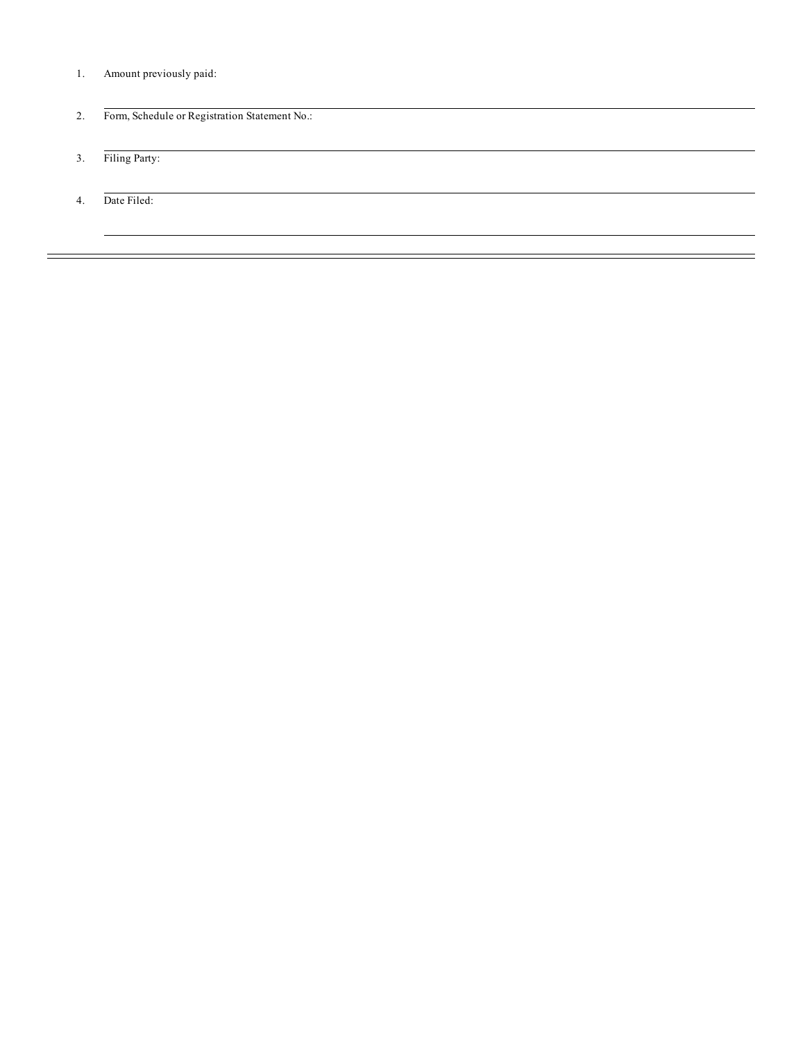- 1. Amount previously paid:
- 2. Form, Schedule or Registration Statement No.:
- 3. Filing Party:
- 4. Date Filed: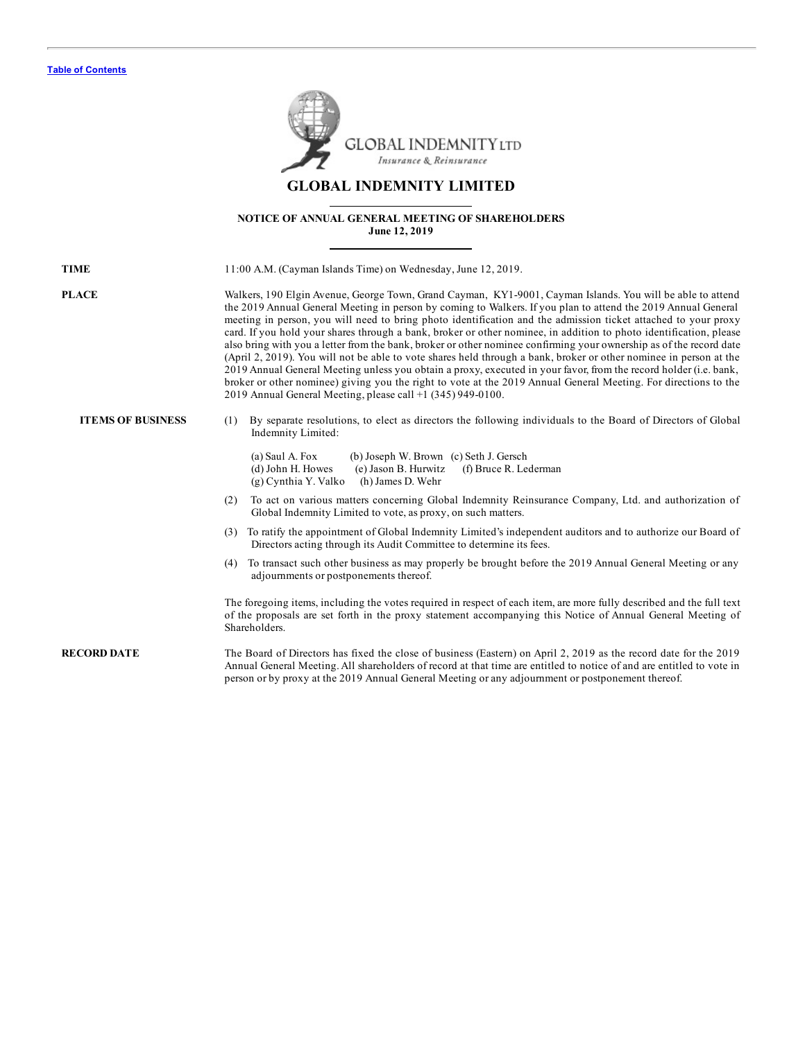

# **GLOBAL INDEMNITY LIMITED**

# **NOTICE OF ANNUAL GENERAL MEETING OF SHAREHOLDERS June 12, 2019**

| <b>TIME</b>              | 11:00 A.M. (Cayman Islands Time) on Wednesday, June 12, 2019.                                                                                                                                                                                                                                                                                                                                                                                                                                                                                                                                                                                                                                                                                                                                                                                                                                                                                                                                                           |
|--------------------------|-------------------------------------------------------------------------------------------------------------------------------------------------------------------------------------------------------------------------------------------------------------------------------------------------------------------------------------------------------------------------------------------------------------------------------------------------------------------------------------------------------------------------------------------------------------------------------------------------------------------------------------------------------------------------------------------------------------------------------------------------------------------------------------------------------------------------------------------------------------------------------------------------------------------------------------------------------------------------------------------------------------------------|
| <b>PLACE</b>             | Walkers, 190 Elgin Avenue, George Town, Grand Cayman, KY1-9001, Cayman Islands. You will be able to attend<br>the 2019 Annual General Meeting in person by coming to Walkers. If you plan to attend the 2019 Annual General<br>meeting in person, you will need to bring photo identification and the admission ticket attached to your proxy<br>card. If you hold your shares through a bank, broker or other nominee, in addition to photo identification, please<br>also bring with you a letter from the bank, broker or other nominee confirming your ownership as of the record date<br>(April 2, 2019). You will not be able to vote shares held through a bank, broker or other nominee in person at the<br>2019 Annual General Meeting unless you obtain a proxy, executed in your favor, from the record holder (i.e. bank,<br>broker or other nominee) giving you the right to vote at the 2019 Annual General Meeting. For directions to the<br>2019 Annual General Meeting, please call +1 (345) 949-0100. |
| <b>ITEMS OF BUSINESS</b> | By separate resolutions, to elect as directors the following individuals to the Board of Directors of Global<br>(1)<br>Indemnity Limited:<br>(a) Saul A. Fox<br>(b) Joseph W. Brown (c) Seth J. Gersch<br>(d) John H. Howes<br>(e) Jason B. Hurwitz<br>(f) Bruce R. Lederman<br>(g) Cynthia Y. Valko<br>(h) James D. Wehr                                                                                                                                                                                                                                                                                                                                                                                                                                                                                                                                                                                                                                                                                               |
|                          | To act on various matters concerning Global Indemnity Reinsurance Company, Ltd. and authorization of<br>(2)<br>Global Indemnity Limited to vote, as proxy, on such matters.                                                                                                                                                                                                                                                                                                                                                                                                                                                                                                                                                                                                                                                                                                                                                                                                                                             |
|                          | (3) To ratify the appointment of Global Indemnity Limited's independent auditors and to authorize our Board of<br>Directors acting through its Audit Committee to determine its fees.                                                                                                                                                                                                                                                                                                                                                                                                                                                                                                                                                                                                                                                                                                                                                                                                                                   |
|                          | (4) To transact such other business as may properly be brought before the 2019 Annual General Meeting or any<br>adjournments or postponements thereof.                                                                                                                                                                                                                                                                                                                                                                                                                                                                                                                                                                                                                                                                                                                                                                                                                                                                  |
|                          | The foregoing items, including the votes required in respect of each item, are more fully described and the full text<br>of the proposals are set forth in the proxy statement accompanying this Notice of Annual General Meeting of<br>Shareholders.                                                                                                                                                                                                                                                                                                                                                                                                                                                                                                                                                                                                                                                                                                                                                                   |
| <b>RECORD DATE</b>       | The Board of Directors has fixed the close of business (Eastern) on April 2, 2019 as the record date for the 2019<br>Annual General Meeting. All shareholders of record at that time are entitled to notice of and are entitled to vote in<br>person or by proxy at the 2019 Annual General Meeting or any adjournment or postponement thereof.                                                                                                                                                                                                                                                                                                                                                                                                                                                                                                                                                                                                                                                                         |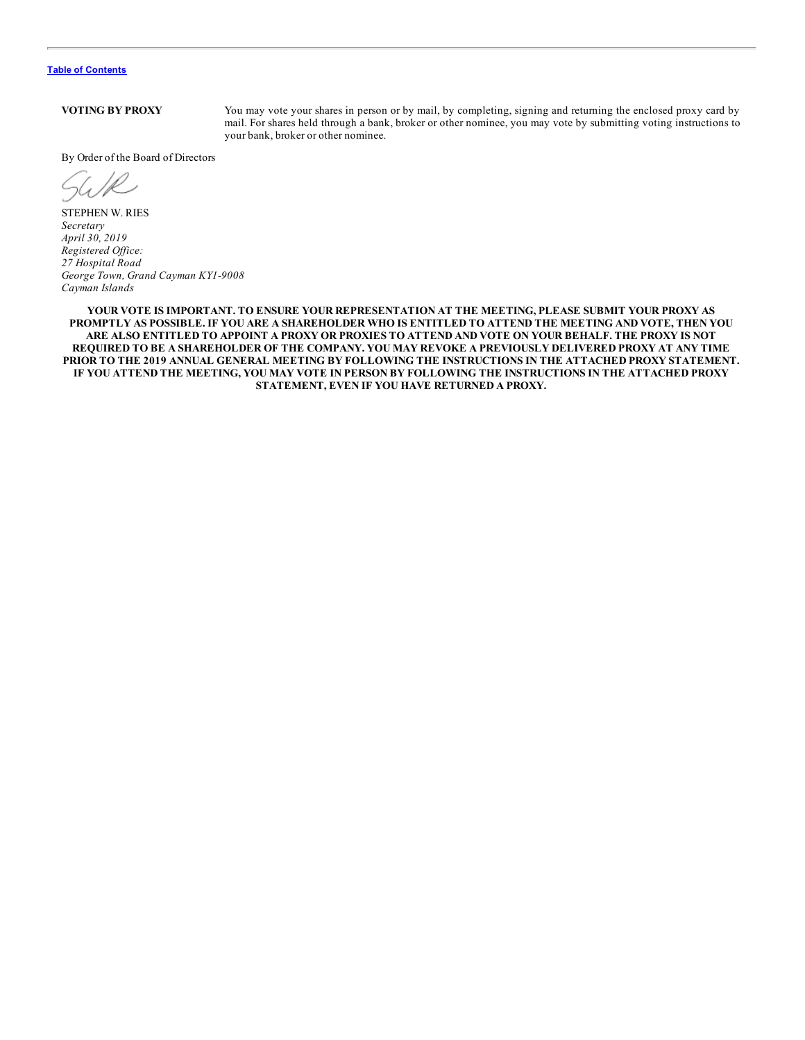**VOTING BY PROXY** You may vote your shares in person or by mail, by completing, signing and returning the enclosed proxy card by mail. For shares held through a bank, broker or other nominee, you may vote by submitting voting instructions to your bank, broker or other nominee.

By Order of the Board of Directors

STEPHEN W. RIES *Secretary April 30, 2019 Registered Of ice: 27 Hospital Road George Town, Grand Cayman KY1-9008 Cayman Islands*

**YOUR VOTE IS IMPORTANT. TO ENSURE YOUR REPRESENTATION AT THE MEETING, PLEASE SUBMIT YOUR PROXY AS** PROMPTLY AS POSSIBLE. IF YOU ARE A SHAREHOLDER WHO IS ENTITLED TO ATTEND THE MEETING AND VOTE, THEN YOU ARE ALSO ENTITLED TO APPOINT A PROXY OR PROXIES TO ATTEND AND VOTE ON YOUR BEHALF. THE PROXY IS NOT REQUIRED TO BE A SHAREHOLDER OF THE COMPANY. YOU MAY REVOKE A PREVIOUSLY DELIVERED PROXY AT ANY TIME **PRIOR TO THE 2019 ANNUAL GENERAL MEETING BY FOLLOWING THE INSTRUCTIONS IN THE ATTACHED PROXY STATEMENT.** IF YOU ATTEND THE MEETING, YOU MAY VOTE IN PERSON BY FOLLOWING THE INSTRUCTIONS IN THE ATTACHED PROXY **STATEMENT, EVEN IF YOU HAVE RETURNED A PROXY.**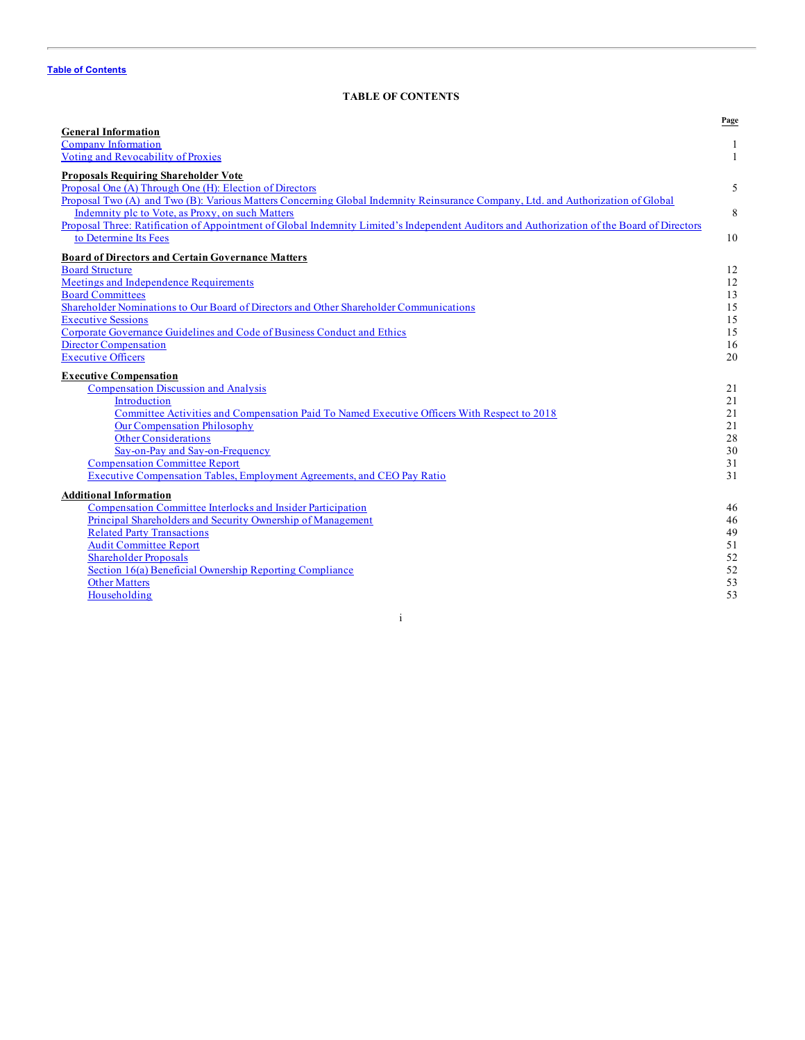# **TABLE OF CONTENTS**

<span id="page-4-0"></span>

|                                                                                                                                            | Page |
|--------------------------------------------------------------------------------------------------------------------------------------------|------|
| <b>General Information</b>                                                                                                                 |      |
| Company Information                                                                                                                        |      |
| Voting and Revocability of Proxies                                                                                                         | 1    |
| <b>Proposals Requiring Shareholder Vote</b>                                                                                                |      |
| Proposal One (A) Through One (H): Election of Directors                                                                                    | 5    |
| Proposal Two (A) and Two (B): Various Matters Concerning Global Indemnity Reinsurance Company, Ltd. and Authorization of Global            |      |
| Indemnity plc to Vote, as Proxy, on such Matters                                                                                           | 8    |
| Proposal Three: Ratification of Appointment of Global Indemnity Limited's Independent Auditors and Authorization of the Board of Directors |      |
| to Determine Its Fees                                                                                                                      | 10   |
| <b>Board of Directors and Certain Governance Matters</b>                                                                                   |      |
| <b>Board Structure</b>                                                                                                                     | 12   |
| Meetings and Independence Requirements                                                                                                     | 12   |
| <b>Board Committees</b>                                                                                                                    | 13   |
| Shareholder Nominations to Our Board of Directors and Other Shareholder Communications                                                     | 15   |
| <b>Executive Sessions</b>                                                                                                                  | 15   |
| Corporate Governance Guidelines and Code of Business Conduct and Ethics                                                                    | 15   |
| <b>Director Compensation</b>                                                                                                               | 16   |
| <b>Executive Officers</b>                                                                                                                  | 20   |
| <b>Executive Compensation</b>                                                                                                              |      |
| <b>Compensation Discussion and Analysis</b>                                                                                                | 21   |
| Introduction                                                                                                                               | 21   |
| Committee Activities and Compensation Paid To Named Executive Officers With Respect to 2018                                                | 21   |
| <b>Our Compensation Philosophy</b>                                                                                                         | 21   |
| <b>Other Considerations</b>                                                                                                                | 28   |
| Say-on-Pay and Say-on-Frequency                                                                                                            | 30   |
| <b>Compensation Committee Report</b>                                                                                                       | 31   |
| <b>Executive Compensation Tables, Employment Agreements, and CEO Pay Ratio</b>                                                             | 31   |
| <b>Additional Information</b>                                                                                                              |      |
| Compensation Committee Interlocks and Insider Participation                                                                                | 46   |
| Principal Shareholders and Security Ownership of Management                                                                                | 46   |
| <b>Related Party Transactions</b>                                                                                                          | 49   |
| <b>Audit Committee Report</b>                                                                                                              | 51   |
| <b>Shareholder Proposals</b>                                                                                                               | 52   |
| Section 16(a) Beneficial Ownership Reporting Compliance                                                                                    | 52   |
| <b>Other Matters</b>                                                                                                                       | 53   |
| Householding                                                                                                                               | 53   |
|                                                                                                                                            |      |

i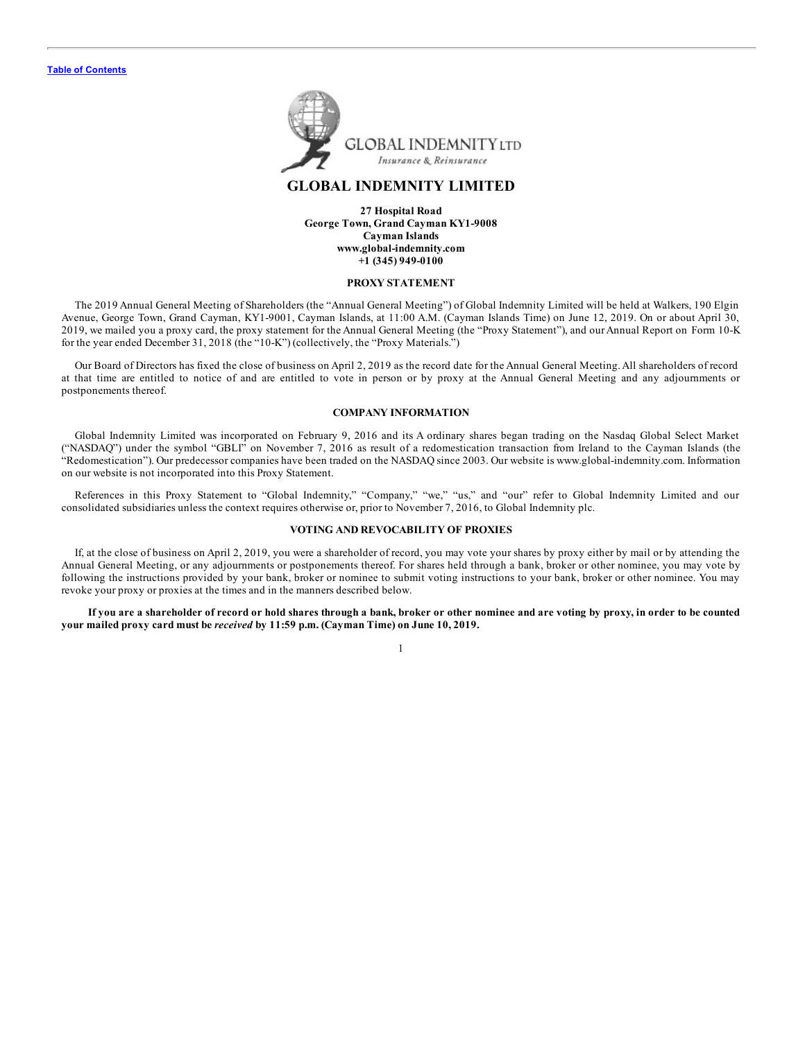<span id="page-5-0"></span>

# **GLOBAL INDEMNITY LIMITED**

**27 Hospital Road George Town, Grand Cayman KY1-9008 Cayman Islands www.global-indemnity.com +1 (345) 949-0100**

#### **PROXY STATEMENT**

The 2019 Annual General Meeting of Shareholders (the "Annual General Meeting") of Global Indemnity Limited will be held at Walkers, 190 Elgin Avenue, George Town, Grand Cayman, KY1-9001, Cayman Islands, at 11:00 A.M. (Cayman Islands Time) on June 12, 2019. On or about April 30, 2019, we mailed you a proxy card, the proxy statement for the Annual General Meeting (the "Proxy Statement"), and our Annual Report on Form 10-K for the year ended December 31, 2018 (the "10-K") (collectively, the "Proxy Materials.")

Our Board of Directors has fixed the close of business on April 2, 2019 as the record date for the Annual General Meeting. All shareholders of record at that time are entitled to notice of and are entitled to vote in person or by proxy at the Annual General Meeting and any adjournments or postponements thereof.

#### **COMPANY INFORMATION**

Global Indemnity Limited was incorporated on February 9, 2016 and its A ordinary shares began trading on the Nasdaq Global Select Market ("NASDAQ") under the symbol "GBLI" on November 7, 2016 as result of a redomestication transaction from Ireland to the Cayman Islands (the "Redomestication"). Our predecessor companies have been traded on the NASDAQ since 2003. Our website is www.global-indemnity.com. Information on our website is not incorporated into this Proxy Statement.

References in this Proxy Statement to "Global Indemnity," "Company," "we," "us," and "our" refer to Global Indemnity Limited and our consolidated subsidiaries unless the context requires otherwise or, prior to November 7, 2016, to Global Indemnity plc.

#### **VOTING AND REVOCABILITY OF PROXIES**

If, at the close of business on April 2, 2019, you were a shareholder of record, you may vote your shares by proxy either by mail or by attending the Annual General Meeting, or any adjournments or postponements thereof. For shares held through a bank, broker or other nominee, you may vote by following the instructions provided by your bank, broker or nominee to submit voting instructions to your bank, broker or other nominee. You may revoke your proxy or proxies at the times and in the manners described below.

If you are a shareholder of record or hold shares through a bank, broker or other nominee and are voting by proxy, in order to be counted **your mailed proxy card must be** *received* **by 11:59 p.m. (Cayman Time) on June 10, 2019.**

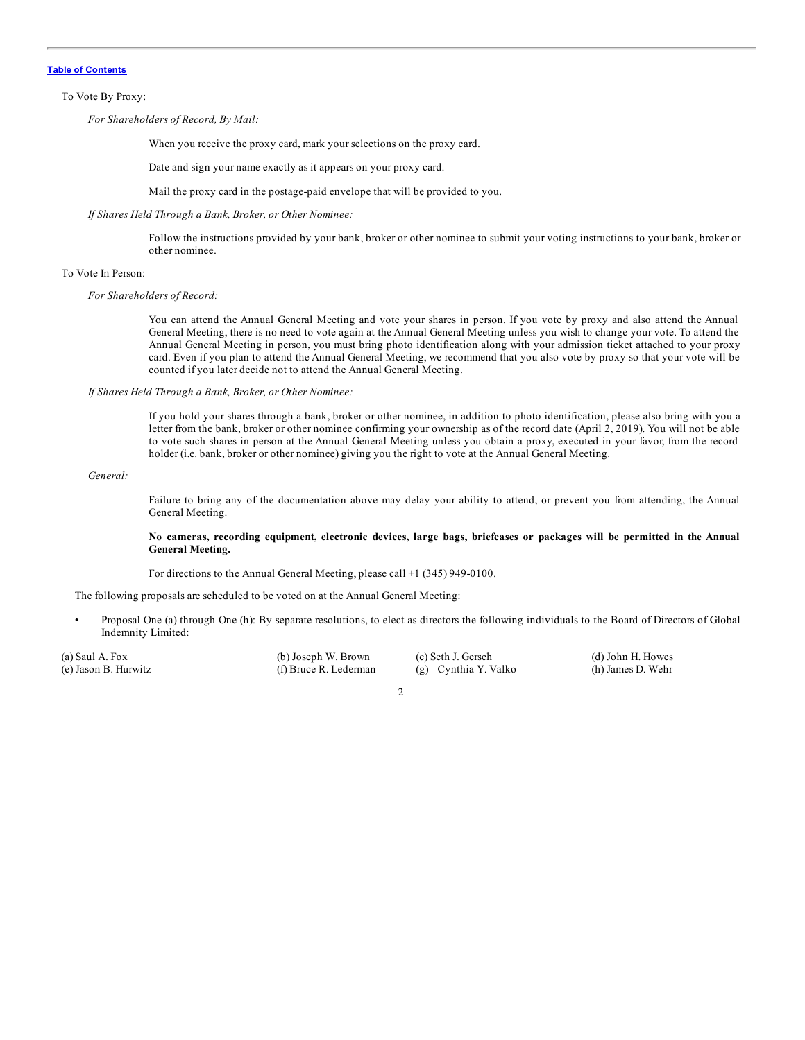#### To Vote By Proxy:

*For Shareholders of Record, By Mail:*

When you receive the proxy card, mark your selections on the proxy card.

Date and sign your name exactly as it appears on your proxy card.

Mail the proxy card in the postage-paid envelope that will be provided to you.

#### *If Shares Held Through a Bank, Broker, or Other Nominee:*

Follow the instructions provided by your bank, broker or other nominee to submit your voting instructions to your bank, broker or other nominee.

#### To Vote In Person:

#### *For Shareholders of Record:*

You can attend the Annual General Meeting and vote your shares in person. If you vote by proxy and also attend the Annual General Meeting, there is no need to vote again at the Annual General Meeting unless you wish to change your vote. To attend the Annual General Meeting in person, you must bring photo identification along with your admission ticket attached to your proxy card. Even if you plan to attend the Annual General Meeting, we recommend that you also vote by proxy so that your vote will be counted if you later decide not to attend the Annual General Meeting.

*If Shares Held Through a Bank, Broker, or Other Nominee:*

If you hold your shares through a bank, broker or other nominee, in addition to photo identification, please also bring with you a letter from the bank, broker or other nominee confirming your ownership as of the record date (April 2, 2019). You will not be able to vote such shares in person at the Annual General Meeting unless you obtain a proxy, executed in your favor, from the record holder (i.e. bank, broker or other nominee) giving you the right to vote at the Annual General Meeting.

### *General:*

Failure to bring any of the documentation above may delay your ability to attend, or prevent you from attending, the Annual General Meeting.

#### No cameras, recording equipment, electronic devices, large bags, briefcases or packages will be permitted in the Annual **General Meeting.**

For directions to the Annual General Meeting, please call +1 (345) 949-0100.

The following proposals are scheduled to be voted on at the Annual General Meeting:

• Proposal One (a) through One (h): By separate resolutions, to elect as directors the following individuals to the Board of Directors of Global Indemnity Limited:

(a) Saul A. Fox (b) Joseph W. Brown (c) Seth J. Gersch (d) John H. Howes (e) Jason B. Hurwitz (f) Bruce R. Lederman (g) Cynthia Y. Valko (h) James D. Wehr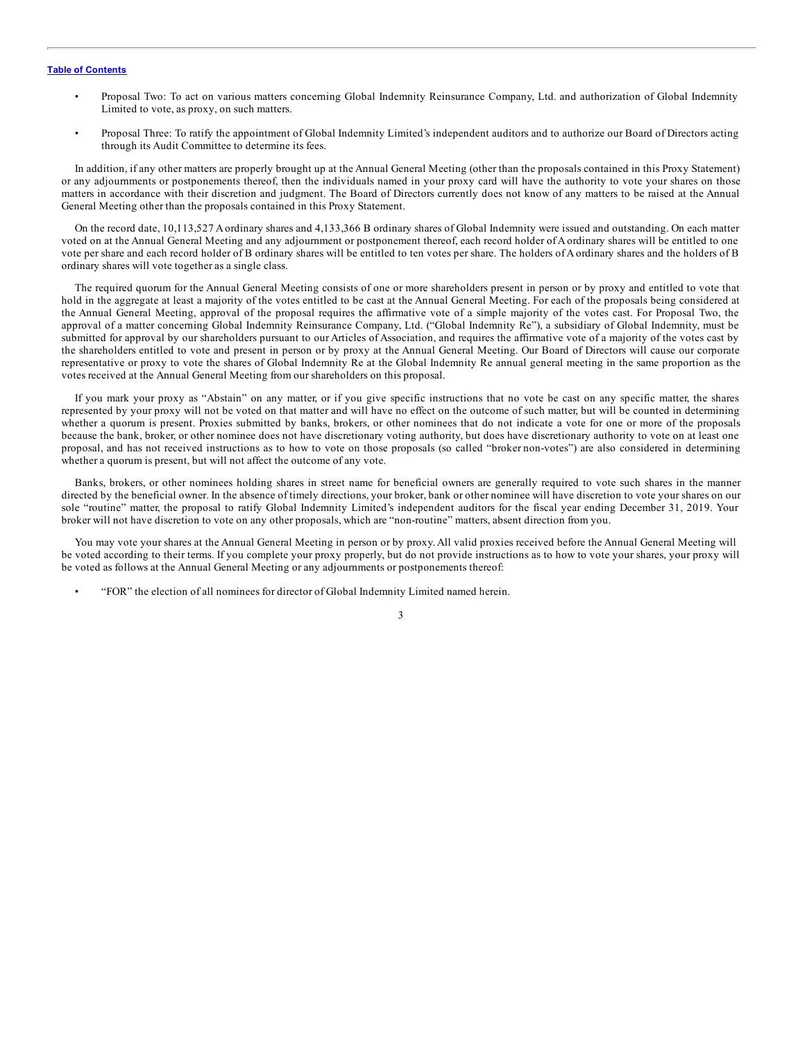- Proposal Two: To act on various matters concerning Global Indemnity Reinsurance Company, Ltd. and authorization of Global Indemnity Limited to vote, as proxy, on such matters.
- Proposal Three: To ratify the appointment of Global Indemnity Limited's independent auditors and to authorize our Board of Directors acting through its Audit Committee to determine its fees.

In addition, if any other matters are properly brought up at the Annual General Meeting (other than the proposals contained in this Proxy Statement) or any adjournments or postponements thereof, then the individuals named in your proxy card will have the authority to vote your shares on those matters in accordance with their discretion and judgment. The Board of Directors currently does not know of any matters to be raised at the Annual General Meeting other than the proposals contained in this Proxy Statement.

On the record date, 10,113,527 Aordinary shares and 4,133,366 B ordinary shares of Global Indemnity were issued and outstanding. On each matter voted on at the Annual General Meeting and any adjournment or postponement thereof, each record holder of A ordinary shares will be entitled to one vote per share and each record holder of B ordinary shares will be entitled to ten votes per share. The holders of A ordinary shares and the holders of B ordinary shares will vote together as a single class.

The required quorum for the Annual General Meeting consists of one or more shareholders present in person or by proxy and entitled to vote that hold in the aggregate at least a majority of the votes entitled to be cast at the Annual General Meeting. For each of the proposals being considered at the Annual General Meeting, approval of the proposal requires the affirmative vote of a simple majority of the votes cast. For Proposal Two, the approval of a matter concerning Global Indemnity Reinsurance Company, Ltd. ("Global Indemnity Re"), a subsidiary of Global Indemnity, must be submitted for approval by our shareholders pursuant to our Articles of Association, and requires the affirmative vote of a majority of the votes cast by the shareholders entitled to vote and present in person or by proxy at the Annual General Meeting. Our Board of Directors will cause our corporate representative or proxy to vote the shares of Global Indemnity Re at the Global Indemnity Re annual general meeting in the same proportion as the votes received at the Annual General Meeting from our shareholders on this proposal.

If you mark your proxy as "Abstain" on any matter, or if you give specific instructions that no vote be cast on any specific matter, the shares represented by your proxy will not be voted on that matter and will have no effect on the outcome of such matter, but will be counted in determining whether a quorum is present. Proxies submitted by banks, brokers, or other nominees that do not indicate a vote for one or more of the proposals because the bank, broker, or other nominee does not have discretionary voting authority, but does have discretionary authority to vote on at least one proposal, and has not received instructions as to how to vote on those proposals (so called "broker non-votes") are also considered in determining whether a quorum is present, but will not affect the outcome of any vote.

Banks, brokers, or other nominees holding shares in street name for beneficial owners are generally required to vote such shares in the manner directed by the beneficial owner. In the absence of timely directions, your broker, bank or other nominee will have discretion to vote your shares on our sole "routine" matter, the proposal to ratify Global Indemnity Limited's independent auditors for the fiscal year ending December 31, 2019. Your broker will not have discretion to vote on any other proposals, which are "non-routine" matters, absent direction from you.

You may vote your shares at the Annual General Meeting in person or by proxy. All valid proxies received before the Annual General Meeting will be voted according to their terms. If you complete your proxy properly, but do not provide instructions as to how to vote your shares, your proxy will be voted as follows at the Annual General Meeting or any adjournments or postponements thereof:

• "FOR" the election of all nominees for director of Global Indemnity Limited named herein.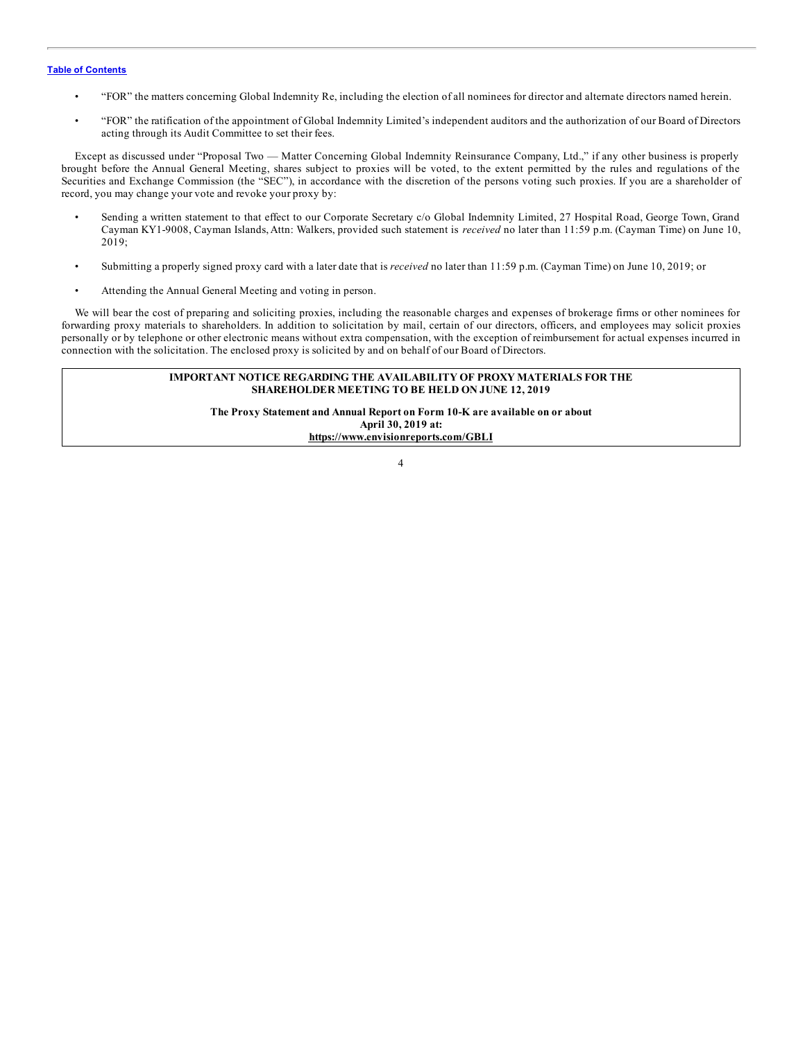- "FOR" the matters concerning Global Indemnity Re, including the election of all nominees for director and alternate directors named herein.
- "FOR" the ratification of the appointment of Global Indemnity Limited's independent auditors and the authorization of our Board of Directors acting through its Audit Committee to set their fees.

Except as discussed under "Proposal Two — Matter Concerning Global Indemnity Reinsurance Company, Ltd.," if any other business is properly brought before the Annual General Meeting, shares subject to proxies will be voted, to the extent permitted by the rules and regulations of the Securities and Exchange Commission (the "SEC"), in accordance with the discretion of the persons voting such proxies. If you are a shareholder of record, you may change your vote and revoke your proxy by:

- Sending a written statement to that effect to our Corporate Secretary c/o Global Indemnity Limited, 27 Hospital Road, George Town, Grand Cayman KY1-9008, Cayman Islands, Attn: Walkers, provided such statement is *received* no later than 11:59 p.m. (Cayman Time) on June 10, 2019;
- Submitting a properly signed proxy card with a later date that is *received* no later than 11:59 p.m. (Cayman Time) on June 10, 2019; or
- Attending the Annual General Meeting and voting in person.

We will bear the cost of preparing and soliciting proxies, including the reasonable charges and expenses of brokerage firms or other nominees for forwarding proxy materials to shareholders. In addition to solicitation by mail, certain of our directors, officers, and employees may solicit proxies personally or by telephone or other electronic means without extra compensation, with the exception of reimbursement for actual expenses incurred in connection with the solicitation. The enclosed proxy is solicited by and on behalf of our Board of Directors.

#### **IMPORTANT NOTICE REGARDING THE AVAILABILITY OF PROXY MATERIALS FOR THE SHAREHOLDER MEETING TO BE HELD ON JUNE 12, 2019**

**The Proxy Statement and Annual Report on Form 10-K are available on or about April 30, 2019 at: https://www.envisionreports.com/GBLI**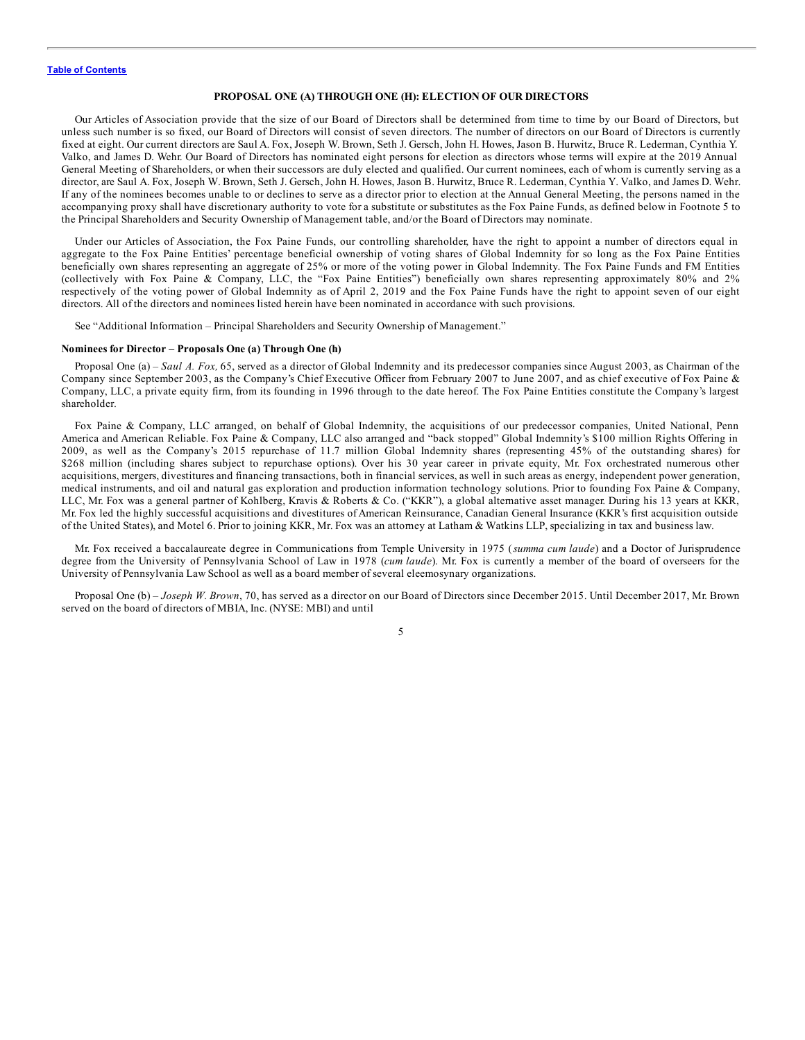#### **PROPOSAL ONE (A) THROUGH ONE (H): ELECTION OF OUR DIRECTORS**

<span id="page-9-0"></span>Our Articles of Association provide that the size of our Board of Directors shall be determined from time to time by our Board of Directors, but unless such number is so fixed, our Board of Directors will consist of seven directors. The number of directors on our Board of Directors is currently fixed at eight. Our current directors are Saul A. Fox, Joseph W. Brown, Seth J. Gersch, John H. Howes, Jason B. Hurwitz, Bruce R. Lederman, Cynthia Y. Valko, and James D. Wehr. Our Board of Directors has nominated eight persons for election as directors whose terms will expire at the 2019 Annual General Meeting of Shareholders, or when their successors are duly elected and qualified. Our current nominees, each of whom is currently serving as a director, are Saul A. Fox, Joseph W. Brown, Seth J. Gersch, John H. Howes, Jason B. Hurwitz, Bruce R. Lederman, Cynthia Y. Valko, and James D. Wehr. If any of the nominees becomes unable to or declines to serve as a director prior to election at the Annual General Meeting, the persons named in the accompanying proxy shall have discretionary authority to vote for a substitute or substitutes as the Fox Paine Funds, as defined below in Footnote 5 to the Principal Shareholders and Security Ownership of Management table, and/or the Board of Directors may nominate.

Under our Articles of Association, the Fox Paine Funds, our controlling shareholder, have the right to appoint a number of directors equal in aggregate to the Fox Paine Entities' percentage beneficial ownership of voting shares of Global Indemnity for so long as the Fox Paine Entities beneficially own shares representing an aggregate of 25% or more of the voting power in Global Indemnity. The Fox Paine Funds and FM Entities (collectively with Fox Paine & Company, LLC, the "Fox Paine Entities") beneficially own shares representing approximately 80% and 2% respectively of the voting power of Global Indemnity as of April 2, 2019 and the Fox Paine Funds have the right to appoint seven of our eight directors. All of the directors and nominees listed herein have been nominated in accordance with such provisions.

See "Additional Information – Principal Shareholders and Security Ownership of Management."

#### **Nominees for Director – Proposals One (a) Through One (h)**

Proposal One (a) – *Saul A. Fox,* 65, served as a director of Global Indemnity and its predecessor companies since August 2003, as Chairman of the Company since September 2003, as the Company's Chief Executive Officer from February 2007 to June 2007, and as chief executive of Fox Paine & Company, LLC, a private equity firm, from its founding in 1996 through to the date hereof. The Fox Paine Entities constitute the Company's largest shareholder.

Fox Paine & Company, LLC arranged, on behalf of Global Indemnity, the acquisitions of our predecessor companies, United National, Penn America and American Reliable. Fox Paine & Company, LLC also arranged and "back stopped" Global Indemnity's \$100 million Rights Offering in 2009, as well as the Company's 2015 repurchase of 11.7 million Global Indemnity shares (representing 45% of the outstanding shares) for \$268 million (including shares subject to repurchase options). Over his 30 year career in private equity, Mr. Fox orchestrated numerous other acquisitions, mergers, divestitures and financing transactions, both in financial services, as well in such areas as energy, independent power generation, medical instruments, and oil and natural gas exploration and production information technology solutions. Prior to founding Fox Paine & Company, LLC, Mr. Fox was a general partner of Kohlberg, Kravis & Roberts & Co. ("KKR"), a global alternative asset manager. During his 13 years at KKR, Mr. Fox led the highly successful acquisitions and divestitures of American Reinsurance, Canadian General Insurance (KKR's first acquisition outside of the United States), and Motel 6. Prior to joining KKR, Mr. Fox was an attorney at Latham & Watkins LLP, specializing in tax and business law.

Mr. Fox received a baccalaureate degree in Communications from Temple University in 1975 (*summa cum laude*) and a Doctor of Jurisprudence degree from the University of Pennsylvania School of Law in 1978 (*cum laude*). Mr. Fox is currently a member of the board of overseers for the University of Pennsylvania Law School as well as a board member of several eleemosynary organizations.

Proposal One (b) – *Joseph W. Brown*, 70, has served as a director on our Board of Directors since December 2015. Until December 2017, Mr. Brown served on the board of directors of MBIA, Inc. (NYSE: MBI) and until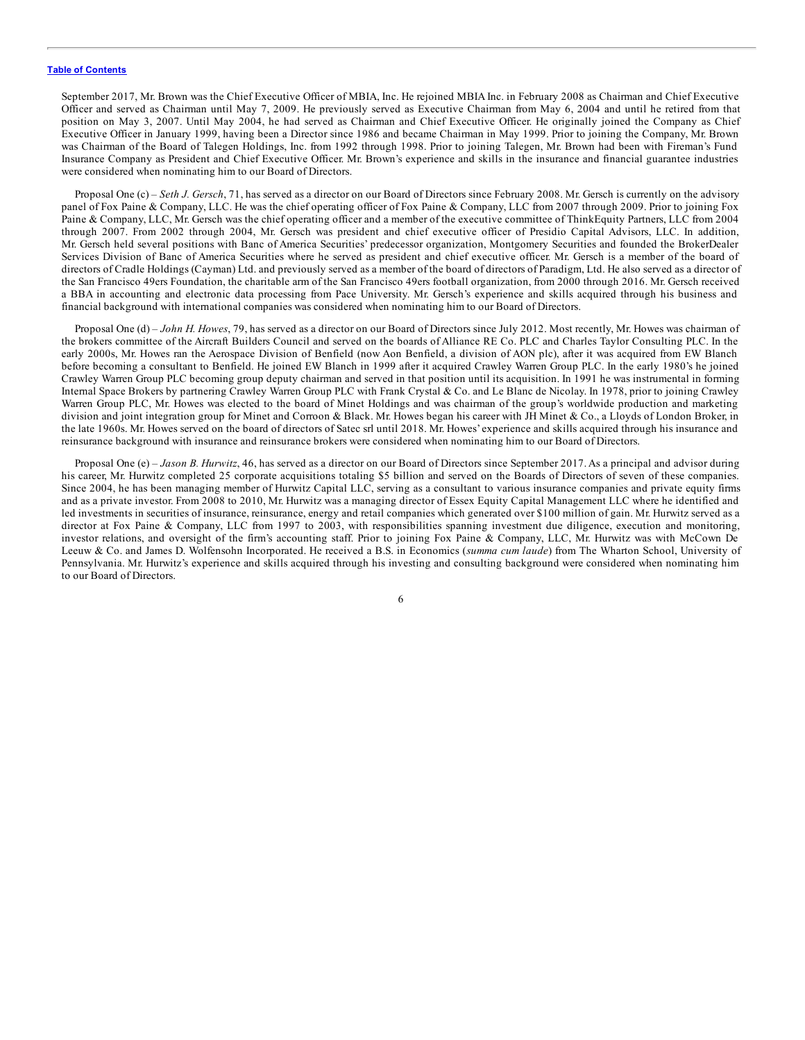September 2017, Mr. Brown was the Chief Executive Officer of MBIA, Inc. He rejoined MBIA Inc. in February 2008 as Chairman and Chief Executive Officer and served as Chairman until May 7, 2009. He previously served as Executive Chairman from May 6, 2004 and until he retired from that position on May 3, 2007. Until May 2004, he had served as Chairman and Chief Executive Officer. He originally joined the Company as Chief Executive Officer in January 1999, having been a Director since 1986 and became Chairman in May 1999. Prior to joining the Company, Mr. Brown was Chairman of the Board of Talegen Holdings, Inc. from 1992 through 1998. Prior to joining Talegen, Mr. Brown had been with Fireman's Fund Insurance Company as President and Chief Executive Officer. Mr. Brown's experience and skills in the insurance and financial guarantee industries were considered when nominating him to our Board of Directors.

Proposal One (c) – *Seth J. Gersch*, 71, has served as a director on our Board of Directors since February 2008. Mr. Gersch is currently on the advisory panel of Fox Paine & Company, LLC. He was the chief operating officer of Fox Paine & Company, LLC from 2007 through 2009. Prior to joining Fox Paine & Company, LLC, Mr. Gersch was the chief operating officer and a member of the executive committee of ThinkEquity Partners, LLC from 2004 through 2007. From 2002 through 2004, Mr. Gersch was president and chief executive officer of Presidio Capital Advisors, LLC. In addition, Mr. Gersch held several positions with Banc of America Securities' predecessor organization, Montgomery Securities and founded the BrokerDealer Services Division of Banc of America Securities where he served as president and chief executive officer. Mr. Gersch is a member of the board of directors of Cradle Holdings (Cayman) Ltd. and previously served as a member of the board of directors of Paradigm, Ltd. He also served as a director of the San Francisco 49ers Foundation, the charitable arm of the San Francisco 49ers football organization, from 2000 through 2016. Mr. Gersch received a BBA in accounting and electronic data processing from Pace University. Mr. Gersch's experience and skills acquired through his business and financial background with international companies was considered when nominating him to our Board of Directors.

Proposal One (d) – *John H. Howes*, 79, has served as a director on our Board of Directors since July 2012. Most recently, Mr. Howes was chairman of the brokers committee of the Aircraft Builders Council and served on the boards of Alliance RE Co. PLC and Charles Taylor Consulting PLC. In the early 2000s, Mr. Howes ran the Aerospace Division of Benfield (now Aon Benfield, a division of AON plc), after it was acquired from EW Blanch before becoming a consultant to Benfield. He joined EW Blanch in 1999 after it acquired Crawley Warren Group PLC. In the early 1980's he joined Crawley Warren Group PLC becoming group deputy chairman and served in that position until its acquisition. In 1991 he was instrumental in forming Internal Space Brokers by partnering Crawley Warren Group PLC with Frank Crystal & Co. and Le Blanc de Nicolay. In 1978, prior to joining Crawley Warren Group PLC, Mr. Howes was elected to the board of Minet Holdings and was chairman of the group's worldwide production and marketing division and joint integration group for Minet and Corroon & Black. Mr. Howes began his career with JH Minet & Co., a Lloyds of London Broker, in the late 1960s. Mr. Howes served on the board of directors of Satec srl until 2018. Mr. Howes' experience and skills acquired through his insurance and reinsurance background with insurance and reinsurance brokers were considered when nominating him to our Board of Directors.

Proposal One (e) – *Jason B. Hurwitz*, 46, has served as a director on our Board of Directors since September 2017. As a principal and advisor during his career, Mr. Hurwitz completed 25 corporate acquisitions totaling \$5 billion and served on the Boards of Directors of seven of these companies. Since 2004, he has been managing member of Hurwitz Capital LLC, serving as a consultant to various insurance companies and private equity firms and as a private investor. From 2008 to 2010, Mr. Hurwitz was a managing director of Essex Equity Capital Management LLC where he identified and led investments in securities of insurance, reinsurance, energy and retail companies which generated over \$100 million of gain. Mr. Hurwitz served as a director at Fox Paine & Company, LLC from 1997 to 2003, with responsibilities spanning investment due diligence, execution and monitoring, investor relations, and oversight of the firm's accounting staff. Prior to joining Fox Paine & Company, LLC, Mr. Hurwitz was with McCown De Leeuw & Co. and James D. Wolfensohn Incorporated. He received a B.S. in Economics (*summa cum laude*) from The Wharton School, University of Pennsylvania. Mr. Hurwitz's experience and skills acquired through his investing and consulting background were considered when nominating him to our Board of Directors.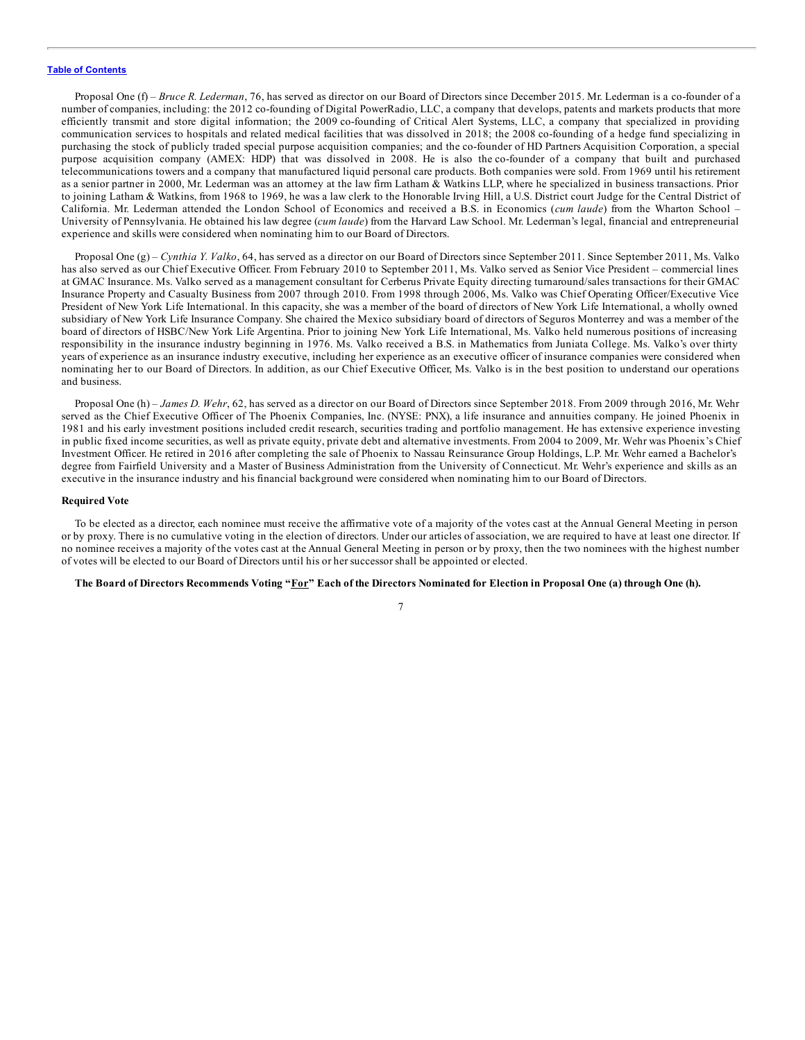Proposal One (f) – *Bruce R. Lederman*, 76, has served as director on our Board of Directors since December 2015. Mr. Lederman is a co-founder of a number of companies, including: the 2012 co-founding of Digital PowerRadio, LLC, a company that develops, patents and markets products that more efficiently transmit and store digital information; the 2009 co-founding of Critical Alert Systems, LLC, a company that specialized in providing communication services to hospitals and related medical facilities that was dissolved in 2018; the 2008 co-founding of a hedge fund specializing in purchasing the stock of publicly traded special purpose acquisition companies; and the co-founder of HD Partners Acquisition Corporation, a special purpose acquisition company (AMEX: HDP) that was dissolved in 2008. He is also the co-founder of a company that built and purchased telecommunications towers and a company that manufactured liquid personal care products. Both companies were sold. From 1969 until his retirement as a senior partner in 2000, Mr. Lederman was an attorney at the law firm Latham & Watkins LLP, where he specialized in business transactions. Prior to joining Latham & Watkins, from 1968 to 1969, he was a law clerk to the Honorable Irving Hill, a U.S. District court Judge for the Central District of California. Mr. Lederman attended the London School of Economics and received a B.S. in Economics (*cum laude*) from the Wharton School – University of Pennsylvania. He obtained his law degree (*cum laude*) from the Harvard Law School. Mr. Lederman's legal, financial and entrepreneurial experience and skills were considered when nominating him to our Board of Directors.

Proposal One (g) – *Cynthia Y. Valko*, 64, has served as a director on our Board of Directors since September 2011. Since September 2011, Ms. Valko has also served as our Chief Executive Officer. From February 2010 to September 2011, Ms. Valko served as Senior Vice President – commercial lines at GMAC Insurance. Ms. Valko served as a management consultant for Cerberus Private Equity directing turnaround/sales transactions for their GMAC Insurance Property and Casualty Business from 2007 through 2010. From 1998 through 2006, Ms. Valko was Chief Operating Officer/Executive Vice President of New York Life International. In this capacity, she was a member of the board of directors of New York Life International, a wholly owned subsidiary of New York Life Insurance Company. She chaired the Mexico subsidiary board of directors of Seguros Monterrey and was a member of the board of directors of HSBC/New York Life Argentina. Prior to joining New York Life International, Ms. Valko held numerous positions of increasing responsibility in the insurance industry beginning in 1976. Ms. Valko received a B.S. in Mathematics from Juniata College. Ms. Valko's over thirty years of experience as an insurance industry executive, including her experience as an executive officer of insurance companies were considered when nominating her to our Board of Directors. In addition, as our Chief Executive Officer, Ms. Valko is in the best position to understand our operations and business.

Proposal One (h) – *James D. Wehr*, 62, has served as a director on our Board of Directors since September 2018. From 2009 through 2016, Mr. Wehr served as the Chief Executive Officer of The Phoenix Companies, Inc. (NYSE: PNX), a life insurance and annuities company. He joined Phoenix in 1981 and his early investment positions included credit research, securities trading and portfolio management. He has extensive experience investing in public fixed income securities, as well as private equity, private debt and alternative investments. From 2004 to 2009, Mr. Wehr was Phoenix's Chief Investment Officer. He retired in 2016 after completing the sale of Phoenix to Nassau Reinsurance Group Holdings, L.P. Mr. Wehr earned a Bachelor's degree from Fairfield University and a Master of Business Administration from the University of Connecticut. Mr. Wehr's experience and skills as an executive in the insurance industry and his financial background were considered when nominating him to our Board of Directors.

#### **Required Vote**

To be elected as a director, each nominee must receive the affirmative vote of a majority of the votes cast at the Annual General Meeting in person or by proxy. There is no cumulative voting in the election of directors. Under our articles of association, we are required to have at least one director. If no nominee receives a majority of the votes cast at the Annual General Meeting in person or by proxy, then the two nominees with the highest number of votes will be elected to our Board of Directors until his or her successor shall be appointed or elected.

#### The Board of Directors Recommends Voting "For" Each of the Directors Nominated for Election in Proposal One (a) through One (h).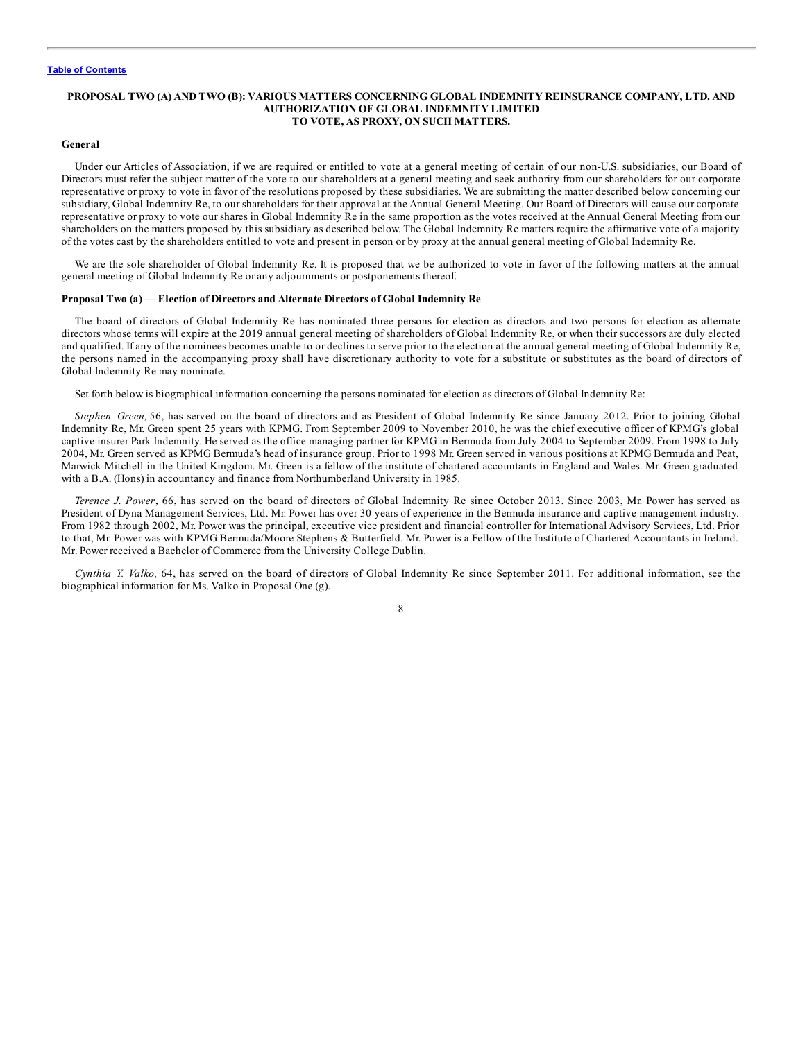#### <span id="page-12-0"></span>**PROPOSAL TWO (A) AND TWO (B): VARIOUS MATTERS CONCERNING GLOBAL INDEMNITY REINSURANCE COMPANY, LTD. AND AUTHORIZATION OF GLOBAL INDEMNITY LIMITED TO VOTE, AS PROXY, ON SUCH MATTERS.**

#### **General**

Under our Articles of Association, if we are required or entitled to vote at a general meeting of certain of our non-U.S. subsidiaries, our Board of Directors must refer the subject matter of the vote to our shareholders at a general meeting and seek authority from our shareholders for our corporate representative or proxy to vote in favor of the resolutions proposed by these subsidiaries. We are submitting the matter described below concerning our subsidiary, Global Indemnity Re, to our shareholders for their approval at the Annual General Meeting. Our Board of Directors will cause our corporate representative or proxy to vote our shares in Global Indemnity Re in the same proportion as the votes received at the Annual General Meeting from our shareholders on the matters proposed by this subsidiary as described below. The Global Indemnity Re matters require the affirmative vote of a majority of the votes cast by the shareholders entitled to vote and present in person or by proxy at the annual general meeting of Global Indemnity Re.

We are the sole shareholder of Global Indemnity Re. It is proposed that we be authorized to vote in favor of the following matters at the annual general meeting of Global Indemnity Re or any adjournments or postponements thereof.

#### **Proposal Two (a) — Election of Directors and Alternate Directors of Global Indemnity Re**

The board of directors of Global Indemnity Re has nominated three persons for election as directors and two persons for election as alternate directors whose terms will expire at the 2019 annual general meeting of shareholders of Global Indemnity Re, or when their successors are duly elected and qualified. If any of the nominees becomes unable to or declines to serve prior to the election at the annual general meeting of Global Indemnity Re, the persons named in the accompanying proxy shall have discretionary authority to vote for a substitute or substitutes as the board of directors of Global Indemnity Re may nominate.

Set forth below is biographical information concerning the persons nominated for election as directors of Global Indemnity Re:

*Stephen Green,* 56, has served on the board of directors and as President of Global Indemnity Re since January 2012. Prior to joining Global Indemnity Re, Mr. Green spent 25 years with KPMG. From September 2009 to November 2010, he was the chief executive officer of KPMG's global captive insurer Park Indemnity. He served as the office managing partner for KPMG in Bermuda from July 2004 to September 2009. From 1998 to July 2004, Mr. Green served as KPMG Bermuda's head of insurance group. Prior to 1998 Mr. Green served in various positions at KPMG Bermuda and Peat, Marwick Mitchell in the United Kingdom. Mr. Green is a fellow of the institute of chartered accountants in England and Wales. Mr. Green graduated with a B.A. (Hons) in accountancy and finance from Northumberland University in 1985.

*Terence J. Power*, 66, has served on the board of directors of Global Indemnity Re since October 2013. Since 2003, Mr. Power has served as President of Dyna Management Services, Ltd. Mr. Power has over 30 years of experience in the Bermuda insurance and captive management industry. From 1982 through 2002, Mr. Power was the principal, executive vice president and financial controller for International Advisory Services, Ltd. Prior to that, Mr. Power was with KPMG Bermuda/Moore Stephens & Butterfield. Mr. Power is a Fellow of the Institute of Chartered Accountants in Ireland. Mr. Power received a Bachelor of Commerce from the University College Dublin.

*Cynthia Y. Valko,* 64, has served on the board of directors of Global Indemnity Re since September 2011. For additional information, see the biographical information for Ms. Valko in Proposal One (g).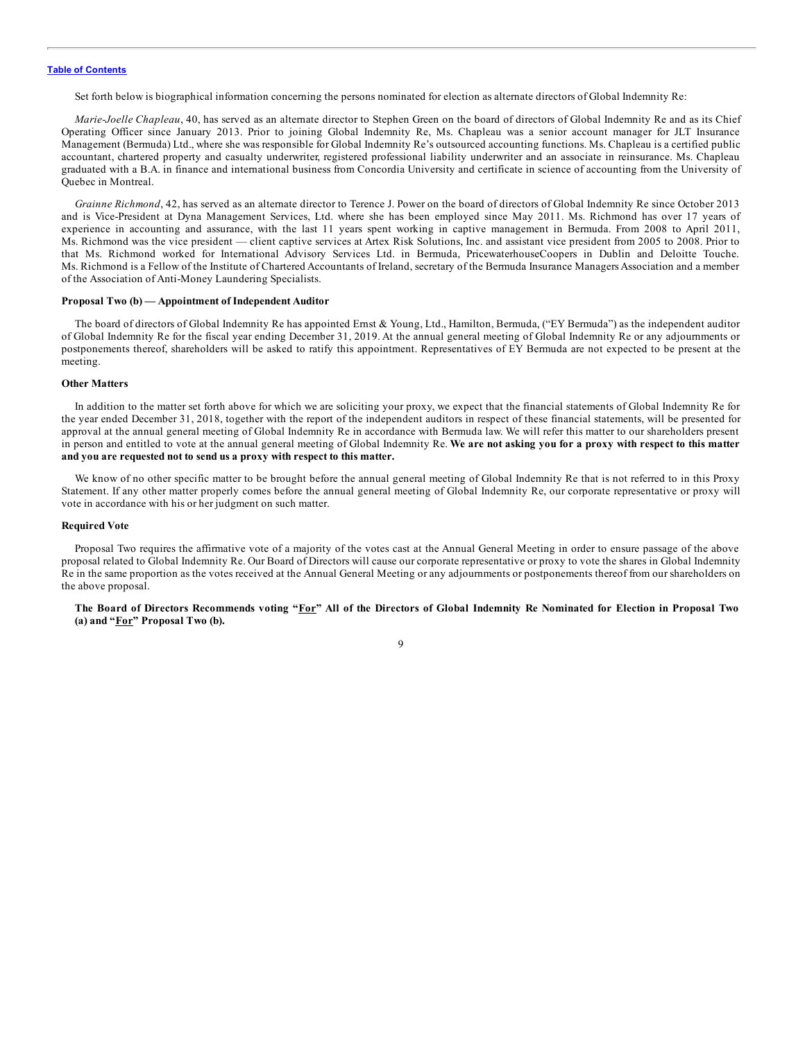Set forth below is biographical information concerning the persons nominated for election as alternate directors of Global Indemnity Re:

*Marie-Joelle Chapleau*, 40, has served as an alternate director to Stephen Green on the board of directors of Global Indemnity Re and as its Chief Operating Officer since January 2013. Prior to joining Global Indemnity Re, Ms. Chapleau was a senior account manager for JLT Insurance Management (Bermuda) Ltd., where she was responsible for Global Indemnity Re's outsourced accounting functions. Ms. Chapleau is a certified public accountant, chartered property and casualty underwriter, registered professional liability underwriter and an associate in reinsurance. Ms. Chapleau graduated with a B.A. in finance and international business from Concordia University and certificate in science of accounting from the University of Quebec in Montreal.

*Grainne Richmond*, 42, has served as an alternate director to Terence J. Power on the board of directors of Global Indemnity Re since October 2013 and is Vice-President at Dyna Management Services, Ltd. where she has been employed since May 2011. Ms. Richmond has over 17 years of experience in accounting and assurance, with the last 11 years spent working in captive management in Bermuda. From 2008 to April 2011, Ms. Richmond was the vice president — client captive services at Artex Risk Solutions, Inc. and assistant vice president from 2005 to 2008. Prior to that Ms. Richmond worked for International Advisory Services Ltd. in Bermuda, PricewaterhouseCoopers in Dublin and Deloitte Touche. Ms. Richmond is a Fellow of the Institute of Chartered Accountants of Ireland, secretary of the Bermuda Insurance Managers Association and a member of the Association of Anti-Money Laundering Specialists.

#### **Proposal Two (b) — Appointment of Independent Auditor**

The board of directors of Global Indemnity Re has appointed Ernst & Young, Ltd., Hamilton, Bermuda, ("EY Bermuda") as the independent auditor of Global Indemnity Re for the fiscal year ending December 31, 2019. At the annual general meeting of Global Indemnity Re or any adjournments or postponements thereof, shareholders will be asked to ratify this appointment. Representatives of EY Bermuda are not expected to be present at the meeting.

#### **Other Matters**

In addition to the matter set forth above for which we are soliciting your proxy, we expect that the financial statements of Global Indemnity Re for the year ended December 31, 2018, together with the report of the independent auditors in respect of these financial statements, will be presented for approval at the annual general meeting of Global Indemnity Re in accordance with Bermuda law. We will refer this matter to our shareholders present in person and entitled to vote at the annual general meeting of Global Indemnity Re. We are not asking you for a proxy with respect to this matter **and you are requested not to send us a proxy with respect to this matter.**

We know of no other specific matter to be brought before the annual general meeting of Global Indemnity Re that is not referred to in this Proxy Statement. If any other matter properly comes before the annual general meeting of Global Indemnity Re, our corporate representative or proxy will vote in accordance with his or her judgment on such matter.

#### **Required Vote**

Proposal Two requires the affirmative vote of a majority of the votes cast at the Annual General Meeting in order to ensure passage of the above proposal related to Global Indemnity Re. Our Board of Directors will cause our corporate representative or proxy to vote the shares in Global Indemnity Re in the same proportion as the votes received at the Annual General Meeting or any adjournments or postponements thereof from our shareholders on the above proposal.

The Board of Directors Recommends voting "For" All of the Directors of Global Indemnity Re Nominated for Election in Proposal Two **(a) and "For" Proposal Two (b).**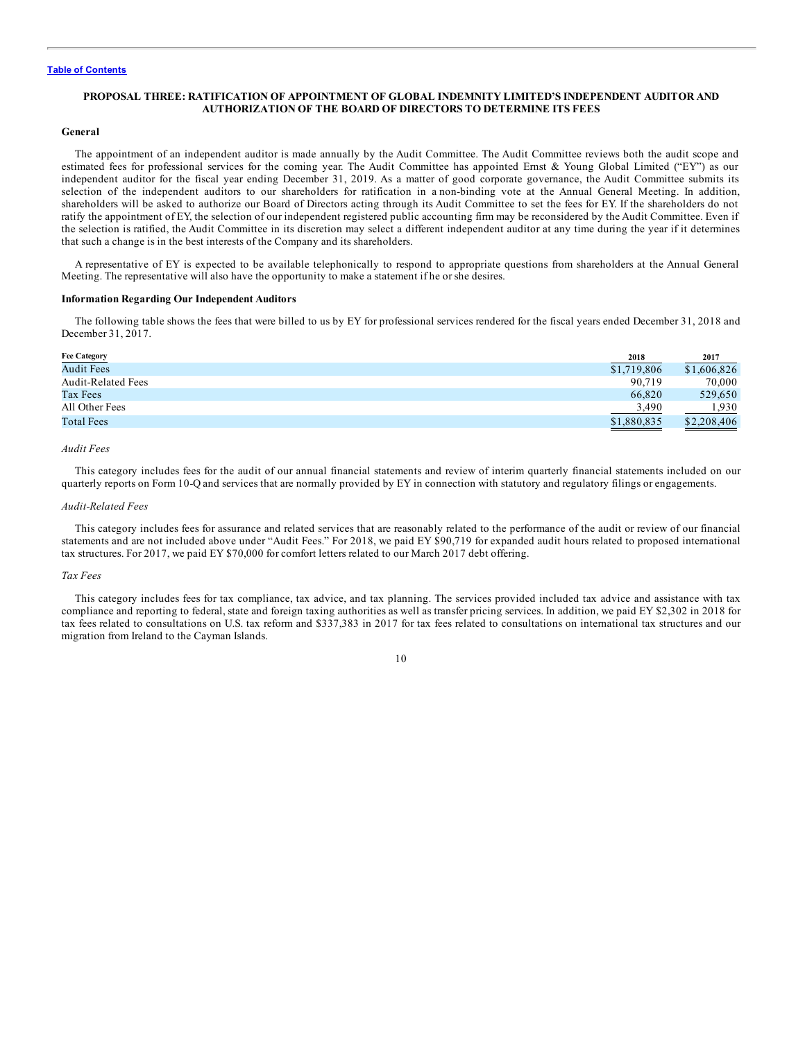#### <span id="page-14-0"></span>**PROPOSAL THREE: RATIFICATION OF APPOINTMENT OF GLOBAL INDEMNITY LIMITED'S INDEPENDENT AUDITOR AND AUTHORIZATION OF THE BOARD OF DIRECTORS TO DETERMINE ITS FEES**

#### **General**

The appointment of an independent auditor is made annually by the Audit Committee. The Audit Committee reviews both the audit scope and estimated fees for professional services for the coming year. The Audit Committee has appointed Ernst & Young Global Limited ("EY") as our independent auditor for the fiscal year ending December 31, 2019. As a matter of good corporate governance, the Audit Committee submits its selection of the independent auditors to our shareholders for ratification in a non-binding vote at the Annual General Meeting. In addition, shareholders will be asked to authorize our Board of Directors acting through its Audit Committee to set the fees for EY. If the shareholders do not ratify the appointment of EY, the selection of our independent registered public accounting firm may be reconsidered by the Audit Committee. Even if the selection is ratified, the Audit Committee in its discretion may select a different independent auditor at any time during the year if it determines that such a change is in the best interests of the Company and its shareholders.

A representative of EY is expected to be available telephonically to respond to appropriate questions from shareholders at the Annual General Meeting. The representative will also have the opportunity to make a statement if he or she desires.

#### **Information Regarding Our Independent Auditors**

The following table shows the fees that were billed to us by EY for professional services rendered for the fiscal years ended December 31, 2018 and December 31, 2017.

| 2017                       |
|----------------------------|
| \$1,719,806<br>\$1,606,826 |
| 90,719<br>70,000           |
| 66,820<br>529,650          |
| .930<br>3.490              |
| \$1,880,835<br>\$2,208,406 |
|                            |

# *Audit Fees*

This category includes fees for the audit of our annual financial statements and review of interim quarterly financial statements included on our quarterly reports on Form 10-Q and services that are normally provided by EY in connection with statutory and regulatory filings or engagements.

#### *Audit-Related Fees*

This category includes fees for assurance and related services that are reasonably related to the performance of the audit or review of our financial statements and are not included above under "Audit Fees." For 2018, we paid EY \$90,719 for expanded audit hours related to proposed international tax structures. For 2017, we paid EY \$70,000 for comfort letters related to our March 2017 debt offering.

#### *Tax Fees*

This category includes fees for tax compliance, tax advice, and tax planning. The services provided included tax advice and assistance with tax compliance and reporting to federal, state and foreign taxing authorities as well as transfer pricing services. In addition, we paid EY \$2,302 in 2018 for tax fees related to consultations on U.S. tax reform and \$337,383 in 2017 for tax fees related to consultations on international tax structures and our migration from Ireland to the Cayman Islands.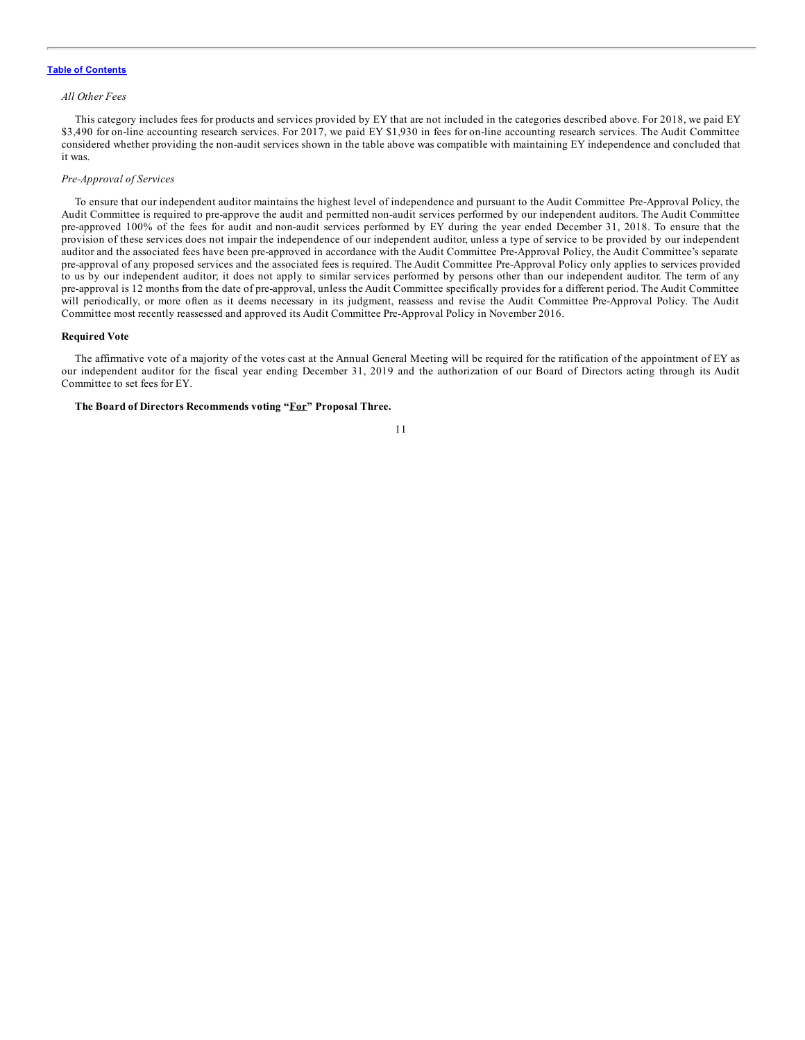#### *All Other Fees*

This category includes fees for products and services provided by EY that are not included in the categories described above. For 2018, we paid EY \$3,490 for on-line accounting research services. For 2017, we paid EY \$1,930 in fees for on-line accounting research services. The Audit Committee considered whether providing the non-audit services shown in the table above was compatible with maintaining EY independence and concluded that it was.

#### *Pre-Approval of Services*

To ensure that our independent auditor maintains the highest level of independence and pursuant to the Audit Committee Pre-Approval Policy, the Audit Committee is required to pre-approve the audit and permitted non-audit services performed by our independent auditors. The Audit Committee pre-approved 100% of the fees for audit and non-audit services performed by EY during the year ended December 31, 2018. To ensure that the provision of these services does not impair the independence of our independent auditor, unless a type of service to be provided by our independent auditor and the associated fees have been pre-approved in accordance with the Audit Committee Pre-Approval Policy, the Audit Committee's separate pre-approval of any proposed services and the associated fees is required. The Audit Committee Pre-Approval Policy only applies to services provided to us by our independent auditor; it does not apply to similar services performed by persons other than our independent auditor. The term of any pre-approval is 12 months from the date of pre-approval, unless the Audit Committee specifically provides for a different period. The Audit Committee will periodically, or more often as it deems necessary in its judgment, reassess and revise the Audit Committee Pre-Approval Policy. The Audit Committee most recently reassessed and approved its Audit Committee Pre-Approval Policy in November 2016.

#### **Required Vote**

The affirmative vote of a majority of the votes cast at the Annual General Meeting will be required for the ratification of the appointment of EY as our independent auditor for the fiscal year ending December 31, 2019 and the authorization of our Board of Directors acting through its Audit Committee to set fees for EY.

#### **The Board of Directors Recommends voting "For" Proposal Three.**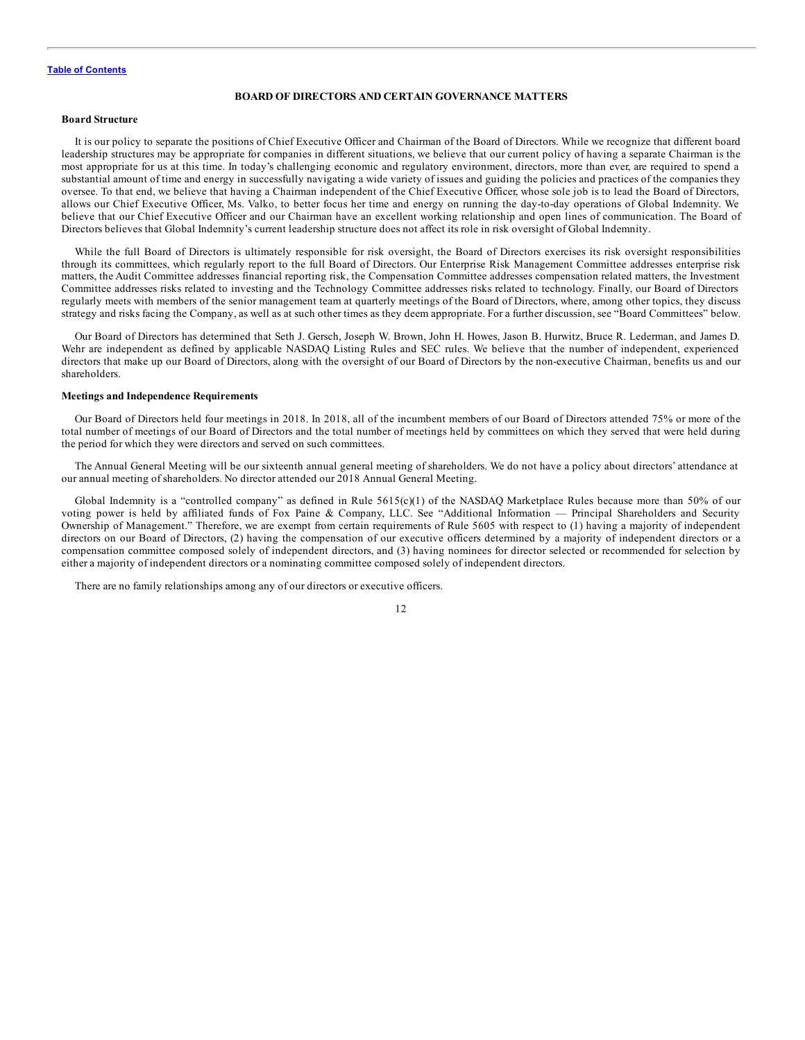#### **BOARD OF DIRECTORS AND CERTAIN GOVERNANCE MATTERS**

#### <span id="page-16-0"></span>**Board Structure**

It is our policy to separate the positions of Chief Executive Officer and Chairman of the Board of Directors. While we recognize that different board leadership structures may be appropriate for companies in different situations, we believe that our current policy of having a separate Chairman is the most appropriate for us at this time. In today's challenging economic and regulatory environment, directors, more than ever, are required to spend a substantial amount of time and energy in successfully navigating a wide variety of issues and guiding the policies and practices of the companies they oversee. To that end, we believe that having a Chairman independent of the Chief Executive Officer, whose sole job is to lead the Board of Directors, allows our Chief Executive Officer, Ms. Valko, to better focus her time and energy on running the day-to-day operations of Global Indemnity. We believe that our Chief Executive Officer and our Chairman have an excellent working relationship and open lines of communication. The Board of Directors believes that Global Indemnity's current leadership structure does not affect its role in risk oversight of Global Indemnity.

While the full Board of Directors is ultimately responsible for risk oversight, the Board of Directors exercises its risk oversight responsibilities through its committees, which regularly report to the full Board of Directors. Our Enterprise Risk Management Committee addresses enterprise risk matters, the Audit Committee addresses financial reporting risk, the Compensation Committee addresses compensation related matters, the Investment Committee addresses risks related to investing and the Technology Committee addresses risks related to technology. Finally, our Board of Directors regularly meets with members of the senior management team at quarterly meetings of the Board of Directors, where, among other topics, they discuss strategy and risks facing the Company, as well as at such other times as they deem appropriate. For a further discussion, see "Board Committees" below.

Our Board of Directors has determined that Seth J. Gersch, Joseph W. Brown, John H. Howes, Jason B. Hurwitz, Bruce R. Lederman, and James D. Wehr are independent as defined by applicable NASDAQ Listing Rules and SEC rules. We believe that the number of independent, experienced directors that make up our Board of Directors, along with the oversight of our Board of Directors by the non-executive Chairman, benefits us and our shareholders.

#### **Meetings and Independence Requirements**

Our Board of Directors held four meetings in 2018. In 2018, all of the incumbent members of our Board of Directors attended 75% or more of the total number of meetings of our Board of Directors and the total number of meetings held by committees on which they served that were held during the period for which they were directors and served on such committees.

The Annual General Meeting will be our sixteenth annual general meeting of shareholders. We do not have a policy about directors' attendance at our annual meeting of shareholders. No director attended our 2018 Annual General Meeting.

Global Indemnity is a "controlled company" as defined in Rule  $5615(c)(1)$  of the NASDAQ Marketplace Rules because more than 50% of our voting power is held by affiliated funds of Fox Paine & Company, LLC. See "Additional Information — Principal Shareholders and Security Ownership of Management." Therefore, we are exempt from certain requirements of Rule 5605 with respect to (1) having a majority of independent directors on our Board of Directors, (2) having the compensation of our executive officers determined by a majority of independent directors or a compensation committee composed solely of independent directors, and (3) having nominees for director selected or recommended for selection by either a majority of independent directors or a nominating committee composed solely of independent directors.

There are no family relationships among any of our directors or executive officers.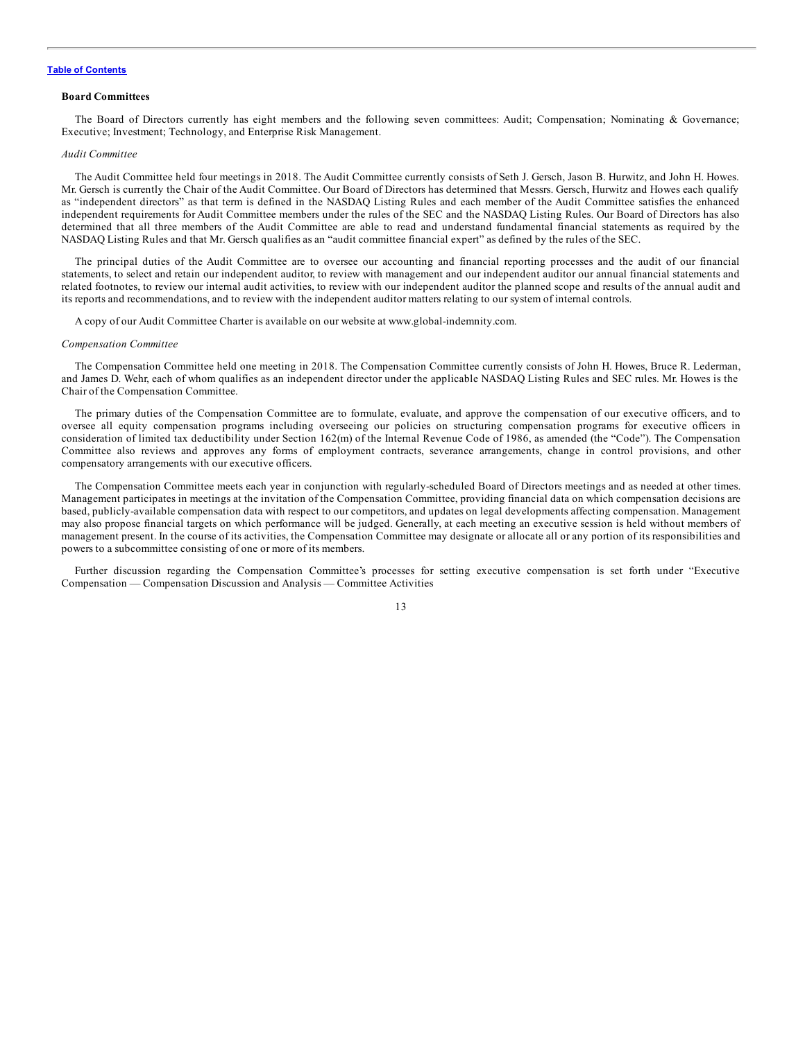#### <span id="page-17-0"></span>**Board Committees**

The Board of Directors currently has eight members and the following seven committees: Audit; Compensation; Nominating & Governance; Executive; Investment; Technology, and Enterprise Risk Management.

#### *Audit Committee*

The Audit Committee held four meetings in 2018. The Audit Committee currently consists of Seth J. Gersch, Jason B. Hurwitz, and John H. Howes. Mr. Gersch is currently the Chair of the Audit Committee. Our Board of Directors has determined that Messrs. Gersch, Hurwitz and Howes each qualify as "independent directors" as that term is defined in the NASDAQ Listing Rules and each member of the Audit Committee satisfies the enhanced independent requirements for Audit Committee members under the rules of the SEC and the NASDAQ Listing Rules. Our Board of Directors has also determined that all three members of the Audit Committee are able to read and understand fundamental financial statements as required by the NASDAQ Listing Rules and that Mr. Gersch qualifies as an "audit committee financial expert" as defined by the rules of the SEC.

The principal duties of the Audit Committee are to oversee our accounting and financial reporting processes and the audit of our financial statements, to select and retain our independent auditor, to review with management and our independent auditor our annual financial statements and related footnotes, to review our internal audit activities, to review with our independent auditor the planned scope and results of the annual audit and its reports and recommendations, and to review with the independent auditor matters relating to our system of internal controls.

A copy of our Audit Committee Charter is available on our website at www.global-indemnity.com.

#### *Compensation Committee*

The Compensation Committee held one meeting in 2018. The Compensation Committee currently consists of John H. Howes, Bruce R. Lederman, and James D. Wehr, each of whom qualifies as an independent director under the applicable NASDAQ Listing Rules and SEC rules. Mr. Howes is the Chair of the Compensation Committee.

The primary duties of the Compensation Committee are to formulate, evaluate, and approve the compensation of our executive officers, and to oversee all equity compensation programs including overseeing our policies on structuring compensation programs for executive officers in consideration of limited tax deductibility under Section 162(m) of the Internal Revenue Code of 1986, as amended (the "Code"). The Compensation Committee also reviews and approves any forms of employment contracts, severance arrangements, change in control provisions, and other compensatory arrangements with our executive officers.

The Compensation Committee meets each year in conjunction with regularly-scheduled Board of Directors meetings and as needed at other times. Management participates in meetings at the invitation of the Compensation Committee, providing financial data on which compensation decisions are based, publicly-available compensation data with respect to our competitors, and updates on legal developments affecting compensation. Management may also propose financial targets on which performance will be judged. Generally, at each meeting an executive session is held without members of management present. In the course of its activities, the Compensation Committee may designate or allocate all or any portion of its responsibilities and powers to a subcommittee consisting of one or more of its members.

Further discussion regarding the Compensation Committee's processes for setting executive compensation is set forth under "Executive Compensation — Compensation Discussion and Analysis — Committee Activities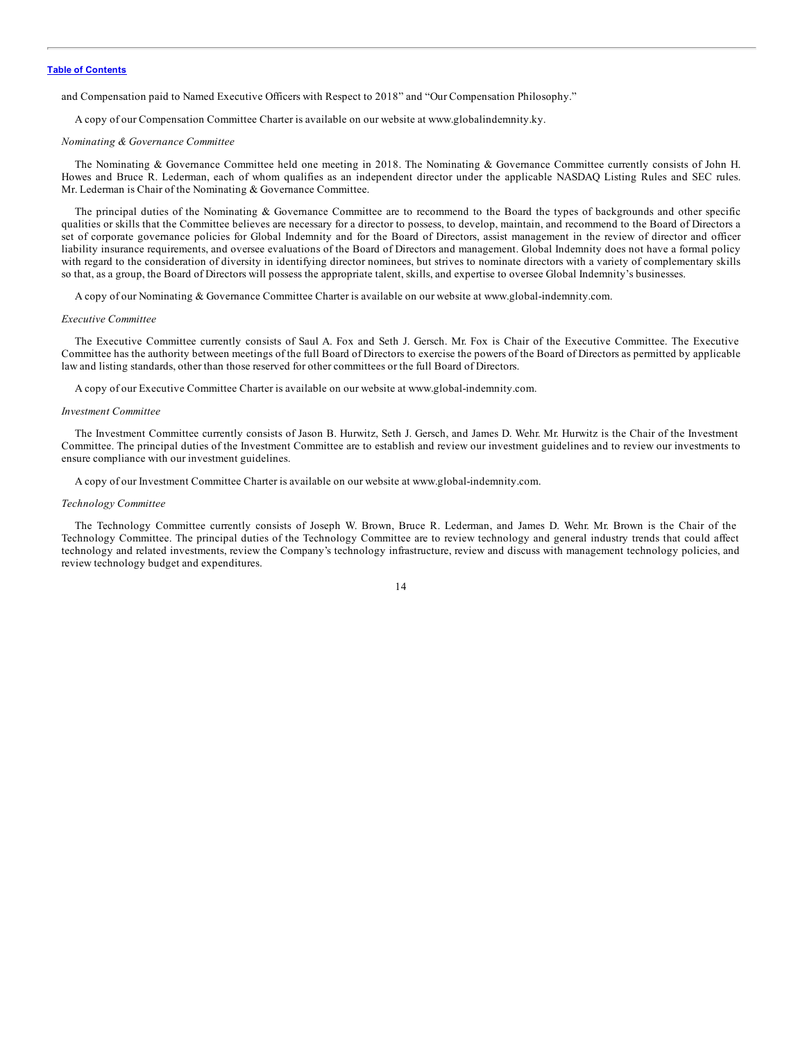and Compensation paid to Named Executive Officers with Respect to 2018" and "Our Compensation Philosophy."

A copy of our Compensation Committee Charter is available on our website at www.globalindemnity.ky.

#### *Nominating & Governance Committee*

The Nominating & Governance Committee held one meeting in 2018. The Nominating & Governance Committee currently consists of John H. Howes and Bruce R. Lederman, each of whom qualifies as an independent director under the applicable NASDAQ Listing Rules and SEC rules. Mr. Lederman is Chair of the Nominating & Governance Committee.

The principal duties of the Nominating & Governance Committee are to recommend to the Board the types of backgrounds and other specific qualities or skills that the Committee believes are necessary for a director to possess, to develop, maintain, and recommend to the Board of Directors a set of corporate governance policies for Global Indemnity and for the Board of Directors, assist management in the review of director and officer liability insurance requirements, and oversee evaluations of the Board of Directors and management. Global Indemnity does not have a formal policy with regard to the consideration of diversity in identifying director nominees, but strives to nominate directors with a variety of complementary skills so that, as a group, the Board of Directors will possess the appropriate talent, skills, and expertise to oversee Global Indemnity's businesses.

A copy of our Nominating & Governance Committee Charter is available on our website at www.global-indemnity.com.

#### *Executive Committee*

The Executive Committee currently consists of Saul A. Fox and Seth J. Gersch. Mr. Fox is Chair of the Executive Committee. The Executive Committee has the authority between meetings of the full Board of Directors to exercise the powers of the Board of Directors as permitted by applicable law and listing standards, other than those reserved for other committees or the full Board of Directors.

A copy of our Executive Committee Charter is available on our website at www.global-indemnity.com.

#### *Investment Committee*

The Investment Committee currently consists of Jason B. Hurwitz, Seth J. Gersch, and James D. Wehr. Mr. Hurwitz is the Chair of the Investment Committee. The principal duties of the Investment Committee are to establish and review our investment guidelines and to review our investments to ensure compliance with our investment guidelines.

A copy of our Investment Committee Charter is available on our website at www.global-indemnity.com.

#### *Technology Committee*

The Technology Committee currently consists of Joseph W. Brown, Bruce R. Lederman, and James D. Wehr. Mr. Brown is the Chair of the Technology Committee. The principal duties of the Technology Committee are to review technology and general industry trends that could affect technology and related investments, review the Company's technology infrastructure, review and discuss with management technology policies, and review technology budget and expenditures.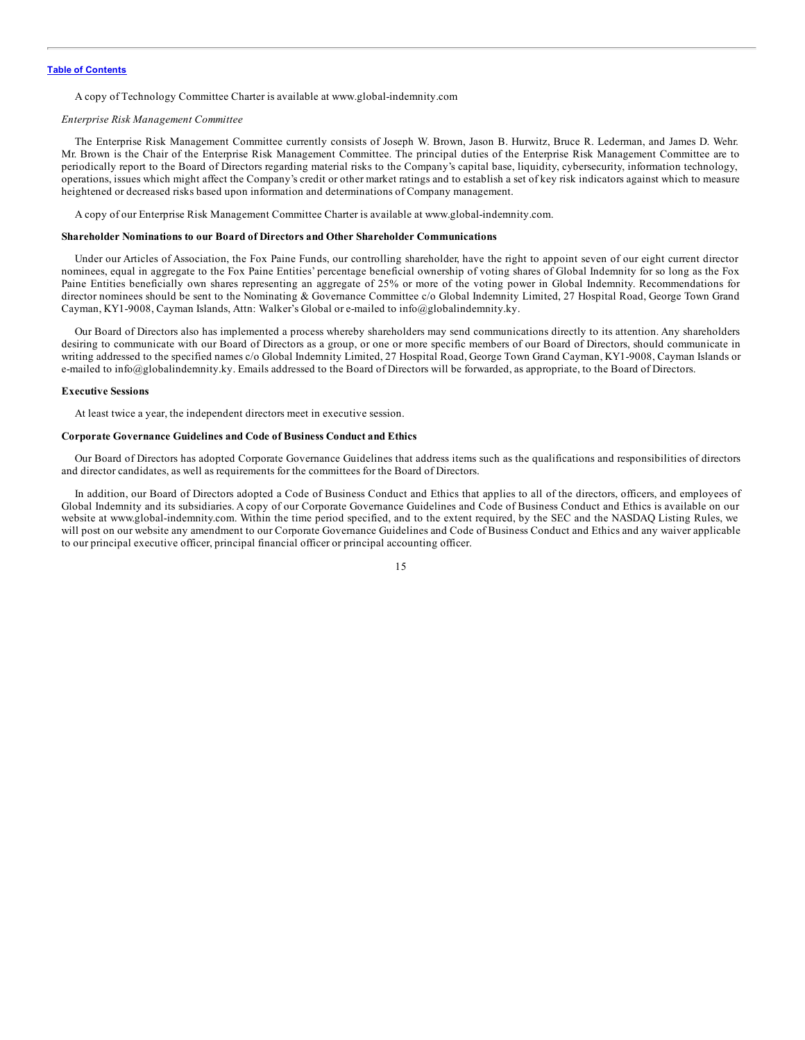<span id="page-19-0"></span>A copy of Technology Committee Charter is available at www.global-indemnity.com

#### *Enterprise Risk Management Committee*

The Enterprise Risk Management Committee currently consists of Joseph W. Brown, Jason B. Hurwitz, Bruce R. Lederman, and James D. Wehr. Mr. Brown is the Chair of the Enterprise Risk Management Committee. The principal duties of the Enterprise Risk Management Committee are to periodically report to the Board of Directors regarding material risks to the Company's capital base, liquidity, cybersecurity, information technology, operations, issues which might affect the Company's credit or other market ratings and to establish a set of key risk indicators against which to measure heightened or decreased risks based upon information and determinations of Company management.

A copy of our Enterprise Risk Management Committee Charter is available at www.global-indemnity.com.

#### **Shareholder Nominations to our Board of Directors and Other Shareholder Communications**

Under our Articles of Association, the Fox Paine Funds, our controlling shareholder, have the right to appoint seven of our eight current director nominees, equal in aggregate to the Fox Paine Entities' percentage beneficial ownership of voting shares of Global Indemnity for so long as the Fox Paine Entities beneficially own shares representing an aggregate of 25% or more of the voting power in Global Indemnity. Recommendations for director nominees should be sent to the Nominating & Governance Committee c/o Global Indemnity Limited, 27 Hospital Road, George Town Grand Cayman, KY1-9008, Cayman Islands, Attn: Walker's Global or e-mailed to info@globalindemnity.ky.

Our Board of Directors also has implemented a process whereby shareholders may send communications directly to its attention. Any shareholders desiring to communicate with our Board of Directors as a group, or one or more specific members of our Board of Directors, should communicate in writing addressed to the specified names c/o Global Indemnity Limited, 27 Hospital Road, George Town Grand Cayman, KY1-9008, Cayman Islands or e-mailed to info@globalindemnity.ky. Emails addressed to the Board of Directors will be forwarded, as appropriate, to the Board of Directors.

#### **Executive Sessions**

At least twice a year, the independent directors meet in executive session.

#### **Corporate Governance Guidelines and Code of Business Conduct and Ethics**

Our Board of Directors has adopted Corporate Governance Guidelines that address items such as the qualifications and responsibilities of directors and director candidates, as well as requirements for the committees for the Board of Directors.

In addition, our Board of Directors adopted a Code of Business Conduct and Ethics that applies to all of the directors, officers, and employees of Global Indemnity and its subsidiaries. A copy of our Corporate Governance Guidelines and Code of Business Conduct and Ethics is available on our website at www.global-indemnity.com. Within the time period specified, and to the extent required, by the SEC and the NASDAQ Listing Rules, we will post on our website any amendment to our Corporate Governance Guidelines and Code of Business Conduct and Ethics and any waiver applicable to our principal executive officer, principal financial officer or principal accounting officer.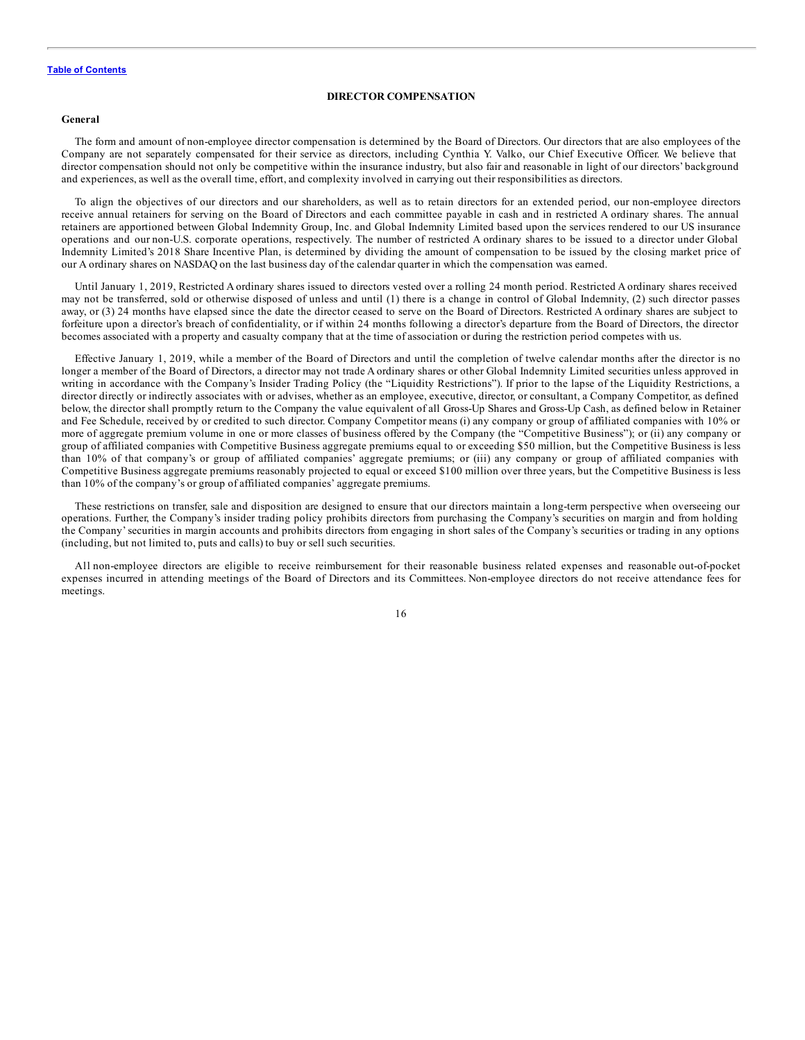#### **DIRECTOR COMPENSATION**

#### <span id="page-20-0"></span>**General**

The form and amount of non-employee director compensation is determined by the Board of Directors. Our directors that are also employees of the Company are not separately compensated for their service as directors, including Cynthia Y. Valko, our Chief Executive Officer. We believe that director compensation should not only be competitive within the insurance industry, but also fair and reasonable in light of our directors' background and experiences, as well as the overall time, effort, and complexity involved in carrying out their responsibilities as directors.

To align the objectives of our directors and our shareholders, as well as to retain directors for an extended period, our non-employee directors receive annual retainers for serving on the Board of Directors and each committee payable in cash and in restricted A ordinary shares. The annual retainers are apportioned between Global Indemnity Group, Inc. and Global Indemnity Limited based upon the services rendered to our US insurance operations and our non-U.S. corporate operations, respectively. The number of restricted A ordinary shares to be issued to a director under Global Indemnity Limited's 2018 Share Incentive Plan, is determined by dividing the amount of compensation to be issued by the closing market price of our A ordinary shares on NASDAQ on the last business day of the calendar quarter in which the compensation was earned.

Until January 1, 2019, Restricted A ordinary shares issued to directors vested over a rolling 24 month period. Restricted A ordinary shares received may not be transferred, sold or otherwise disposed of unless and until (1) there is a change in control of Global Indemnity, (2) such director passes away, or (3) 24 months have elapsed since the date the director ceased to serve on the Board of Directors. Restricted A ordinary shares are subject to forfeiture upon a director's breach of confidentiality, or if within 24 months following a director's departure from the Board of Directors, the director becomes associated with a property and casualty company that at the time of association or during the restriction period competes with us.

Effective January 1, 2019, while a member of the Board of Directors and until the completion of twelve calendar months after the director is no longer a member of the Board of Directors, a director may not trade A ordinary shares or other Global Indemnity Limited securities unless approved in writing in accordance with the Company's Insider Trading Policy (the "Liquidity Restrictions"). If prior to the lapse of the Liquidity Restrictions, a director directly or indirectly associates with or advises, whether as an employee, executive, director, or consultant, a Company Competitor, as defined below, the director shall promptly return to the Company the value equivalent of all Gross-Up Shares and Gross-Up Cash, as defined below in Retainer and Fee Schedule, received by or credited to such director. Company Competitor means (i) any company or group of affiliated companies with 10% or more of aggregate premium volume in one or more classes of business offered by the Company (the "Competitive Business"); or (ii) any company or group of affiliated companies with Competitive Business aggregate premiums equal to or exceeding \$50 million, but the Competitive Business is less than 10% of that company's or group of affiliated companies' aggregate premiums; or (iii) any company or group of affiliated companies with Competitive Business aggregate premiums reasonably projected to equal or exceed \$100 million over three years, but the Competitive Business is less than 10% of the company's or group of affiliated companies' aggregate premiums.

These restrictions on transfer, sale and disposition are designed to ensure that our directors maintain a long-term perspective when overseeing our operations. Further, the Company's insider trading policy prohibits directors from purchasing the Company's securities on margin and from holding the Company'securities in margin accounts and prohibits directors from engaging in short sales of the Company's securities or trading in any options (including, but not limited to, puts and calls) to buy or sell such securities.

All non-employee directors are eligible to receive reimbursement for their reasonable business related expenses and reasonable out-of-pocket expenses incurred in attending meetings of the Board of Directors and its Committees. Non-employee directors do not receive attendance fees for meetings.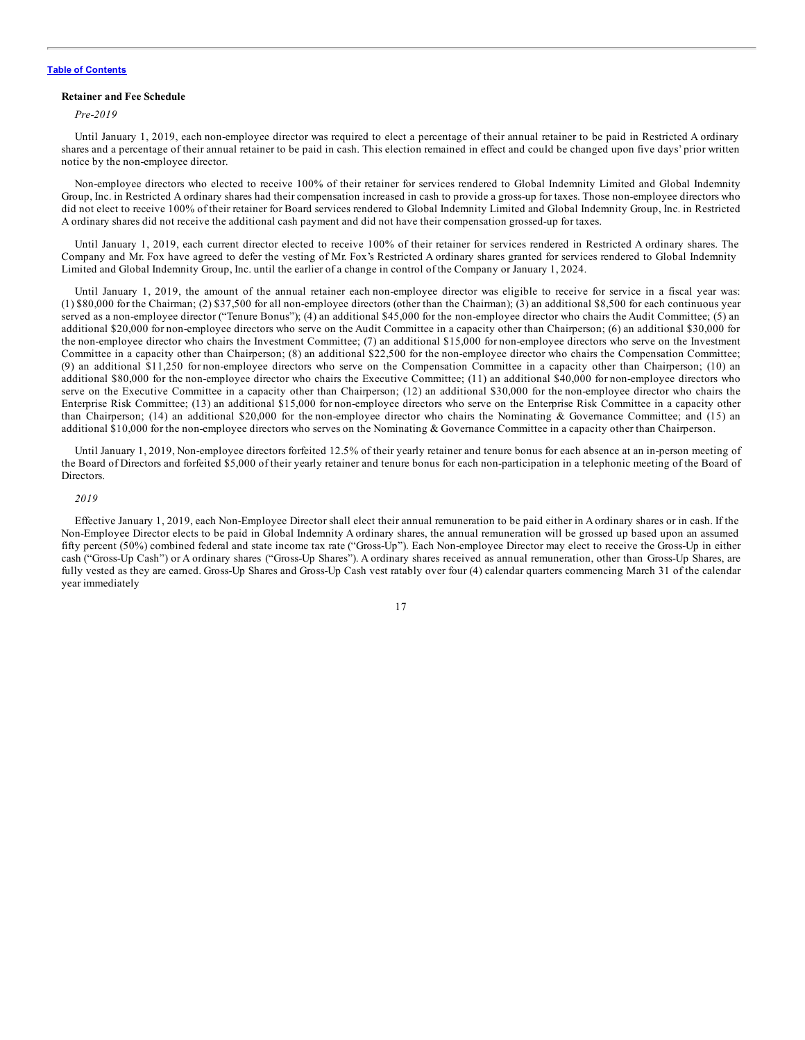#### **Retainer and Fee Schedule**

*Pre-2019*

Until January 1, 2019, each non-employee director was required to elect a percentage of their annual retainer to be paid in Restricted A ordinary shares and a percentage of their annual retainer to be paid in cash. This election remained in effect and could be changed upon five days' prior written notice by the non-employee director.

Non-employee directors who elected to receive 100% of their retainer for services rendered to Global Indemnity Limited and Global Indemnity Group, Inc. in Restricted A ordinary shares had their compensation increased in cash to provide a gross-up for taxes. Those non-employee directors who did not elect to receive 100% of their retainer for Board services rendered to Global Indemnity Limited and Global Indemnity Group, Inc. in Restricted A ordinary shares did not receive the additional cash payment and did not have their compensation grossed-up for taxes.

Until January 1, 2019, each current director elected to receive 100% of their retainer for services rendered in Restricted A ordinary shares. The Company and Mr. Fox have agreed to defer the vesting of Mr. Fox's Restricted A ordinary shares granted for services rendered to Global Indemnity Limited and Global Indemnity Group, Inc. until the earlier of a change in control of the Company or January 1, 2024.

Until January 1, 2019, the amount of the annual retainer each non-employee director was eligible to receive for service in a fiscal year was: (1) \$80,000 for the Chairman; (2) \$37,500 for all non-employee directors (other than the Chairman); (3) an additional \$8,500 for each continuous year served as a non-employee director ("Tenure Bonus"); (4) an additional \$45,000 for the non-employee director who chairs the Audit Committee; (5) an additional \$20,000 for non-employee directors who serve on the Audit Committee in a capacity other than Chairperson; (6) an additional \$30,000 for the non-employee director who chairs the Investment Committee; (7) an additional \$15,000 for non-employee directors who serve on the Investment Committee in a capacity other than Chairperson; (8) an additional \$22,500 for the non-employee director who chairs the Compensation Committee; (9) an additional \$11,250 for non-employee directors who serve on the Compensation Committee in a capacity other than Chairperson; (10) an additional \$80,000 for the non-employee director who chairs the Executive Committee; (11) an additional \$40,000 for non-employee directors who serve on the Executive Committee in a capacity other than Chairperson; (12) an additional \$30,000 for the non-employee director who chairs the Enterprise Risk Committee; (13) an additional \$15,000 for non-employee directors who serve on the Enterprise Risk Committee in a capacity other than Chairperson; (14) an additional \$20,000 for the non-employee director who chairs the Nominating & Governance Committee; and (15) an additional \$10,000 for the non-employee directors who serves on the Nominating & Governance Committee in a capacity other than Chairperson.

Until January 1, 2019, Non-employee directors forfeited 12.5% of their yearly retainer and tenure bonus for each absence at an in-person meeting of the Board of Directors and forfeited \$5,000 of their yearly retainer and tenure bonus for each non-participation in a telephonic meeting of the Board of Directors.

#### *2019*

Effective January 1, 2019, each Non-Employee Director shall elect their annual remuneration to be paid either in A ordinary shares or in cash. If the Non-Employee Director elects to be paid in Global Indemnity A ordinary shares, the annual remuneration will be grossed up based upon an assumed fifty percent (50%) combined federal and state income tax rate ("Gross-Up"). Each Non-employee Director may elect to receive the Gross-Up in either cash ("Gross-Up Cash") or A ordinary shares ("Gross-Up Shares"). A ordinary shares received as annual remuneration, other than Gross-Up Shares, are fully vested as they are earned. Gross-Up Shares and Gross-Up Cash vest ratably over four (4) calendar quarters commencing March 31 of the calendar year immediately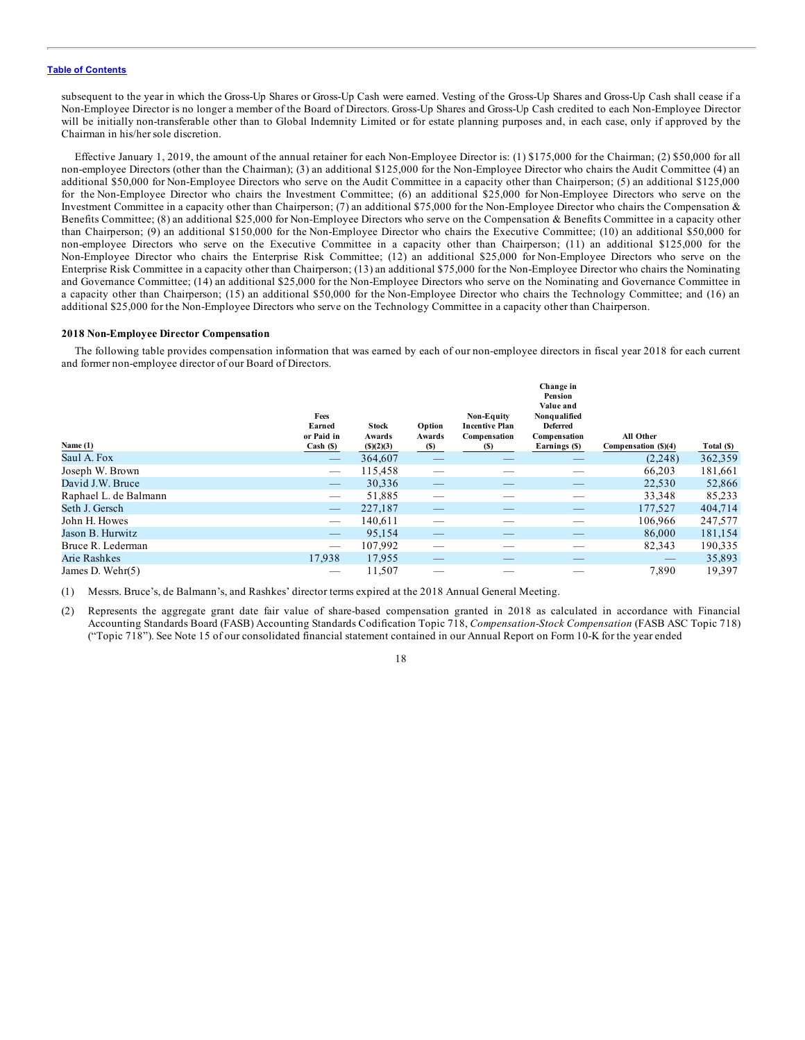subsequent to the year in which the Gross-Up Shares or Gross-Up Cash were earned. Vesting of the Gross-Up Shares and Gross-Up Cash shall cease if a Non-Employee Director is no longer a member of the Board of Directors. Gross-Up Shares and Gross-Up Cash credited to each Non-Employee Director will be initially non-transferable other than to Global Indemnity Limited or for estate planning purposes and, in each case, only if approved by the Chairman in his/her sole discretion.

Effective January 1, 2019, the amount of the annual retainer for each Non-Employee Director is: (1) \$175,000 for the Chairman; (2) \$50,000 for all non-employee Directors (other than the Chairman); (3) an additional \$125,000 for the Non-Employee Director who chairs the Audit Committee (4) an additional \$50,000 for Non-Employee Directors who serve on the Audit Committee in a capacity other than Chairperson; (5) an additional \$125,000 for the Non-Employee Director who chairs the Investment Committee; (6) an additional \$25,000 for Non-Employee Directors who serve on the Investment Committee in a capacity other than Chairperson; (7) an additional \$75,000 for the Non-Employee Director who chairs the Compensation & Benefits Committee; (8) an additional \$25,000 for Non-Employee Directors who serve on the Compensation & Benefits Committee in a capacity other than Chairperson; (9) an additional \$150,000 for the Non-Employee Director who chairs the Executive Committee; (10) an additional \$50,000 for non-employee Directors who serve on the Executive Committee in a capacity other than Chairperson; (11) an additional \$125,000 for the Non-Employee Director who chairs the Enterprise Risk Committee; (12) an additional \$25,000 for Non-Employee Directors who serve on the Enterprise Risk Committee in a capacity other than Chairperson; (13) an additional \$75,000 for the Non-Employee Director who chairs the Nominating and Governance Committee; (14) an additional \$25,000 for the Non-Employee Directors who serve on the Nominating and Governance Committee in a capacity other than Chairperson; (15) an additional \$50,000 for the Non-Employee Director who chairs the Technology Committee; and (16) an additional \$25,000 for the Non-Employee Directors who serve on the Technology Committee in a capacity other than Chairperson.

#### **2018 Non-Employee Director Compensation**

The following table provides compensation information that was earned by each of our non-employee directors in fiscal year 2018 for each current and former non-employee director of our Board of Directors.

|                       | Fees<br>Earned<br>or Paid in    | <b>Stock</b><br>Awards | Option<br>Awards  | Non-Equity<br><b>Incentive Plan</b><br>Compensation | Change in<br>Pension<br>Value and<br>Nonqualified<br><b>Deferred</b><br>Compensation | All Other            |            |
|-----------------------|---------------------------------|------------------------|-------------------|-----------------------------------------------------|--------------------------------------------------------------------------------------|----------------------|------------|
| Name $(1)$            | Cash (S)                        | (S)(2)(3)              | (S)               | (S)                                                 | Earnings (\$)                                                                        | Compensation (\$)(4) | Total (\$) |
| Saul A. Fox           | $\hspace{0.1mm}-\hspace{0.1mm}$ | 364,607                |                   |                                                     |                                                                                      | (2,248)              | 362,359    |
| Joseph W. Brown       | $\hspace{0.05cm}$               | 115,458                | —                 |                                                     |                                                                                      | 66,203               | 181,661    |
| David J.W. Bruce      | $\qquad \qquad -$               | 30,336                 | $\hspace{0.05cm}$ |                                                     |                                                                                      | 22,530               | 52,866     |
| Raphael L. de Balmann | $\hspace{0.1mm}-\hspace{0.1mm}$ | 51,885                 |                   |                                                     |                                                                                      | 33,348               | 85,233     |
| Seth J. Gersch        | $\qquad \qquad -$               | 227,187                | $-$               | __                                                  |                                                                                      | 177,527              | 404,714    |
| John H. Howes         | $\hspace{0.05cm}$               | 140,611                |                   |                                                     |                                                                                      | 106,966              | 247,577    |
| Jason B. Hurwitz      | $\qquad \qquad -$               | 95.154                 |                   |                                                     |                                                                                      | 86,000               | 181,154    |
| Bruce R. Lederman     |                                 | 107,992                |                   |                                                     |                                                                                      | 82,343               | 190,335    |
| Arie Rashkes          | 17,938                          | 17,955                 |                   |                                                     |                                                                                      |                      | 35,893     |
| James D. Wehr(5)      |                                 | 11,507                 | $\sim$            |                                                     |                                                                                      | 7.890                | 19,397     |

(1) Messrs. Bruce's, de Balmann's, and Rashkes' director terms expired at the 2018 Annual General Meeting.

(2) Represents the aggregate grant date fair value of share-based compensation granted in 2018 as calculated in accordance with Financial Accounting Standards Board (FASB) Accounting Standards Codification Topic 718, *Compensation-Stock Compensation* (FASB ASC Topic 718) ("Topic 718"). See Note 15 of our consolidated financial statement contained in our Annual Report on Form 10-K for the year ended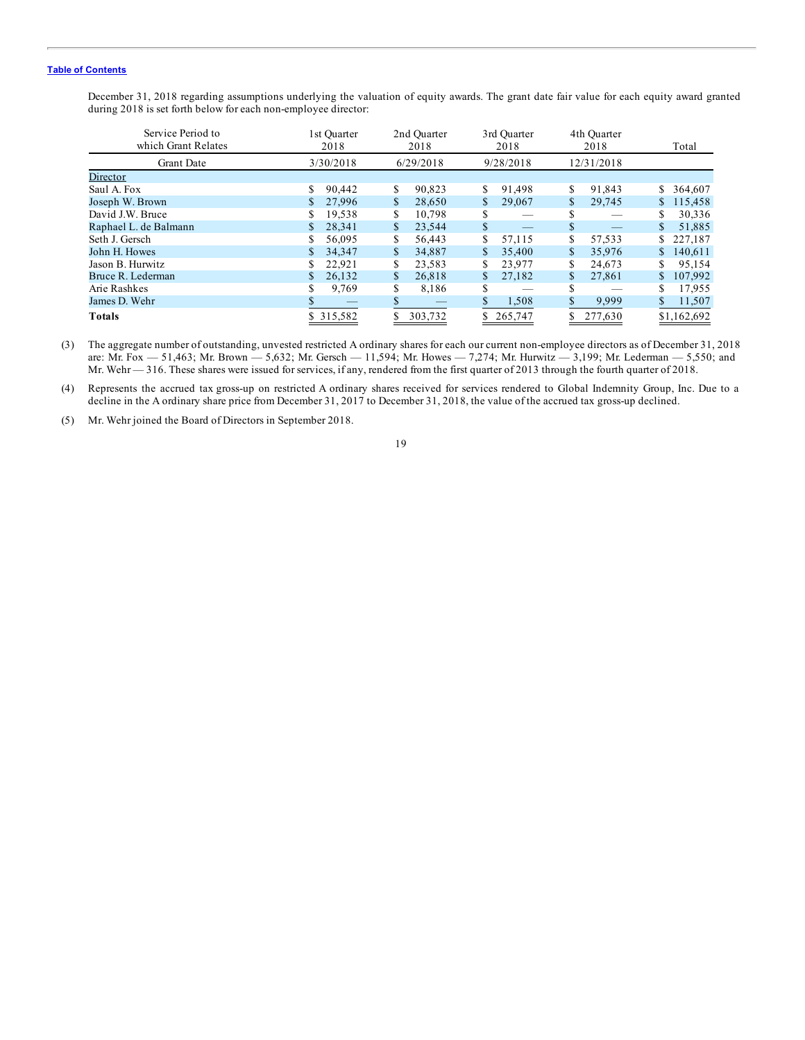December 31, 2018 regarding assumptions underlying the valuation of equity awards. The grant date fair value for each equity award granted during 2018 is set forth below for each non-employee director:

| Service Period to<br>which Grant Relates | l st Ouarter<br>2018 | 2nd Ouarter<br>2018 | 3rd Ouarter<br>2018 | 4th Ouarter<br>2018 | Total         |
|------------------------------------------|----------------------|---------------------|---------------------|---------------------|---------------|
| <b>Grant Date</b>                        | 3/30/2018            | 6/29/2018           | 9/28/2018           | 12/31/2018          |               |
| Director                                 |                      |                     |                     |                     |               |
| Saul A. Fox                              | 90.442<br>S.         | 90.823<br>\$        | 91.498<br>\$        | 91.843<br>\$        | 364,607<br>S. |
| Joseph W. Brown                          | 27,996               | 28,650              | \$<br>29,067        | \$<br>29,745        | 115,458<br>S. |
| David J.W. Bruce                         | 19,538               | 10,798<br>S.        | S                   | S                   | 30,336        |
| Raphael L. de Balmann                    | 28.341               | 23.544<br>\$        | \$                  | \$                  | 51.885        |
| Seth J. Gersch                           | 56,095               | 56.443<br>S.        | 57,115              | \$<br>57,533        | 227,187<br>S. |
| John H. Howes                            | 34.347               | 34,887              | 35,400              | \$<br>35,976        | 140.611       |
| Jason B. Hurwitz                         | 22,921               | 23,583              | 23,977              | \$<br>24,673        | 95,154        |
| Bruce R. Lederman                        | 26.132               | 26.818<br>S.        | \$<br>27.182        | 27,861<br>\$        | 107,992       |
| Arie Rashkes                             | 9,769                | \$<br>8.186         | S                   | S                   | 17,955        |
| James D. Wehr                            |                      | Ж.                  | 1,508               | 9,999               | 11,507        |
| Totals                                   | \$ 315,582           | 303,732             | 265,747             | 277,630             | \$1,162,692   |

(3) The aggregate number of outstanding, unvested restricted A ordinary shares for each our current non-employee directors as of December 31, 2018 are: Mr. Fox — 51,463; Mr. Brown — 5,632; Mr. Gersch — 11,594; Mr. Howes — 7,274; Mr. Hurwitz — 3,199; Mr. Lederman — 5,550; and Mr. Wehr — 316. These shares were issued for services, if any, rendered from the first quarter of 2013 through the fourth quarter of 2018.

(4) Represents the accrued tax gross-up on restricted A ordinary shares received for services rendered to Global Indemnity Group, Inc. Due to a decline in the A ordinary share price from December 31, 2017 to December 31, 2018, the value of the accrued tax gross-up declined.

(5) Mr. Wehr joined the Board of Directors in September 2018.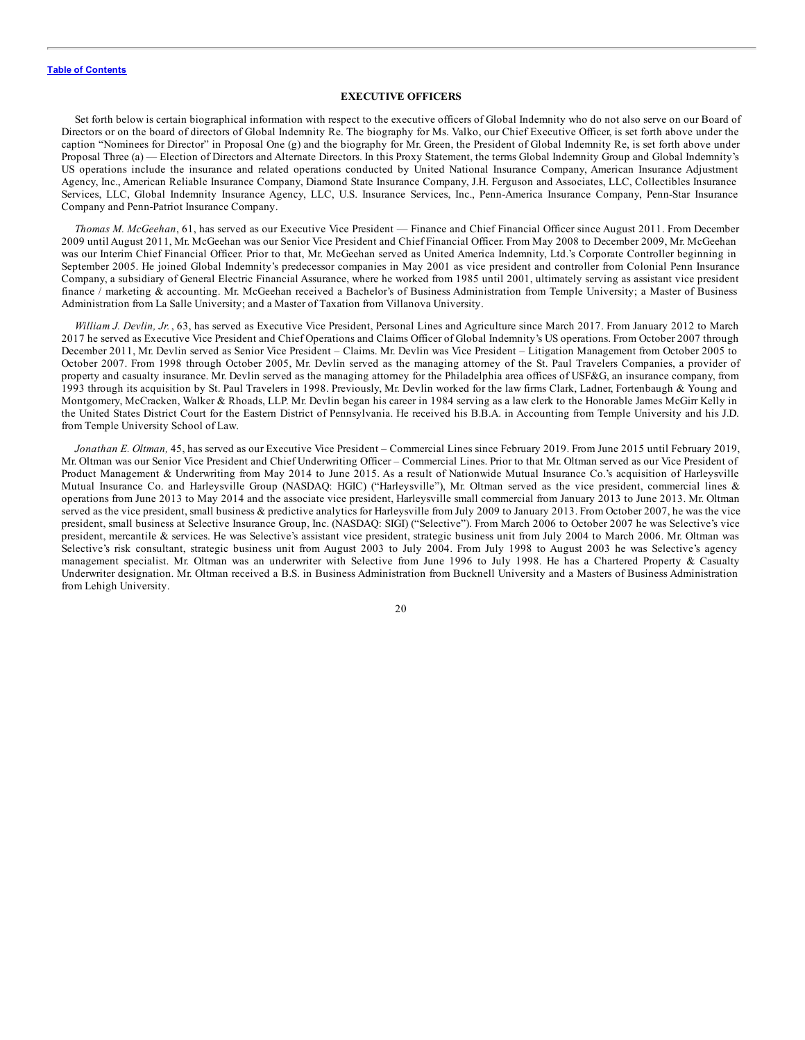#### **EXECUTIVE OFFICERS**

<span id="page-24-0"></span>Set forth below is certain biographical information with respect to the executive officers of Global Indemnity who do not also serve on our Board of Directors or on the board of directors of Global Indemnity Re. The biography for Ms. Valko, our Chief Executive Officer, is set forth above under the caption "Nominees for Director" in Proposal One (g) and the biography for Mr. Green, the President of Global Indemnity Re, is set forth above under Proposal Three (a) — Election of Directors and Alternate Directors. In this Proxy Statement, the terms Global Indemnity Group and Global Indemnity's US operations include the insurance and related operations conducted by United National Insurance Company, American Insurance Adjustment Agency, Inc., American Reliable Insurance Company, Diamond State Insurance Company, J.H. Ferguson and Associates, LLC, Collectibles Insurance Services, LLC, Global Indemnity Insurance Agency, LLC, U.S. Insurance Services, Inc., Penn-America Insurance Company, Penn-Star Insurance Company and Penn-Patriot Insurance Company.

*Thomas M. McGeehan*, 61, has served as our Executive Vice President — Finance and Chief Financial Officer since August 2011. From December 2009 until August 2011, Mr. McGeehan was our Senior Vice President and Chief Financial Officer. From May 2008 to December 2009, Mr. McGeehan was our Interim Chief Financial Officer. Prior to that, Mr. McGeehan served as United America Indemnity, Ltd.'s Corporate Controller beginning in September 2005. He joined Global Indemnity's predecessor companies in May 2001 as vice president and controller from Colonial Penn Insurance Company, a subsidiary of General Electric Financial Assurance, where he worked from 1985 until 2001, ultimately serving as assistant vice president finance / marketing & accounting. Mr. McGeehan received a Bachelor's of Business Administration from Temple University; a Master of Business Administration from La Salle University; and a Master of Taxation from Villanova University.

*William J. Devlin, Jr.* , 63, has served as Executive Vice President, Personal Lines and Agriculture since March 2017. From January 2012 to March 2017 he served as Executive Vice President and Chief Operations and Claims Officer of Global Indemnity's US operations. From October 2007 through December 2011, Mr. Devlin served as Senior Vice President – Claims. Mr. Devlin was Vice President – Litigation Management from October 2005 to October 2007. From 1998 through October 2005, Mr. Devlin served as the managing attorney of the St. Paul Travelers Companies, a provider of property and casualty insurance. Mr. Devlin served as the managing attorney for the Philadelphia area offices of USF&G, an insurance company, from 1993 through its acquisition by St. Paul Travelers in 1998. Previously, Mr. Devlin worked for the law firms Clark, Ladner, Fortenbaugh & Young and Montgomery, McCracken, Walker & Rhoads, LLP. Mr. Devlin began his career in 1984 serving as a law clerk to the Honorable James McGirr Kelly in the United States District Court for the Eastern District of Pennsylvania. He received his B.B.A. in Accounting from Temple University and his J.D. from Temple University School of Law.

*Jonathan E. Oltman,* 45, has served as our Executive Vice President – Commercial Lines since February 2019. From June 2015 until February 2019, Mr. Oltman was our Senior Vice President and Chief Underwriting Officer – Commercial Lines. Prior to that Mr. Oltman served as our Vice President of Product Management & Underwriting from May 2014 to June 2015. As a result of Nationwide Mutual Insurance Co.'s acquisition of Harleysville Mutual Insurance Co. and Harleysville Group (NASDAQ: HGIC) ("Harleysville"), Mr. Oltman served as the vice president, commercial lines & operations from June 2013 to May 2014 and the associate vice president, Harleysville small commercial from January 2013 to June 2013. Mr. Oltman served as the vice president, small business & predictive analytics for Harleysville from July 2009 to January 2013. From October 2007, he was the vice president, small business at Selective Insurance Group, Inc. (NASDAQ: SIGI) ("Selective"). From March 2006 to October 2007 he was Selective's vice president, mercantile & services. He was Selective's assistant vice president, strategic business unit from July 2004 to March 2006. Mr. Oltman was Selective's risk consultant, strategic business unit from August 2003 to July 2004. From July 1998 to August 2003 he was Selective's agency management specialist. Mr. Oltman was an underwriter with Selective from June 1996 to July 1998. He has a Chartered Property & Casualty Underwriter designation. Mr. Oltman received a B.S. in Business Administration from Bucknell University and a Masters of Business Administration from Lehigh University.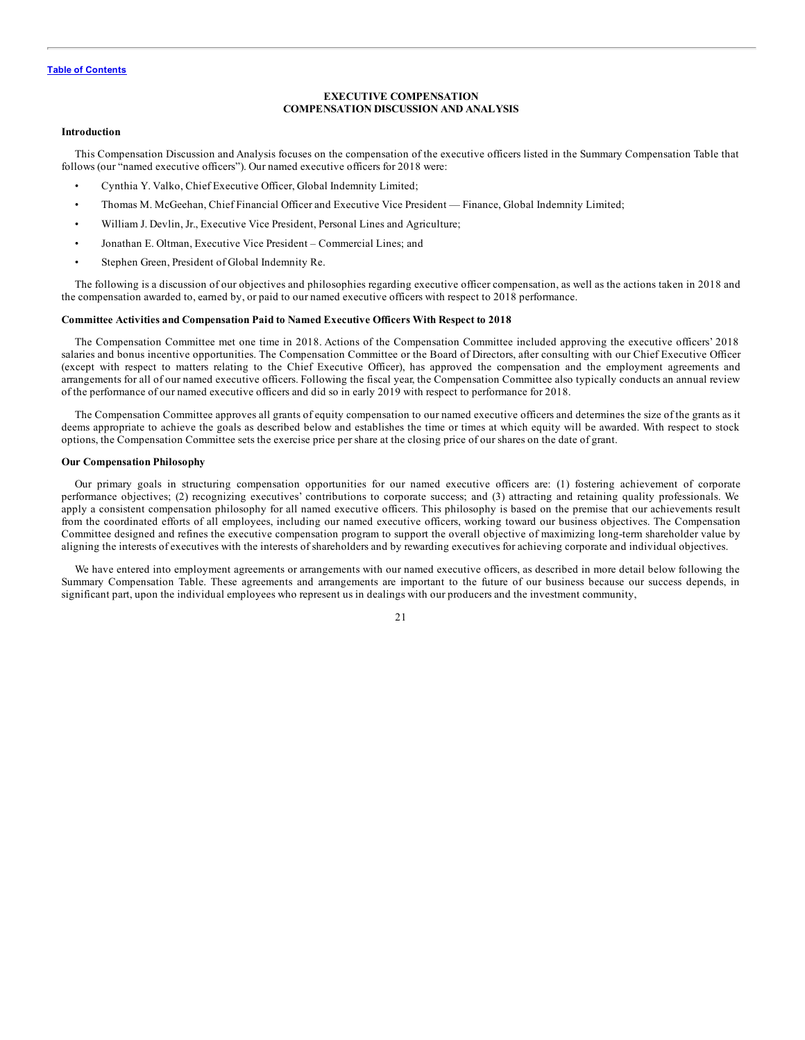#### **EXECUTIVE COMPENSATION COMPENSATION DISCUSSION AND ANALYSIS**

#### <span id="page-25-0"></span>**Introduction**

This Compensation Discussion and Analysis focuses on the compensation of the executive officers listed in the Summary Compensation Table that follows (our "named executive officers"). Our named executive officers for 2018 were:

- Cynthia Y. Valko, Chief Executive Officer, Global Indemnity Limited;
- Thomas M. McGeehan, Chief Financial Officer and Executive Vice President Finance, Global Indemnity Limited;
- William J. Devlin, Jr., Executive Vice President, Personal Lines and Agriculture;
- Jonathan E. Oltman, Executive Vice President Commercial Lines; and
- Stephen Green, President of Global Indemnity Re.

The following is a discussion of our objectives and philosophies regarding executive officer compensation, as well as the actions taken in 2018 and the compensation awarded to, earned by, or paid to our named executive officers with respect to 2018 performance.

#### **Committee Activities and Compensation Paid to Named Executive Officers With Respect to 2018**

The Compensation Committee met one time in 2018. Actions of the Compensation Committee included approving the executive officers' 2018 salaries and bonus incentive opportunities. The Compensation Committee or the Board of Directors, after consulting with our Chief Executive Officer (except with respect to matters relating to the Chief Executive Officer), has approved the compensation and the employment agreements and arrangements for all of our named executive officers. Following the fiscal year, the Compensation Committee also typically conducts an annual review of the performance of our named executive officers and did so in early 2019 with respect to performance for 2018.

The Compensation Committee approves all grants of equity compensation to our named executive officers and determines the size of the grants as it deems appropriate to achieve the goals as described below and establishes the time or times at which equity will be awarded. With respect to stock options, the Compensation Committee sets the exercise price per share at the closing price of our shares on the date of grant.

#### **Our Compensation Philosophy**

Our primary goals in structuring compensation opportunities for our named executive officers are: (1) fostering achievement of corporate performance objectives; (2) recognizing executives' contributions to corporate success; and (3) attracting and retaining quality professionals. We apply a consistent compensation philosophy for all named executive officers. This philosophy is based on the premise that our achievements result from the coordinated efforts of all employees, including our named executive officers, working toward our business objectives. The Compensation Committee designed and refines the executive compensation program to support the overall objective of maximizing long-term shareholder value by aligning the interests of executives with the interests of shareholders and by rewarding executives for achieving corporate and individual objectives.

We have entered into employment agreements or arrangements with our named executive officers, as described in more detail below following the Summary Compensation Table. These agreements and arrangements are important to the future of our business because our success depends, in significant part, upon the individual employees who represent us in dealings with our producers and the investment community,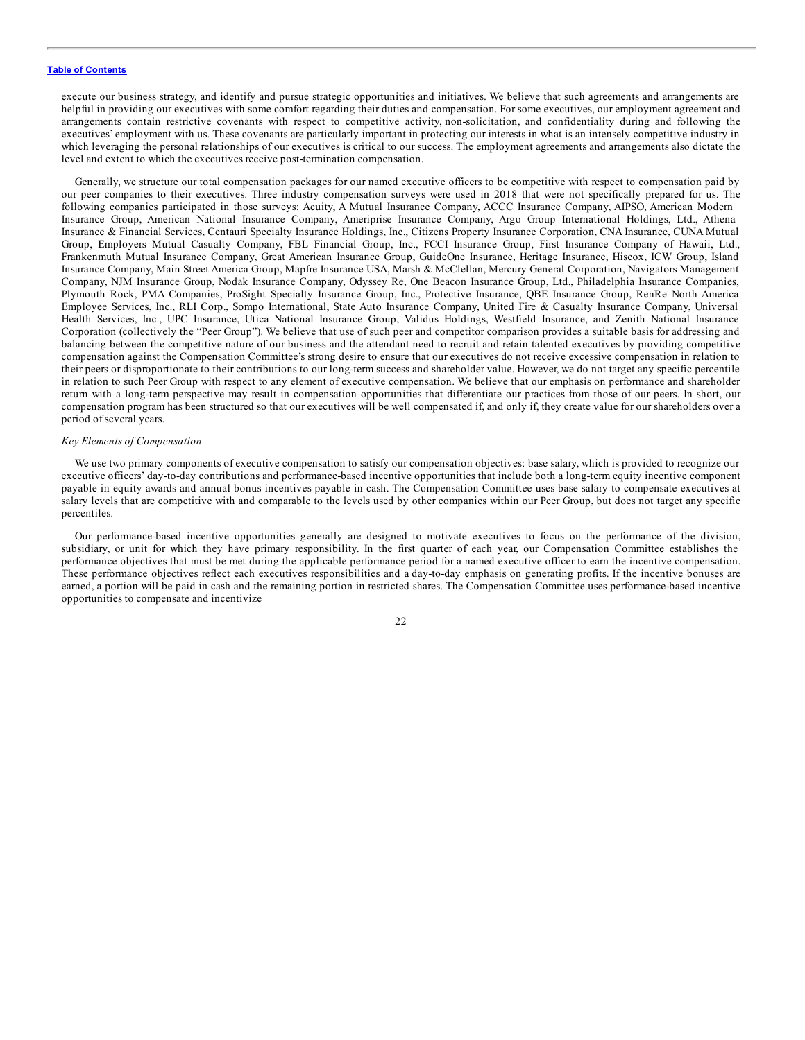execute our business strategy, and identify and pursue strategic opportunities and initiatives. We believe that such agreements and arrangements are helpful in providing our executives with some comfort regarding their duties and compensation. For some executives, our employment agreement and arrangements contain restrictive covenants with respect to competitive activity, non-solicitation, and confidentiality during and following the executives' employment with us. These covenants are particularly important in protecting our interests in what is an intensely competitive industry in which leveraging the personal relationships of our executives is critical to our success. The employment agreements and arrangements also dictate the level and extent to which the executives receive post-termination compensation.

Generally, we structure our total compensation packages for our named executive officers to be competitive with respect to compensation paid by our peer companies to their executives. Three industry compensation surveys were used in 2018 that were not specifically prepared for us. The following companies participated in those surveys: Acuity, A Mutual Insurance Company, ACCC Insurance Company, AIPSO, American Modern Insurance Group, American National Insurance Company, Ameriprise Insurance Company, Argo Group International Holdings, Ltd., Athena Insurance & Financial Services, Centauri Specialty Insurance Holdings, Inc., Citizens Property Insurance Corporation, CNA Insurance, CUNA Mutual Group, Employers Mutual Casualty Company, FBL Financial Group, Inc., FCCI Insurance Group, First Insurance Company of Hawaii, Ltd., Frankenmuth Mutual Insurance Company, Great American Insurance Group, GuideOne Insurance, Heritage Insurance, Hiscox, ICW Group, Island Insurance Company, Main Street America Group, Mapfre Insurance USA, Marsh & McClellan, Mercury General Corporation, Navigators Management Company, NJM Insurance Group, Nodak Insurance Company, Odyssey Re, One Beacon Insurance Group, Ltd., Philadelphia Insurance Companies, Plymouth Rock, PMA Companies, ProSight Specialty Insurance Group, Inc., Protective Insurance, QBE Insurance Group, RenRe North America Employee Services, Inc., RLI Corp., Sompo International, State Auto Insurance Company, United Fire & Casualty Insurance Company, Universal Health Services, Inc., UPC Insurance, Utica National Insurance Group, Validus Holdings, Westfield Insurance, and Zenith National Insurance Corporation (collectively the "Peer Group"). We believe that use of such peer and competitor comparison provides a suitable basis for addressing and balancing between the competitive nature of our business and the attendant need to recruit and retain talented executives by providing competitive compensation against the Compensation Committee's strong desire to ensure that our executives do not receive excessive compensation in relation to their peers or disproportionate to their contributions to our long-term success and shareholder value. However, we do not target any specific percentile in relation to such Peer Group with respect to any element of executive compensation. We believe that our emphasis on performance and shareholder return with a long-term perspective may result in compensation opportunities that differentiate our practices from those of our peers. In short, our compensation program has been structured so that our executives will be well compensated if, and only if, they create value for our shareholders over a period of several years.

#### *Key Elements of Compensation*

We use two primary components of executive compensation to satisfy our compensation objectives: base salary, which is provided to recognize our executive officers' day-to-day contributions and performance-based incentive opportunities that include both a long-term equity incentive component payable in equity awards and annual bonus incentives payable in cash. The Compensation Committee uses base salary to compensate executives at salary levels that are competitive with and comparable to the levels used by other companies within our Peer Group, but does not target any specific percentiles.

Our performance-based incentive opportunities generally are designed to motivate executives to focus on the performance of the division, subsidiary, or unit for which they have primary responsibility. In the first quarter of each year, our Compensation Committee establishes the performance objectives that must be met during the applicable performance period for a named executive officer to earn the incentive compensation. These performance objectives reflect each executives responsibilities and a day-to-day emphasis on generating profits. If the incentive bonuses are earned, a portion will be paid in cash and the remaining portion in restricted shares. The Compensation Committee uses performance-based incentive opportunities to compensate and incentivize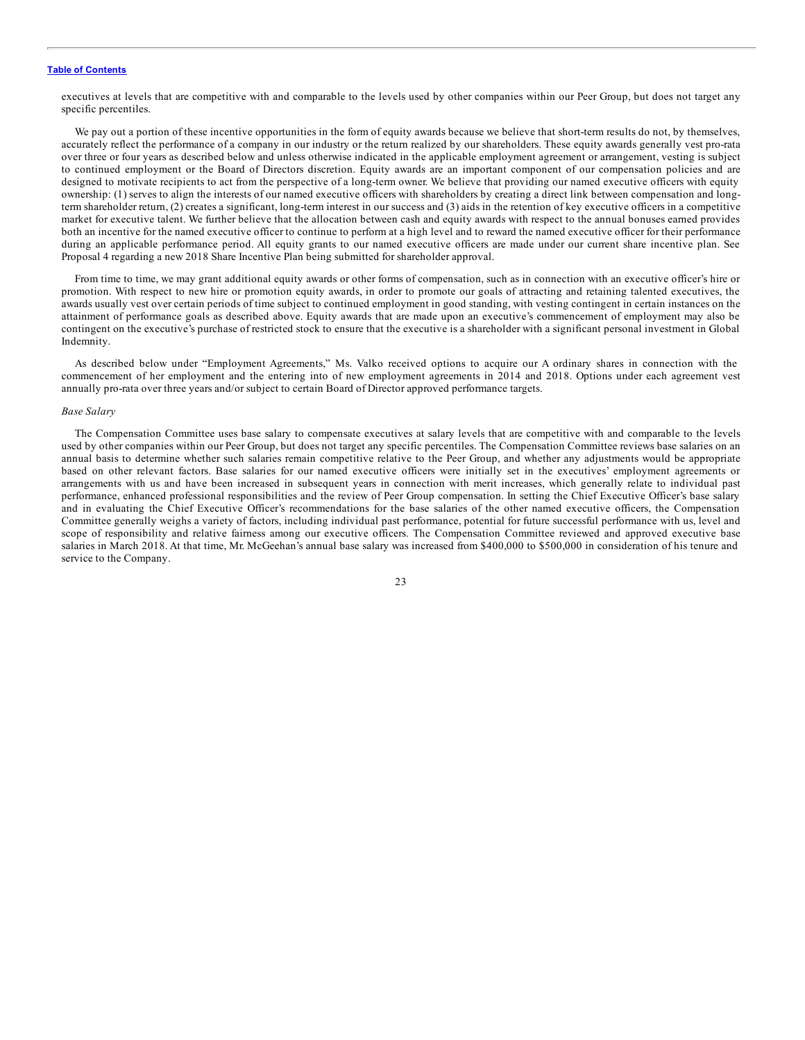executives at levels that are competitive with and comparable to the levels used by other companies within our Peer Group, but does not target any specific percentiles.

We pay out a portion of these incentive opportunities in the form of equity awards because we believe that short-term results do not, by themselves, accurately reflect the performance of a company in our industry or the return realized by our shareholders. These equity awards generally vest pro-rata over three or four years as described below and unless otherwise indicated in the applicable employment agreement or arrangement, vesting is subject to continued employment or the Board of Directors discretion. Equity awards are an important component of our compensation policies and are designed to motivate recipients to act from the perspective of a long-term owner. We believe that providing our named executive officers with equity ownership: (1) serves to align the interests of our named executive officers with shareholders by creating a direct link between compensation and longterm shareholder return, (2) creates a significant, long-term interest in our success and (3) aids in the retention of key executive officers in a competitive market for executive talent. We further believe that the allocation between cash and equity awards with respect to the annual bonuses earned provides both an incentive for the named executive officer to continue to perform at a high level and to reward the named executive officer for their performance during an applicable performance period. All equity grants to our named executive officers are made under our current share incentive plan. See Proposal 4 regarding a new 2018 Share Incentive Plan being submitted for shareholder approval.

From time to time, we may grant additional equity awards or other forms of compensation, such as in connection with an executive officer's hire or promotion. With respect to new hire or promotion equity awards, in order to promote our goals of attracting and retaining talented executives, the awards usually vest over certain periods of time subject to continued employment in good standing, with vesting contingent in certain instances on the attainment of performance goals as described above. Equity awards that are made upon an executive's commencement of employment may also be contingent on the executive's purchase of restricted stock to ensure that the executive is a shareholder with a significant personal investment in Global Indemnity.

As described below under "Employment Agreements," Ms. Valko received options to acquire our A ordinary shares in connection with the commencement of her employment and the entering into of new employment agreements in 2014 and 2018. Options under each agreement vest annually pro-rata over three years and/or subject to certain Board of Director approved performance targets.

#### *Base Salary*

The Compensation Committee uses base salary to compensate executives at salary levels that are competitive with and comparable to the levels used by other companies within our Peer Group, but does not target any specific percentiles. The Compensation Committee reviews base salaries on an annual basis to determine whether such salaries remain competitive relative to the Peer Group, and whether any adjustments would be appropriate based on other relevant factors. Base salaries for our named executive officers were initially set in the executives' employment agreements or arrangements with us and have been increased in subsequent years in connection with merit increases, which generally relate to individual past performance, enhanced professional responsibilities and the review of Peer Group compensation. In setting the Chief Executive Officer's base salary and in evaluating the Chief Executive Officer's recommendations for the base salaries of the other named executive officers, the Compensation Committee generally weighs a variety of factors, including individual past performance, potential for future successful performance with us, level and scope of responsibility and relative fairness among our executive officers. The Compensation Committee reviewed and approved executive base salaries in March 2018. At that time, Mr. McGeehan's annual base salary was increased from \$400,000 to \$500,000 in consideration of his tenure and service to the Company.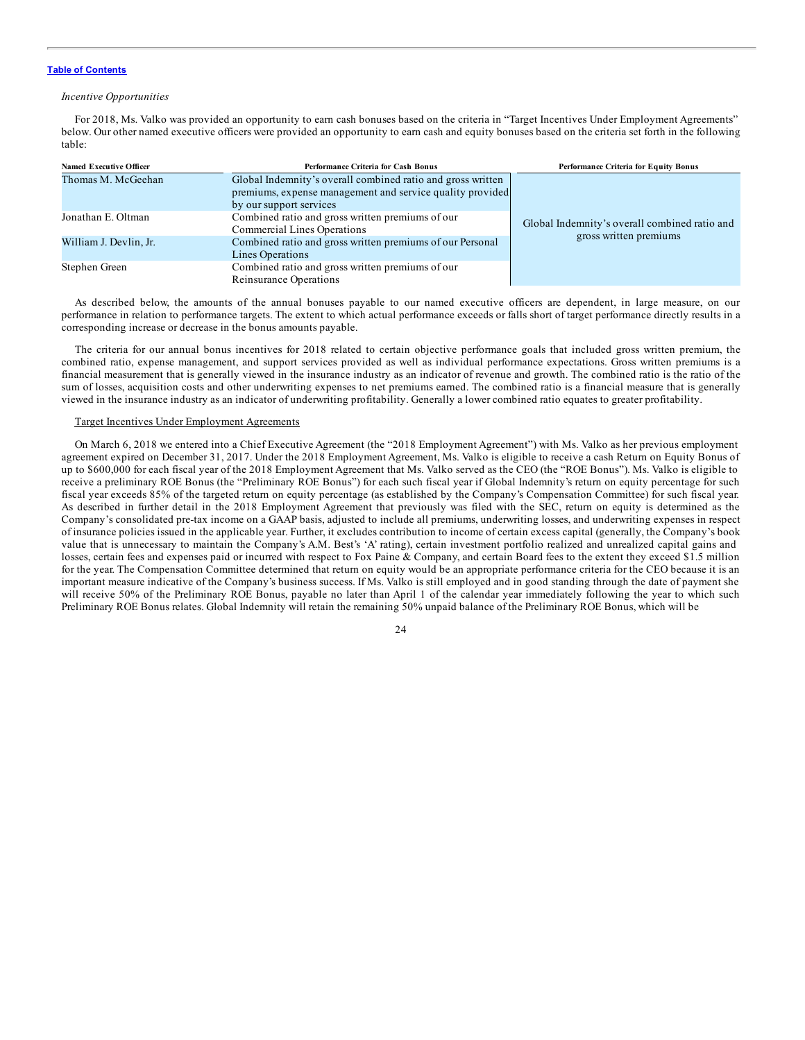#### *Incentive Opportunities*

For 2018, Ms. Valko was provided an opportunity to earn cash bonuses based on the criteria in "Target Incentives Under Employment Agreements" below. Our other named executive officers were provided an opportunity to earn cash and equity bonuses based on the criteria set forth in the following table:

| <b>Named Executive Officer</b> | Performance Criteria for Cash Bonus                         | <b>Performance Criteria for Equity Bonus</b>  |
|--------------------------------|-------------------------------------------------------------|-----------------------------------------------|
| Thomas M. McGeehan             | Global Indemnity's overall combined ratio and gross written |                                               |
|                                | premiums, expense management and service quality provided   |                                               |
|                                | by our support services                                     |                                               |
| Jonathan E. Oltman             | Combined ratio and gross written premiums of our            | Global Indemnity's overall combined ratio and |
|                                | Commercial Lines Operations                                 | gross written premiums                        |
| William J. Devlin, Jr.         | Combined ratio and gross written premiums of our Personal   |                                               |
|                                | Lines Operations                                            |                                               |
| Stephen Green                  | Combined ratio and gross written premiums of our            |                                               |
|                                | Reinsurance Operations                                      |                                               |

As described below, the amounts of the annual bonuses payable to our named executive officers are dependent, in large measure, on our performance in relation to performance targets. The extent to which actual performance exceeds or falls short of target performance directly results in a corresponding increase or decrease in the bonus amounts payable.

The criteria for our annual bonus incentives for 2018 related to certain objective performance goals that included gross written premium, the combined ratio, expense management, and support services provided as well as individual performance expectations. Gross written premiums is a financial measurement that is generally viewed in the insurance industry as an indicator of revenue and growth. The combined ratio is the ratio of the sum of losses, acquisition costs and other underwriting expenses to net premiums earned. The combined ratio is a financial measure that is generally viewed in the insurance industry as an indicator of underwriting profitability. Generally a lower combined ratio equates to greater profitability.

#### Target Incentives Under Employment Agreements

On March 6, 2018 we entered into a Chief Executive Agreement (the "2018 Employment Agreement") with Ms. Valko as her previous employment agreement expired on December 31, 2017. Under the 2018 Employment Agreement, Ms. Valko is eligible to receive a cash Return on Equity Bonus of up to \$600,000 for each fiscal year of the 2018 Employment Agreement that Ms. Valko served as the CEO (the "ROE Bonus"). Ms. Valko is eligible to receive a preliminary ROE Bonus (the "Preliminary ROE Bonus") for each such fiscal year if Global Indemnity's return on equity percentage for such fiscal year exceeds 85% of the targeted return on equity percentage (as established by the Company's Compensation Committee) for such fiscal year. As described in further detail in the 2018 Employment Agreement that previously was filed with the SEC, return on equity is determined as the Company's consolidated pre-tax income on a GAAP basis, adjusted to include all premiums, underwriting losses, and underwriting expenses in respect of insurance policies issued in the applicable year. Further, it excludes contribution to income of certain excess capital (generally, the Company's book value that is unnecessary to maintain the Company's A.M. Best's 'A' rating), certain investment portfolio realized and unrealized capital gains and losses, certain fees and expenses paid or incurred with respect to Fox Paine & Company, and certain Board fees to the extent they exceed \$1.5 million for the year. The Compensation Committee determined that return on equity would be an appropriate performance criteria for the CEO because it is an important measure indicative of the Company's business success. If Ms. Valko is still employed and in good standing through the date of payment she will receive 50% of the Preliminary ROE Bonus, payable no later than April 1 of the calendar year immediately following the year to which such Preliminary ROE Bonus relates. Global Indemnity will retain the remaining 50% unpaid balance of the Preliminary ROE Bonus, which will be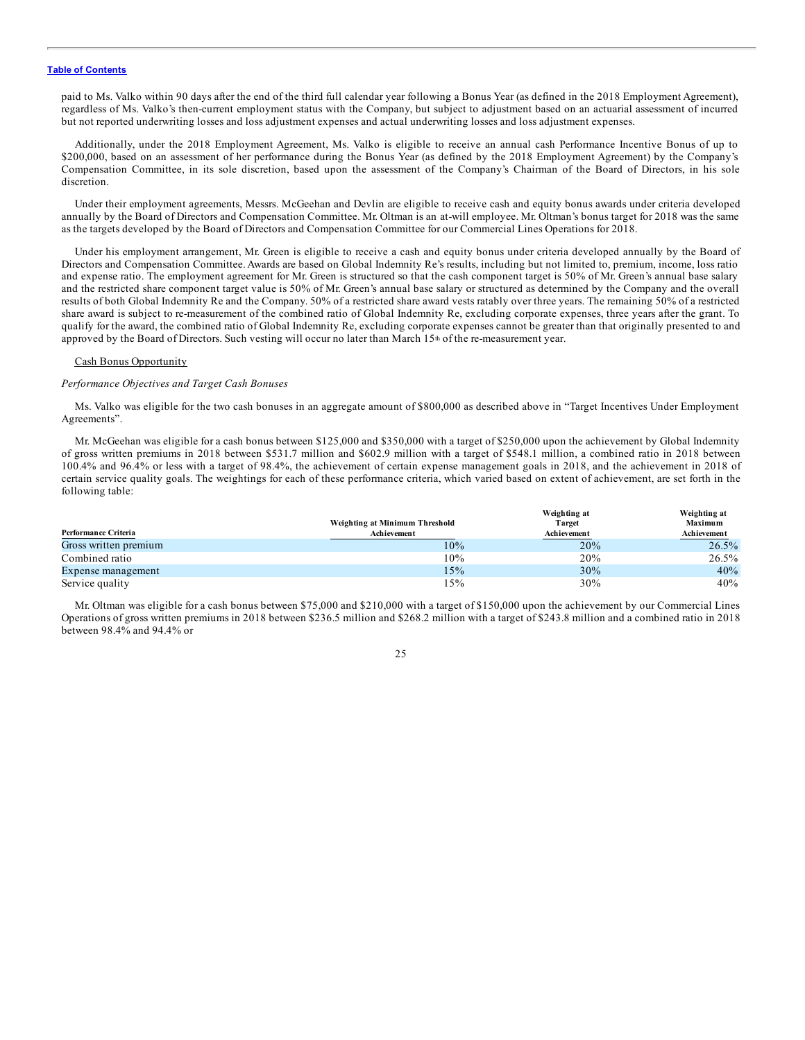paid to Ms. Valko within 90 days after the end of the third full calendar year following a Bonus Year (as defined in the 2018 Employment Agreement), regardless of Ms. Valko's then-current employment status with the Company, but subject to adjustment based on an actuarial assessment of incurred but not reported underwriting losses and loss adjustment expenses and actual underwriting losses and loss adjustment expenses.

Additionally, under the 2018 Employment Agreement, Ms. Valko is eligible to receive an annual cash Performance Incentive Bonus of up to \$200,000, based on an assessment of her performance during the Bonus Year (as defined by the 2018 Employment Agreement) by the Company's Compensation Committee, in its sole discretion, based upon the assessment of the Company's Chairman of the Board of Directors, in his sole discretion.

Under their employment agreements, Messrs. McGeehan and Devlin are eligible to receive cash and equity bonus awards under criteria developed annually by the Board of Directors and Compensation Committee. Mr. Oltman is an at-will employee. Mr. Oltman's bonus target for 2018 was the same as the targets developed by the Board of Directors and Compensation Committee for our Commercial Lines Operations for 2018.

Under his employment arrangement, Mr. Green is eligible to receive a cash and equity bonus under criteria developed annually by the Board of Directors and Compensation Committee. Awards are based on Global Indemnity Re's results, including but not limited to, premium, income, loss ratio and expense ratio. The employment agreement for Mr. Green is structured so that the cash component target is 50% of Mr. Green's annual base salary and the restricted share component target value is 50% of Mr. Green's annual base salary or structured as determined by the Company and the overall results of both Global Indemnity Re and the Company. 50% of a restricted share award vests ratably over three years. The remaining 50% of a restricted share award is subject to re-measurement of the combined ratio of Global Indemnity Re, excluding corporate expenses, three years after the grant. To qualify for the award, the combined ratio of Global Indemnity Re, excluding corporate expenses cannot be greater than that originally presented to and approved by the Board of Directors. Such vesting will occur no later than March 15<sup>th</sup> of the re-measurement year.

#### Cash Bonus Opportunity

#### *Performance Objectives and Target Cash Bonuses*

Ms. Valko was eligible for the two cash bonuses in an aggregate amount of \$800,000 as described above in "Target Incentives Under Employment Agreements".

Mr. McGeehan was eligible for a cash bonus between \$125,000 and \$350,000 with a target of \$250,000 upon the achievement by Global Indemnity of gross written premiums in 2018 between \$531.7 million and \$602.9 million with a target of \$548.1 million, a combined ratio in 2018 between 100.4% and 96.4% or less with a target of 98.4%, the achievement of certain expense management goals in 2018, and the achievement in 2018 of certain service quality goals. The weightings for each of these performance criteria, which varied based on extent of achievement, are set forth in the following table:

|                       |                                | Weighting at | Weighting at |
|-----------------------|--------------------------------|--------------|--------------|
|                       | Weighting at Minimum Threshold | Target       | Maximum      |
| Performance Criteria  | Achievement                    | Achievement  | Achievement  |
| Gross written premium | 10%                            | 20%          | 26.5%        |
| Combined ratio        | 10%                            | 20%          | 26.5%        |
| Expense management    | 15%                            | 30%          | 40%          |
| Service quality       | 15%                            | 30%          | 40%          |

Mr. Oltman was eligible for a cash bonus between \$75,000 and \$210,000 with a target of \$150,000 upon the achievement by our Commercial Lines Operations of gross written premiums in 2018 between \$236.5 million and \$268.2 million with a target of \$243.8 million and a combined ratio in 2018 between 98.4% and 94.4% or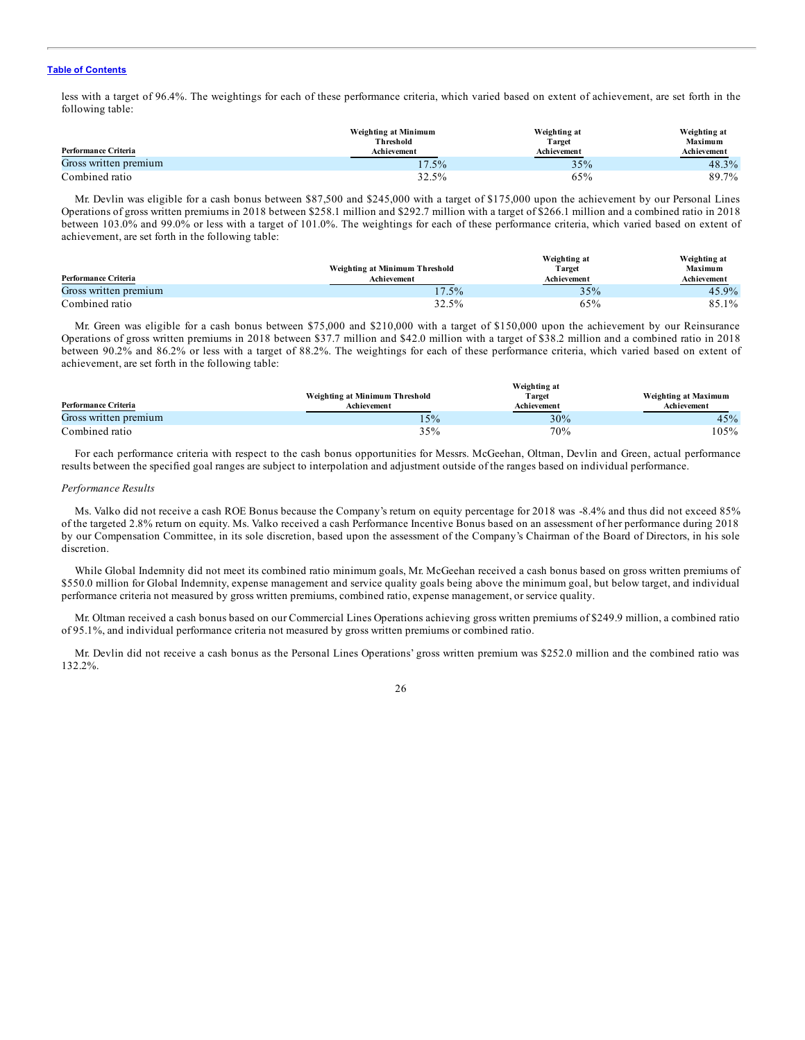less with a target of 96.4%. The weightings for each of these performance criteria, which varied based on extent of achievement, are set forth in the following table:

|                       | Weighting at Minimum | Weighting at | Weighting at |
|-----------------------|----------------------|--------------|--------------|
|                       | Threshold            | Target       | Maximum      |
| Performance Criteria  | Achievement          | Achievement  | Achievement  |
| Gross written premium | $17.5\%$             | 35%          | $48.3\%$     |
| Combined ratio        | 32.5%                | 65%          | 89.7%        |

Mr. Devlin was eligible for a cash bonus between \$87,500 and \$245,000 with a target of \$175,000 upon the achievement by our Personal Lines Operations of gross written premiums in 2018 between \$258.1 million and \$292.7 million with a target of \$266.1 million and a combined ratio in 2018 between 103.0% and 99.0% or less with a target of 101.0%. The weightings for each of these performance criteria, which varied based on extent of achievement, are set forth in the following table:

| Performance Criteria  | Weighting at Minimum Threshold<br>Achievement | Weighting at<br>Target<br>Achievement | Weighting at<br><b>Maximum</b><br>Achievement |
|-----------------------|-----------------------------------------------|---------------------------------------|-----------------------------------------------|
| Gross written premium | 17.5%                                         | 35%                                   | $45.9\%$                                      |
| Combined ratio        | 32.5%                                         | 65%                                   | 85.1%                                         |

Mr. Green was eligible for a cash bonus between \$75,000 and \$210,000 with a target of \$150,000 upon the achievement by our Reinsurance Operations of gross written premiums in 2018 between \$37.7 million and \$42.0 million with a target of \$38.2 million and a combined ratio in 2018 between 90.2% and 86.2% or less with a target of 88.2%. The weightings for each of these performance criteria, which varied based on extent of achievement, are set forth in the following table:

|                       |                                | Weighting at |                      |
|-----------------------|--------------------------------|--------------|----------------------|
|                       | Weighting at Minimum Threshold | Target       | Weighting at Maximum |
| Performance Criteria  | <b>Achievement</b>             | Achievement  | Achievement          |
| Gross written premium | 15%                            | 30%          | 45%                  |
| Combined ratio        | 35%                            | 70%          | 105%                 |

**Weighting at**

For each performance criteria with respect to the cash bonus opportunities for Messrs. McGeehan, Oltman, Devlin and Green, actual performance results between the specified goal ranges are subject to interpolation and adjustment outside of the ranges based on individual performance.

#### *Performance Results*

Ms. Valko did not receive a cash ROE Bonus because the Company's return on equity percentage for 2018 was -8.4% and thus did not exceed 85% of the targeted 2.8% return on equity. Ms. Valko received a cash Performance Incentive Bonus based on an assessment of her performance during 2018 by our Compensation Committee, in its sole discretion, based upon the assessment of the Company's Chairman of the Board of Directors, in his sole discretion.

While Global Indemnity did not meet its combined ratio minimum goals, Mr. McGeehan received a cash bonus based on gross written premiums of \$550.0 million for Global Indemnity, expense management and service quality goals being above the minimum goal, but below target, and individual performance criteria not measured by gross written premiums, combined ratio, expense management, or service quality.

Mr. Oltman received a cash bonus based on our Commercial Lines Operations achieving gross written premiums of \$249.9 million, a combined ratio of 95.1%, and individual performance criteria not measured by gross written premiums or combined ratio.

Mr. Devlin did not receive a cash bonus as the Personal Lines Operations' gross written premium was \$252.0 million and the combined ratio was 132.2%.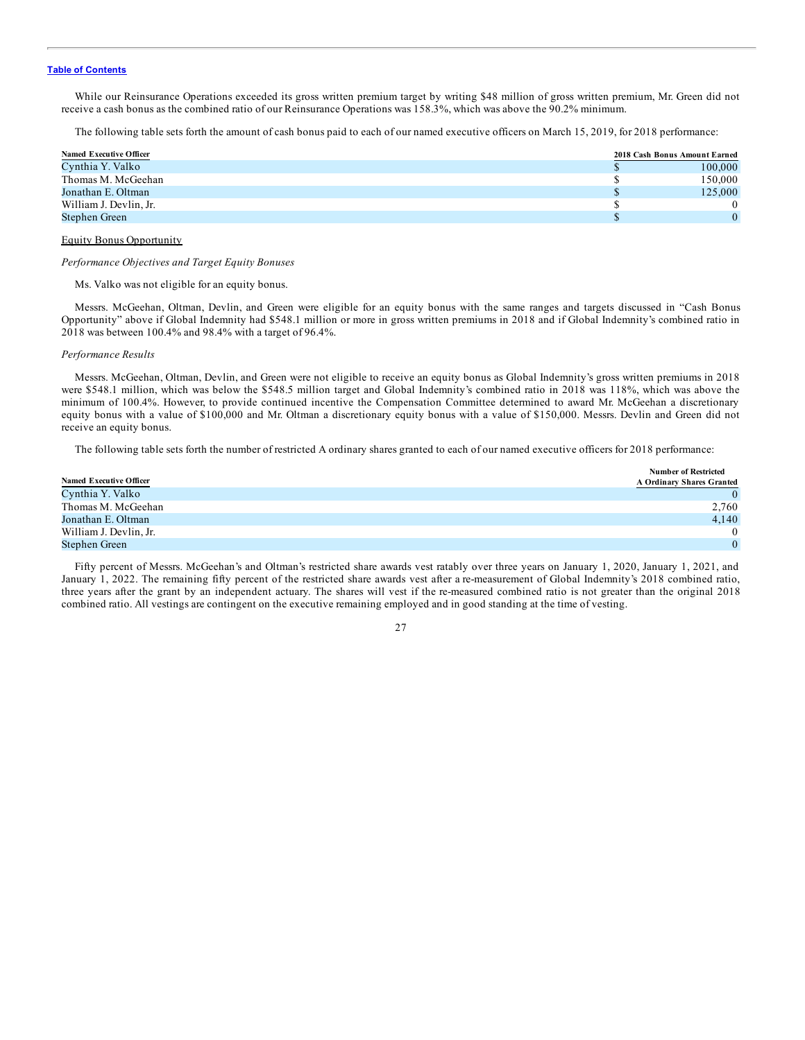While our Reinsurance Operations exceeded its gross written premium target by writing \$48 million of gross written premium, Mr. Green did not receive a cash bonus as the combined ratio of our Reinsurance Operations was 158.3%, which was above the 90.2% minimum.

The following table sets forth the amount of cash bonus paid to each of our named executive officers on March 15, 2019, for 2018 performance:

| <b>Named Executive Officer</b> | 2018 Cash Bonus Amount Earned |
|--------------------------------|-------------------------------|
| Cynthia Y. Valko               | 100,000                       |
| Thomas M. McGeehan             | 150.000                       |
| Jonathan E. Oltman             | 125,000                       |
| William J. Devlin, Jr.         |                               |
| Stephen Green                  |                               |

#### Equity Bonus Opportunity

*Performance Objectives and Target Equity Bonuses*

Ms. Valko was not eligible for an equity bonus.

Messrs. McGeehan, Oltman, Devlin, and Green were eligible for an equity bonus with the same ranges and targets discussed in "Cash Bonus Opportunity" above if Global Indemnity had \$548.1 million or more in gross written premiums in 2018 and if Global Indemnity's combined ratio in 2018 was between 100.4% and 98.4% with a target of 96.4%.

#### *Performance Results*

Messrs. McGeehan, Oltman, Devlin, and Green were not eligible to receive an equity bonus as Global Indemnity's gross written premiums in 2018 were \$548.1 million, which was below the \$548.5 million target and Global Indemnity's combined ratio in 2018 was 118%, which was above the minimum of 100.4%. However, to provide continued incentive the Compensation Committee determined to award Mr. McGeehan a discretionary equity bonus with a value of \$100,000 and Mr. Oltman a discretionary equity bonus with a value of \$150,000. Messrs. Devlin and Green did not receive an equity bonus.

The following table sets forth the number of restricted A ordinary shares granted to each of our named executive officers for 2018 performance:

|                                | <b>Number of Restricted</b> |
|--------------------------------|-----------------------------|
| <b>Named Executive Officer</b> | A Ordinary Shares Granted   |
| Cynthia Y. Valko               | $\Omega$                    |
| Thomas M. McGeehan             | 2,760                       |
| Jonathan E. Oltman             | 4.140                       |
| William J. Devlin, Jr.         | $\Omega$                    |
| Stephen Green                  | $\theta$                    |

Fifty percent of Messrs. McGeehan's and Oltman's restricted share awards vest ratably over three years on January 1, 2020, January 1, 2021, and January 1, 2022. The remaining fifty percent of the restricted share awards vest after a re-measurement of Global Indemnity's 2018 combined ratio, three years after the grant by an independent actuary. The shares will vest if the re-measured combined ratio is not greater than the original 2018 combined ratio. All vestings are contingent on the executive remaining employed and in good standing at the time of vesting.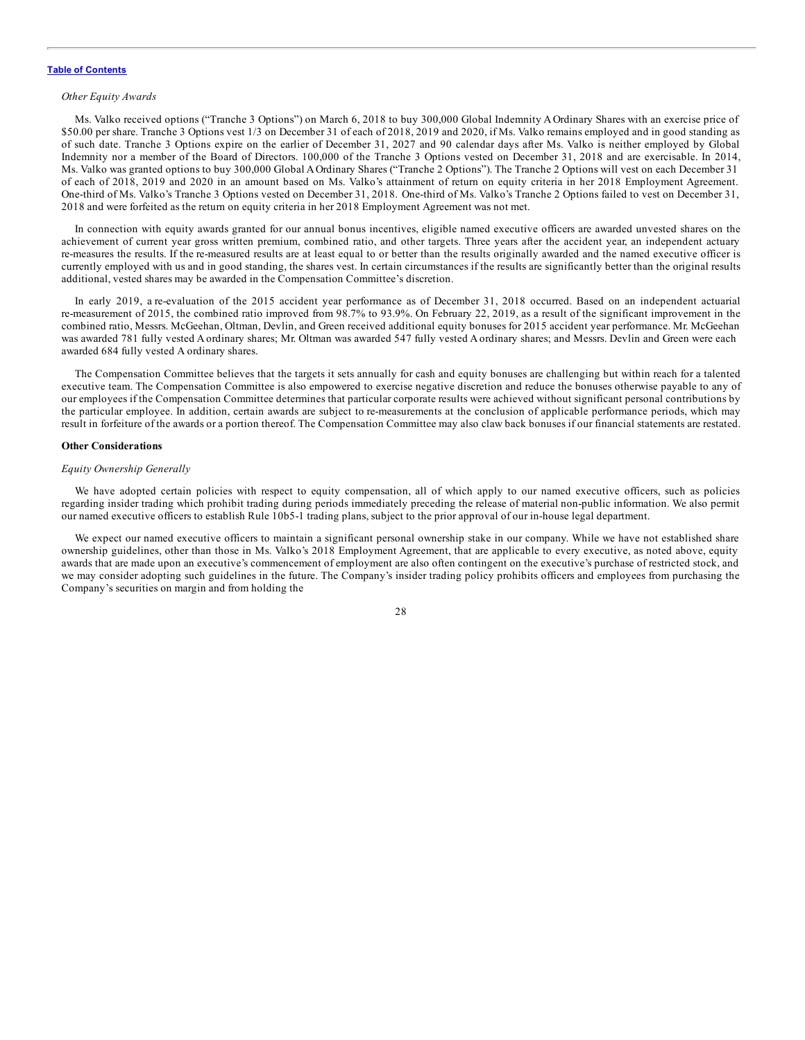#### <span id="page-32-0"></span>*Other Equity Awards*

Ms. Valko received options ("Tranche 3 Options") on March 6, 2018 to buy 300,000 Global Indemnity A Ordinary Shares with an exercise price of \$50.00 per share. Tranche 3 Options vest 1/3 on December 31 of each of 2018, 2019 and 2020, if Ms. Valko remains employed and in good standing as of such date. Tranche 3 Options expire on the earlier of December 31, 2027 and 90 calendar days after Ms. Valko is neither employed by Global Indemnity nor a member of the Board of Directors. 100,000 of the Tranche 3 Options vested on December 31, 2018 and are exercisable. In 2014, Ms. Valko was granted options to buy 300,000 Global AOrdinary Shares ("Tranche 2 Options"). The Tranche 2 Options will vest on each December 31 of each of 2018, 2019 and 2020 in an amount based on Ms. Valko's attainment of return on equity criteria in her 2018 Employment Agreement. One-third of Ms. Valko's Tranche 3 Options vested on December 31, 2018. One-third of Ms. Valko's Tranche 2 Options failed to vest on December 31, 2018 and were forfeited as the return on equity criteria in her 2018 Employment Agreement was not met.

In connection with equity awards granted for our annual bonus incentives, eligible named executive officers are awarded unvested shares on the achievement of current year gross written premium, combined ratio, and other targets. Three years after the accident year, an independent actuary re-measures the results. If the re-measured results are at least equal to or better than the results originally awarded and the named executive officer is currently employed with us and in good standing, the shares vest. In certain circumstances if the results are significantly better than the original results additional, vested shares may be awarded in the Compensation Committee's discretion.

In early 2019, a re-evaluation of the 2015 accident year performance as of December 31, 2018 occurred. Based on an independent actuarial re-measurement of 2015, the combined ratio improved from 98.7% to 93.9%. On February 22, 2019, as a result of the significant improvement in the combined ratio, Messrs. McGeehan, Oltman, Devlin, and Green received additional equity bonuses for 2015 accident year performance. Mr. McGeehan was awarded 781 fully vested A ordinary shares; Mr. Oltman was awarded 547 fully vested A ordinary shares; and Messrs. Devlin and Green were each awarded 684 fully vested A ordinary shares.

The Compensation Committee believes that the targets it sets annually for cash and equity bonuses are challenging but within reach for a talented executive team. The Compensation Committee is also empowered to exercise negative discretion and reduce the bonuses otherwise payable to any of our employees if the Compensation Committee determines that particular corporate results were achieved without significant personal contributions by the particular employee. In addition, certain awards are subject to re-measurements at the conclusion of applicable performance periods, which may result in forfeiture of the awards or a portion thereof. The Compensation Committee may also claw back bonuses if our financial statements are restated.

#### **Other Considerations**

#### *Equity Ownership Generally*

We have adopted certain policies with respect to equity compensation, all of which apply to our named executive officers, such as policies regarding insider trading which prohibit trading during periods immediately preceding the release of material non-public information. We also permit our named executive officers to establish Rule 10b5-1 trading plans, subject to the prior approval of our in-house legal department.

We expect our named executive officers to maintain a significant personal ownership stake in our company. While we have not established share ownership guidelines, other than those in Ms. Valko's 2018 Employment Agreement, that are applicable to every executive, as noted above, equity awards that are made upon an executive's commencement of employment are also often contingent on the executive's purchase of restricted stock, and we may consider adopting such guidelines in the future. The Company's insider trading policy prohibits officers and employees from purchasing the Company's securities on margin and from holding the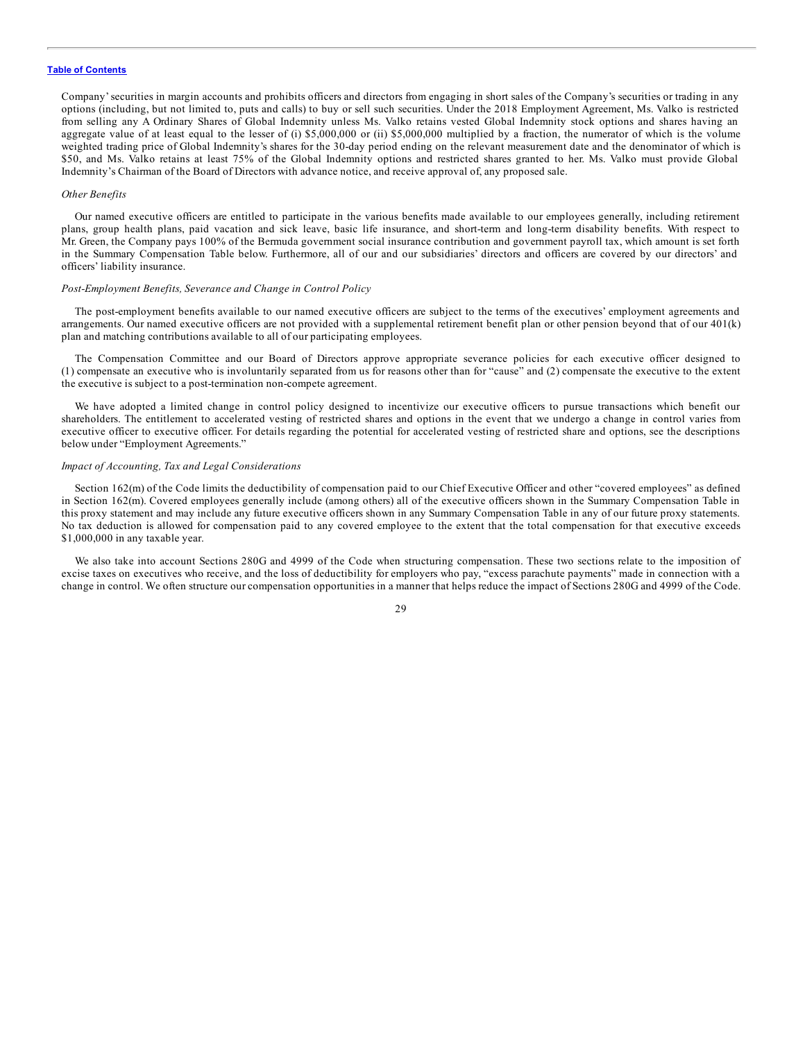Company'securities in margin accounts and prohibits officers and directors from engaging in short sales of the Company's securities or trading in any options (including, but not limited to, puts and calls) to buy or sell such securities. Under the 2018 Employment Agreement, Ms. Valko is restricted from selling any A Ordinary Shares of Global Indemnity unless Ms. Valko retains vested Global Indemnity stock options and shares having an aggregate value of at least equal to the lesser of (i) \$5,000,000 or (ii) \$5,000,000 multiplied by a fraction, the numerator of which is the volume weighted trading price of Global Indemnity's shares for the 30-day period ending on the relevant measurement date and the denominator of which is \$50, and Ms. Valko retains at least 75% of the Global Indemnity options and restricted shares granted to her. Ms. Valko must provide Global Indemnity's Chairman of the Board of Directors with advance notice, and receive approval of, any proposed sale.

#### *Other Benefits*

Our named executive officers are entitled to participate in the various benefits made available to our employees generally, including retirement plans, group health plans, paid vacation and sick leave, basic life insurance, and short-term and long-term disability benefits. With respect to Mr. Green, the Company pays 100% of the Bermuda government social insurance contribution and government payroll tax, which amount is set forth in the Summary Compensation Table below. Furthermore, all of our and our subsidiaries' directors and officers are covered by our directors' and officers' liability insurance.

#### *Post-Employment Benefits, Severance and Change in Control Policy*

The post-employment benefits available to our named executive officers are subject to the terms of the executives' employment agreements and arrangements. Our named executive officers are not provided with a supplemental retirement benefit plan or other pension beyond that of our 401(k) plan and matching contributions available to all of our participating employees.

The Compensation Committee and our Board of Directors approve appropriate severance policies for each executive officer designed to (1) compensate an executive who is involuntarily separated from us for reasons other than for "cause" and (2) compensate the executive to the extent the executive is subject to a post-termination non-compete agreement.

We have adopted a limited change in control policy designed to incentivize our executive officers to pursue transactions which benefit our shareholders. The entitlement to accelerated vesting of restricted shares and options in the event that we undergo a change in control varies from executive officer to executive officer. For details regarding the potential for accelerated vesting of restricted share and options, see the descriptions below under "Employment Agreements."

#### *Impact of Accounting, Tax and Legal Considerations*

Section 162(m) of the Code limits the deductibility of compensation paid to our Chief Executive Officer and other "covered employees" as defined in Section 162(m). Covered employees generally include (among others) all of the executive officers shown in the Summary Compensation Table in this proxy statement and may include any future executive officers shown in any Summary Compensation Table in any of our future proxy statements. No tax deduction is allowed for compensation paid to any covered employee to the extent that the total compensation for that executive exceeds \$1,000,000 in any taxable year.

We also take into account Sections 280G and 4999 of the Code when structuring compensation. These two sections relate to the imposition of excise taxes on executives who receive, and the loss of deductibility for employers who pay, "excess parachute payments" made in connection with a change in control. We often structure our compensation opportunities in a manner that helps reduce the impact of Sections 280G and 4999 of the Code.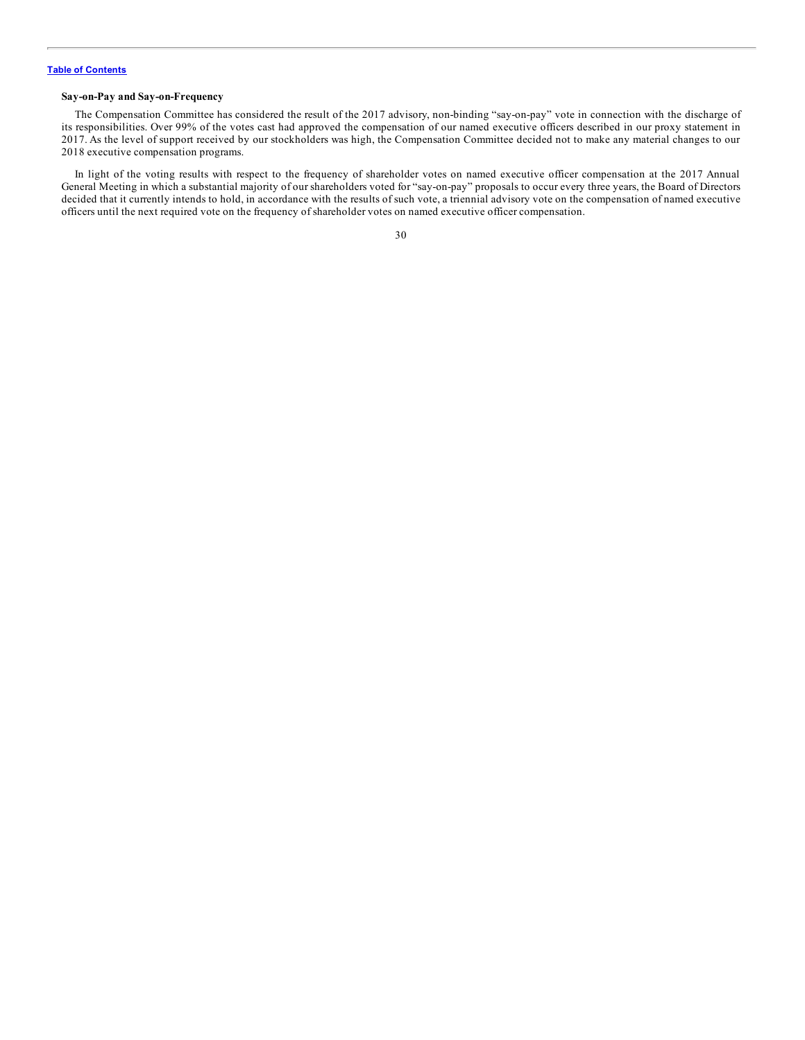#### <span id="page-34-0"></span>**Say-on-Pay and Say-on-Frequency**

The Compensation Committee has considered the result of the 2017 advisory, non-binding "say-on-pay" vote in connection with the discharge of its responsibilities. Over 99% of the votes cast had approved the compensation of our named executive officers described in our proxy statement in 2017. As the level of support received by our stockholders was high, the Compensation Committee decided not to make any material changes to our 2018 executive compensation programs.

In light of the voting results with respect to the frequency of shareholder votes on named executive officer compensation at the 2017 Annual General Meeting in which a substantial majority of our shareholders voted for "say-on-pay" proposals to occur every three years, the Board of Directors decided that it currently intends to hold, in accordance with the results of such vote, a triennial advisory vote on the compensation of named executive officers until the next required vote on the frequency of shareholder votes on named executive officer compensation.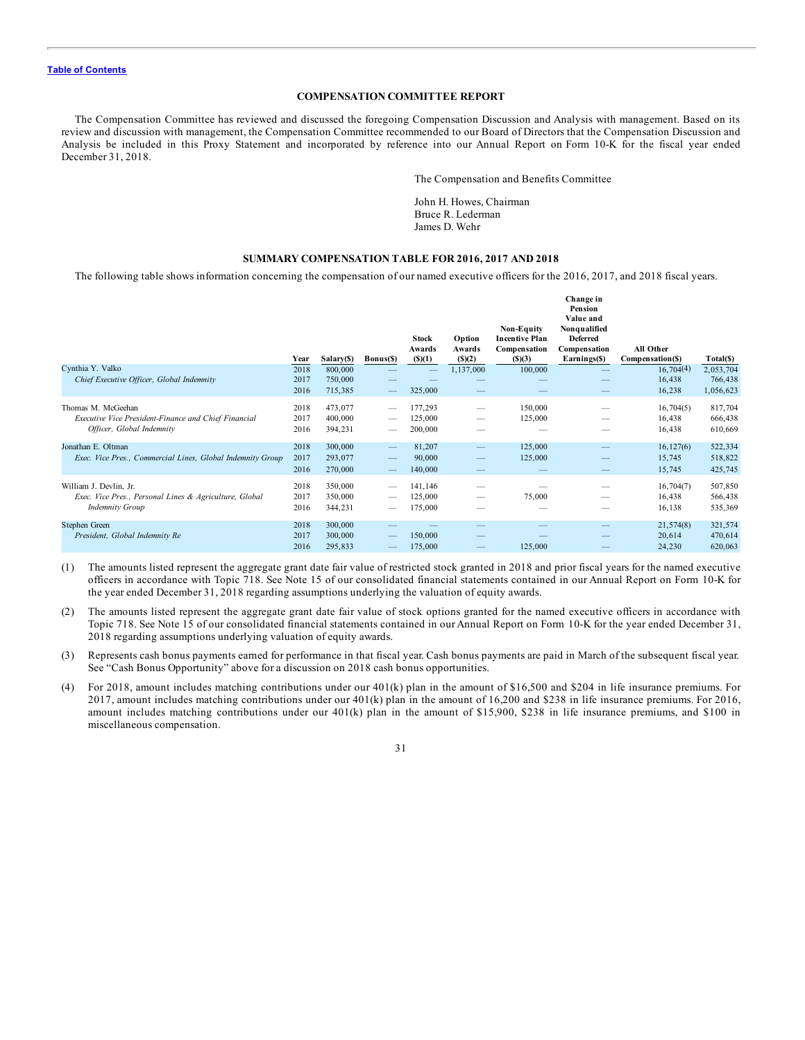#### **COMPENSATION COMMITTEE REPORT**

<span id="page-35-0"></span>The Compensation Committee has reviewed and discussed the foregoing Compensation Discussion and Analysis with management. Based on its review and discussion with management, the Compensation Committee recommended to our Board of Directors that the Compensation Discussion and Analysis be included in this Proxy Statement and incorporated by reference into our Annual Report on Form 10-K for the fiscal year ended December 31, 2018.

The Compensation and Benefits Committee

John H. Howes, Chairman Bruce R. Lederman James D. Wehr

# **SUMMARY COMPENSATION TABLE FOR 2016, 2017 AND 2018**

The following table shows information concerning the compensation of our named executive officers for the 2016, 2017, and 2018 fiscal years.

|                                                                                                            | Year                 | Salary(\$)                    | Bonus(\$)         | <b>Stock</b><br>Awards<br>$($ \$ $)(1)$ | Option<br>Awards<br>(5)(2) | Non-Equity<br><b>Incentive Plan</b><br>Compensation<br>(S)(3) | Change in<br>Pension<br>Value and<br>Nonqualified<br><b>Deferred</b><br>Compensation<br>Earnings(\$) | All Other<br>Compensation(\$) | Total(\$)                         |
|------------------------------------------------------------------------------------------------------------|----------------------|-------------------------------|-------------------|-----------------------------------------|----------------------------|---------------------------------------------------------------|------------------------------------------------------------------------------------------------------|-------------------------------|-----------------------------------|
| Cynthia Y. Valko<br>Chief Executive Officer, Global Indemnity                                              | 2018<br>2017<br>2016 | 800,000<br>750,000<br>715,385 |                   | 325,000                                 | 1,137,000                  | 100,000                                                       |                                                                                                      | 16,704(4)<br>16,438<br>16,238 | 2,053,704<br>766,438<br>1,056,623 |
| Thomas M. McGeehan<br>Executive Vice President-Finance and Chief Financial<br>Officer, Global Indemnity    | 2018<br>2017<br>2016 | 473,077<br>400,000<br>394,231 |                   | 177,293<br>125,000<br>200,000           | -                          | 150,000<br>125,000                                            |                                                                                                      | 16,704(5)<br>16,438<br>16,438 | 817,704<br>666,438<br>610,669     |
| Jonathan E. Oltman<br>Exec. Vice Pres., Commercial Lines, Global Indemnity Group                           | 2018<br>2017<br>2016 | 300,000<br>293,077<br>270,000 | $\qquad \qquad -$ | 81,207<br>90,000<br>140,000             |                            | 125,000<br>125,000                                            |                                                                                                      | 16,127(6)<br>15,745<br>15,745 | 522,334<br>518,822<br>425,745     |
| William J. Devlin, Jr.<br>Exec. Vice Pres., Personal Lines & Agriculture, Global<br><b>Indemnity Group</b> | 2018<br>2017<br>2016 | 350,000<br>350,000<br>344,231 |                   | 141,146<br>125,000<br>175,000           |                            | 75,000                                                        |                                                                                                      | 16,704(7)<br>16,438<br>16,138 | 507,850<br>566,438<br>535,369     |
| Stephen Green<br>President, Global Indemnity Re                                                            | 2018<br>2017<br>2016 | 300,000<br>300,000<br>295,833 |                   | 150,000<br>175,000                      | _                          | 125,000                                                       |                                                                                                      | 21,574(8)<br>20,614<br>24,230 | 321,574<br>470,614<br>620,063     |

(1) The amounts listed represent the aggregate grant date fair value of restricted stock granted in 2018 and prior fiscal years for the named executive officers in accordance with Topic 718. See Note 15 of our consolidated financial statements contained in our Annual Report on Form 10-K for the year ended December 31, 2018 regarding assumptions underlying the valuation of equity awards.

- (2) The amounts listed represent the aggregate grant date fair value of stock options granted for the named executive officers in accordance with Topic 718. See Note 15 of our consolidated financial statements contained in our Annual Report on Form 10-K for the year ended December 31, 2018 regarding assumptions underlying valuation of equity awards.
- (3) Represents cash bonus payments earned for performance in that fiscal year. Cash bonus payments are paid in March of the subsequent fiscal year. See "Cash Bonus Opportunity" above for a discussion on 2018 cash bonus opportunities.
- (4) For 2018, amount includes matching contributions under our 401(k) plan in the amount of \$16,500 and \$204 in life insurance premiums. For 2017, amount includes matching contributions under our 401(k) plan in the amount of 16,200 and \$238 in life insurance premiums. For 2016, amount includes matching contributions under our 401(k) plan in the amount of \$15,900, \$238 in life insurance premiums, and \$100 in miscellaneous compensation.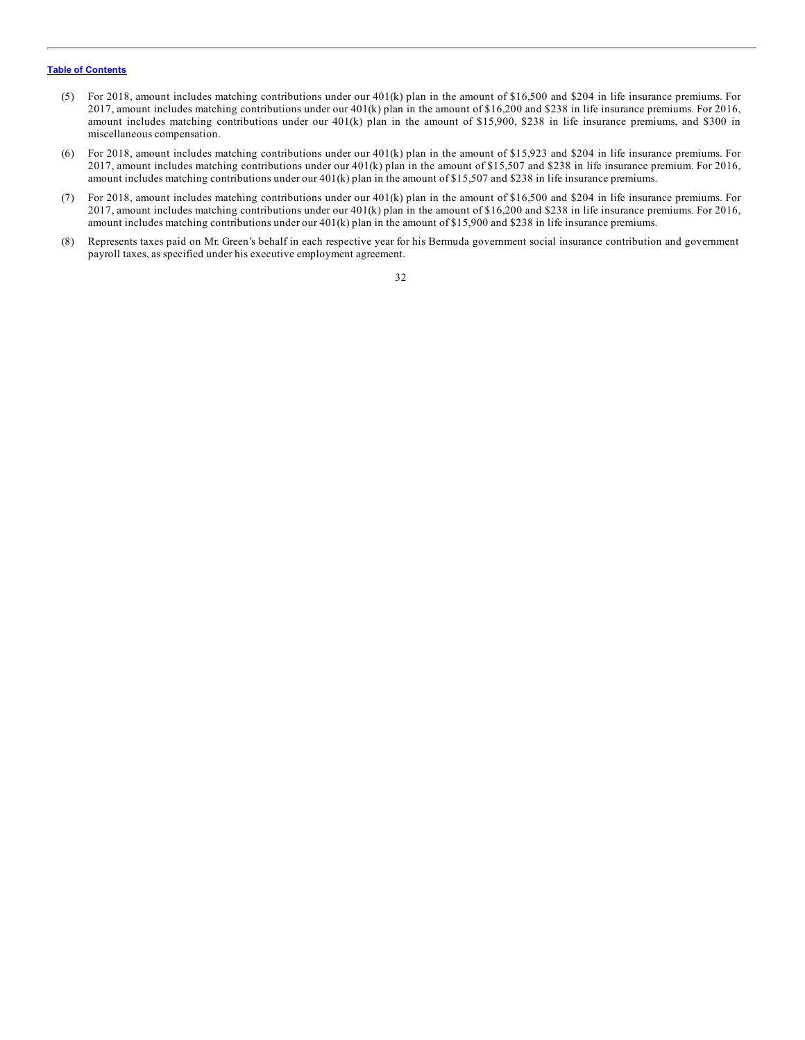- (5) For 2018, amount includes matching contributions under our 401(k) plan in the amount of \$16,500 and \$204 in life insurance premiums. For 2017, amount includes matching contributions under our 401(k) plan in the amount of \$16,200 and \$238 in life insurance premiums. For 2016, amount includes matching contributions under our 401(k) plan in the amount of \$15,900, \$238 in life insurance premiums, and \$300 in miscellaneous compensation.
- (6) For 2018, amount includes matching contributions under our 401(k) plan in the amount of \$15,923 and \$204 in life insurance premiums. For 2017, amount includes matching contributions under our 401(k) plan in the amount of \$15,507 and \$238 in life insurance premium. For 2016, amount includes matching contributions under our 401(k) plan in the amount of \$15,507 and \$238 in life insurance premiums.
- (7) For 2018, amount includes matching contributions under our 401(k) plan in the amount of \$16,500 and \$204 in life insurance premiums. For 2017, amount includes matching contributions under our 401(k) plan in the amount of \$16,200 and \$238 in life insurance premiums. For 2016, amount includes matching contributions under our 401(k) plan in the amount of \$15,900 and \$238 in life insurance premiums.
- (8) Represents taxes paid on Mr. Green's behalf in each respective year for his Bermuda government social insurance contribution and government payroll taxes, as specified under his executive employment agreement.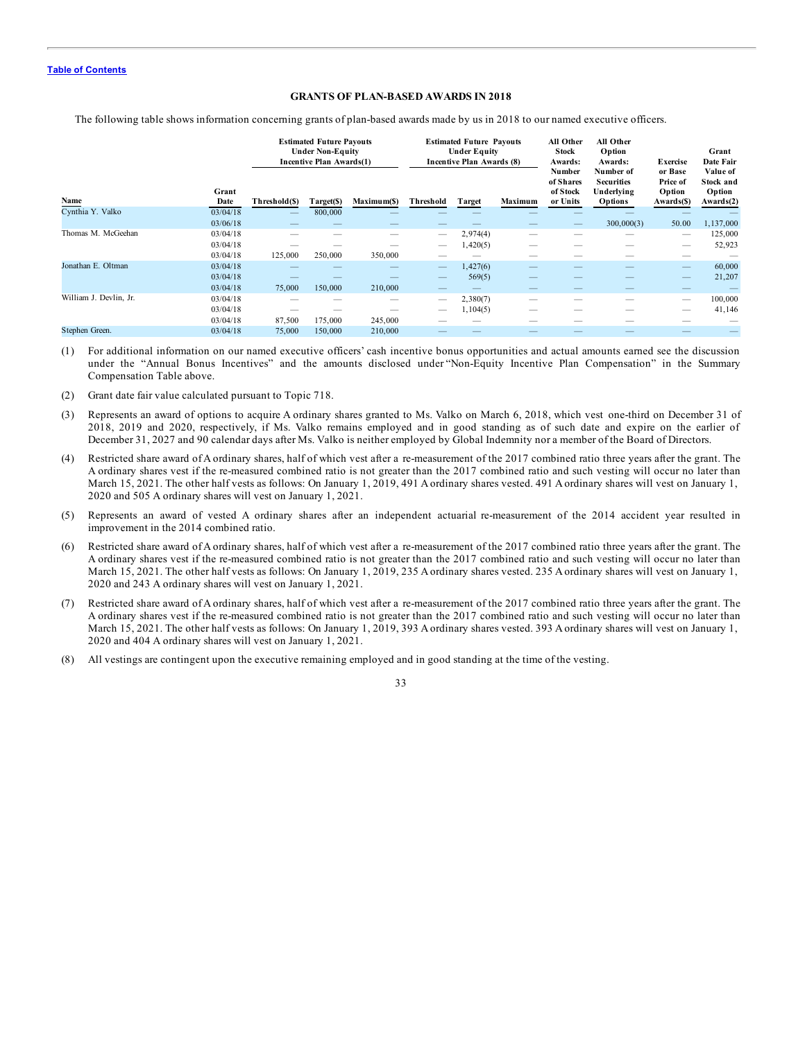#### **GRANTS OF PLAN-BASED AWARDS IN 2018**

The following table shows information concerning grants of plan-based awards made by us in 2018 to our named executive officers.

|                        |               |               | <b>Estimated Future Payouts</b><br><b>Under Non-Equity</b><br>Incentive Plan Awards(1) |             |                          | <b>Estimated Future Payouts</b><br><b>Under Equity</b><br><b>Incentive Plan Awards (8)</b> |         |                      | All Other<br>Option<br>Awards:<br>Number of<br><b>Securities</b> | <b>Exercise</b><br>or Base<br>Price of | Grant<br>Date Fair<br>Value of<br>Stock and |
|------------------------|---------------|---------------|----------------------------------------------------------------------------------------|-------------|--------------------------|--------------------------------------------------------------------------------------------|---------|----------------------|------------------------------------------------------------------|----------------------------------------|---------------------------------------------|
| Name                   | Grant<br>Date | Threshold(\$) | Target(\$)                                                                             | Maximum(\$) | Threshold                | Target                                                                                     | Maximum | of Stock<br>or Units | Underlying<br><b>Options</b>                                     | Option<br>Awards(\$)                   | Option<br>Awards(2)                         |
| Cynthia Y. Valko       | 03/04/18      |               | 800,000                                                                                |             |                          |                                                                                            |         |                      |                                                                  |                                        |                                             |
|                        | 03/06/18      |               |                                                                                        |             |                          |                                                                                            |         |                      | 300,000(3)                                                       | 50.00                                  | 1,137,000                                   |
| Thomas M. McGeehan     | 03/04/18      |               |                                                                                        |             | $\overline{\phantom{a}}$ | 2,974(4)                                                                                   |         |                      |                                                                  | $\overline{\phantom{a}}$               | 125,000                                     |
|                        | 03/04/18      |               |                                                                                        |             |                          | 1,420(5)                                                                                   |         |                      |                                                                  | $\overline{\phantom{a}}$               | 52,923                                      |
|                        | 03/04/18      | 125,000       | 250,000                                                                                | 350,000     |                          |                                                                                            |         |                      |                                                                  |                                        |                                             |
| Jonathan E. Oltman     | 03/04/18      |               |                                                                                        |             |                          | 1,427(6)                                                                                   |         |                      |                                                                  |                                        | 60,000                                      |
|                        | 03/04/18      |               |                                                                                        |             |                          | 569(5)                                                                                     |         |                      |                                                                  |                                        | 21,207                                      |
|                        | 03/04/18      | 75,000        | 150,000                                                                                | 210,000     |                          |                                                                                            |         |                      |                                                                  | $\overline{\phantom{a}}$               |                                             |
| William J. Devlin, Jr. | 03/04/18      |               |                                                                                        | -           | $\overline{\phantom{a}}$ | 2,380(7)                                                                                   |         |                      | -                                                                | $\overline{\phantom{a}}$               | 100,000                                     |
|                        | 03/04/18      |               |                                                                                        |             | $\overline{\phantom{a}}$ | 1,104(5)                                                                                   |         |                      | --                                                               | -                                      | 41,146                                      |
|                        | 03/04/18      | 87,500        | 175,000                                                                                | 245,000     |                          |                                                                                            |         |                      |                                                                  |                                        |                                             |
| Stephen Green.         | 03/04/18      | 75,000        | 150,000                                                                                | 210,000     |                          |                                                                                            |         |                      |                                                                  |                                        |                                             |

(1) For additional information on our named executive officers' cash incentive bonus opportunities and actual amounts earned see the discussion under the "Annual Bonus Incentives" and the amounts disclosed under "Non-Equity Incentive Plan Compensation" in the Summary Compensation Table above.

- (2) Grant date fair value calculated pursuant to Topic 718.
- (3) Represents an award of options to acquire A ordinary shares granted to Ms. Valko on March 6, 2018, which vest one-third on December 31 of 2018, 2019 and 2020, respectively, if Ms. Valko remains employed and in good standing as of such date and expire on the earlier of December 31, 2027 and 90 calendar days after Ms. Valko is neither employed by Global Indemnity nor a member of the Board of Directors.
- (4) Restricted share award of A ordinary shares, half of which vest after a re-measurement of the 2017 combined ratio three years after the grant. The A ordinary shares vest if the re-measured combined ratio is not greater than the 2017 combined ratio and such vesting will occur no later than March 15, 2021. The other half vests as follows: On January 1, 2019, 491 A ordinary shares vested. 491 A ordinary shares will vest on January 1, 2020 and 505 A ordinary shares will vest on January 1, 2021.
- (5) Represents an award of vested A ordinary shares after an independent actuarial re-measurement of the 2014 accident year resulted in improvement in the 2014 combined ratio.
- (6) Restricted share award of A ordinary shares, half of which vest after a re-measurement of the 2017 combined ratio three years after the grant. The A ordinary shares vest if the re-measured combined ratio is not greater than the 2017 combined ratio and such vesting will occur no later than March 15, 2021. The other half vests as follows: On January 1, 2019, 235 A ordinary shares vested. 235 A ordinary shares will vest on January 1, 2020 and 243 A ordinary shares will vest on January 1, 2021.
- (7) Restricted share award of A ordinary shares, half of which vest after a re-measurement of the 2017 combined ratio three years after the grant. The A ordinary shares vest if the re-measured combined ratio is not greater than the 2017 combined ratio and such vesting will occur no later than March 15, 2021. The other half vests as follows: On January 1, 2019, 393 A ordinary shares vested. 393 A ordinary shares will vest on January 1, 2020 and 404 A ordinary shares will vest on January 1, 2021.
- (8) All vestings are contingent upon the executive remaining employed and in good standing at the time of the vesting.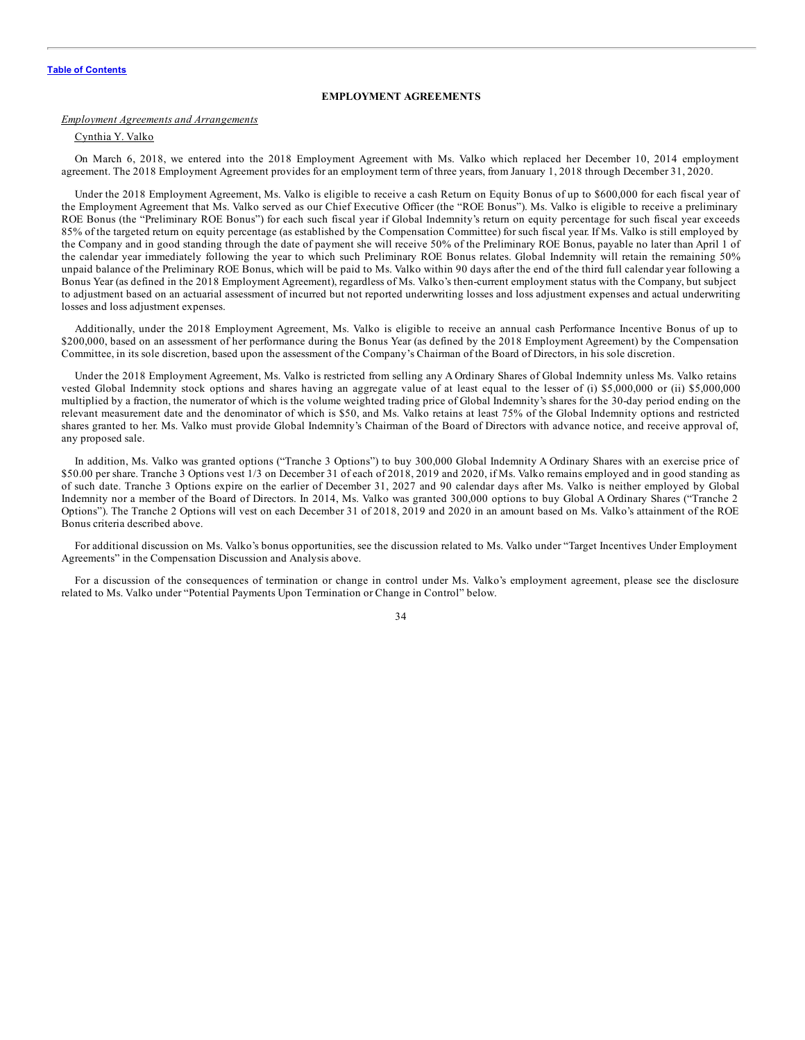#### **EMPLOYMENT AGREEMENTS**

#### *Employment Agreements and Arrangements*

### Cynthia Y. Valko

On March 6, 2018, we entered into the 2018 Employment Agreement with Ms. Valko which replaced her December 10, 2014 employment agreement. The 2018 Employment Agreement provides for an employment term of three years, from January 1, 2018 through December 31, 2020.

Under the 2018 Employment Agreement, Ms. Valko is eligible to receive a cash Return on Equity Bonus of up to \$600,000 for each fiscal year of the Employment Agreement that Ms. Valko served as our Chief Executive Officer (the "ROE Bonus"). Ms. Valko is eligible to receive a preliminary ROE Bonus (the "Preliminary ROE Bonus") for each such fiscal year if Global Indemnity's return on equity percentage for such fiscal year exceeds 85% of the targeted return on equity percentage (as established by the Compensation Committee) for such fiscal year. If Ms. Valko is still employed by the Company and in good standing through the date of payment she will receive 50% of the Preliminary ROE Bonus, payable no later than April 1 of the calendar year immediately following the year to which such Preliminary ROE Bonus relates. Global Indemnity will retain the remaining 50% unpaid balance of the Preliminary ROE Bonus, which will be paid to Ms. Valko within 90 days after the end of the third full calendar year following a Bonus Year (as defined in the 2018 Employment Agreement), regardless of Ms. Valko's then-current employment status with the Company, but subject to adjustment based on an actuarial assessment of incurred but not reported underwriting losses and loss adjustment expenses and actual underwriting losses and loss adjustment expenses.

Additionally, under the 2018 Employment Agreement, Ms. Valko is eligible to receive an annual cash Performance Incentive Bonus of up to \$200,000, based on an assessment of her performance during the Bonus Year (as defined by the 2018 Employment Agreement) by the Compensation Committee, in its sole discretion, based upon the assessment of the Company's Chairman of the Board of Directors, in his sole discretion.

Under the 2018 Employment Agreement, Ms. Valko is restricted from selling any A Ordinary Shares of Global Indemnity unless Ms. Valko retains vested Global Indemnity stock options and shares having an aggregate value of at least equal to the lesser of (i) \$5,000,000 or (ii) \$5,000,000 multiplied by a fraction, the numerator of which is the volume weighted trading price of Global Indemnity's shares for the 30-day period ending on the relevant measurement date and the denominator of which is \$50, and Ms. Valko retains at least 75% of the Global Indemnity options and restricted shares granted to her. Ms. Valko must provide Global Indemnity's Chairman of the Board of Directors with advance notice, and receive approval of, any proposed sale.

In addition, Ms. Valko was granted options ("Tranche 3 Options") to buy 300,000 Global Indemnity A Ordinary Shares with an exercise price of \$50.00 per share. Tranche 3 Options vest 1/3 on December 31 of each of 2018, 2019 and 2020, if Ms. Valko remains employed and in good standing as of such date. Tranche 3 Options expire on the earlier of December 31, 2027 and 90 calendar days after Ms. Valko is neither employed by Global Indemnity nor a member of the Board of Directors. In 2014, Ms. Valko was granted 300,000 options to buy Global A Ordinary Shares ("Tranche 2 Options"). The Tranche 2 Options will vest on each December 31 of 2018, 2019 and 2020 in an amount based on Ms. Valko's attainment of the ROE Bonus criteria described above.

For additional discussion on Ms. Valko's bonus opportunities, see the discussion related to Ms. Valko under "Target Incentives Under Employment Agreements" in the Compensation Discussion and Analysis above.

For a discussion of the consequences of termination or change in control under Ms. Valko's employment agreement, please see the disclosure related to Ms. Valko under "Potential Payments Upon Termination or Change in Control" below.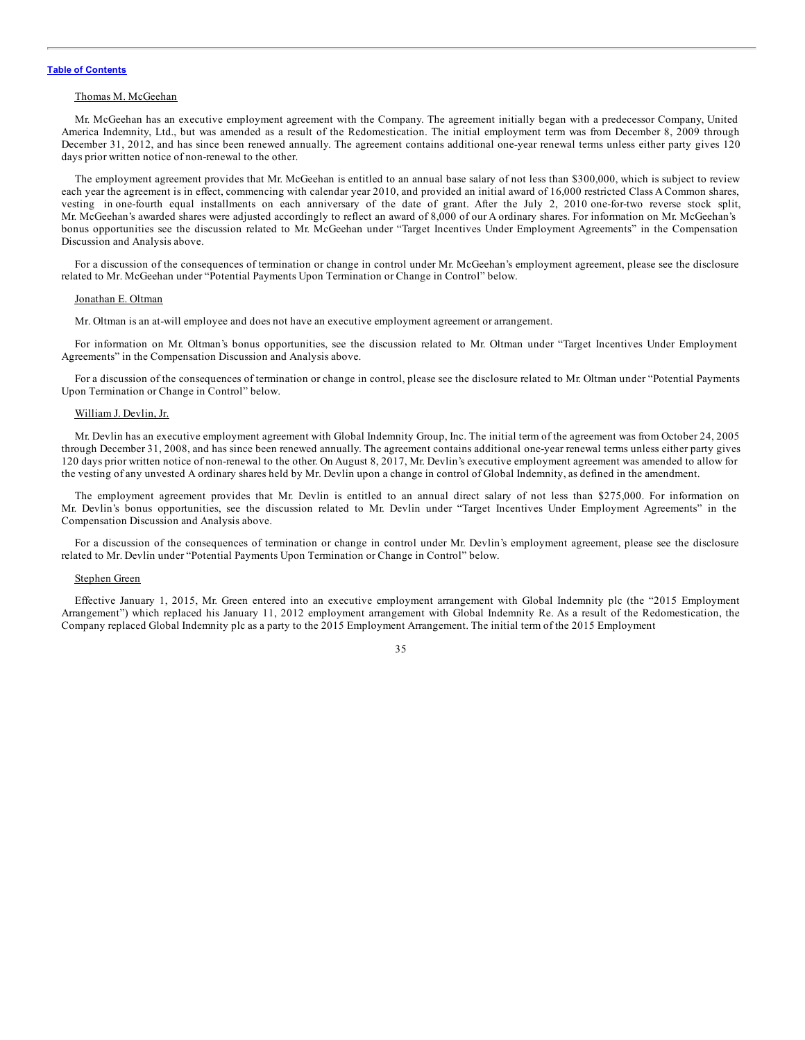#### Thomas M. McGeehan

Mr. McGeehan has an executive employment agreement with the Company. The agreement initially began with a predecessor Company, United America Indemnity, Ltd., but was amended as a result of the Redomestication. The initial employment term was from December 8, 2009 through December 31, 2012, and has since been renewed annually. The agreement contains additional one-year renewal terms unless either party gives 120 days prior written notice of non-renewal to the other.

The employment agreement provides that Mr. McGeehan is entitled to an annual base salary of not less than \$300,000, which is subject to review each year the agreement is in effect, commencing with calendar year 2010, and provided an initial award of 16,000 restricted Class A Common shares, vesting in one-fourth equal installments on each anniversary of the date of grant. After the July 2, 2010 one-for-two reverse stock split, Mr. McGeehan's awarded shares were adjusted accordingly to reflect an award of 8,000 of our A ordinary shares. For information on Mr. McGeehan's bonus opportunities see the discussion related to Mr. McGeehan under "Target Incentives Under Employment Agreements" in the Compensation Discussion and Analysis above.

For a discussion of the consequences of termination or change in control under Mr. McGeehan's employment agreement, please see the disclosure related to Mr. McGeehan under "Potential Payments Upon Termination or Change in Control" below.

#### Jonathan E. Oltman

Mr. Oltman is an at-will employee and does not have an executive employment agreement or arrangement.

For information on Mr. Oltman's bonus opportunities, see the discussion related to Mr. Oltman under "Target Incentives Under Employment Agreements" in the Compensation Discussion and Analysis above.

For a discussion of the consequences of termination or change in control, please see the disclosure related to Mr. Oltman under "Potential Payments Upon Termination or Change in Control" below.

#### William J. Devlin, Jr.

Mr. Devlin has an executive employment agreement with Global Indemnity Group, Inc. The initial term of the agreement was from October 24, 2005 through December 31, 2008, and has since been renewed annually. The agreement contains additional one-year renewal terms unless either party gives 120 days prior written notice of non-renewal to the other. On August 8, 2017, Mr. Devlin's executive employment agreement was amended to allow for the vesting of any unvested A ordinary shares held by Mr. Devlin upon a change in control of Global Indemnity, as defined in the amendment.

The employment agreement provides that Mr. Devlin is entitled to an annual direct salary of not less than \$275,000. For information on Mr. Devlin's bonus opportunities, see the discussion related to Mr. Devlin under "Target Incentives Under Employment Agreements" in the Compensation Discussion and Analysis above.

For a discussion of the consequences of termination or change in control under Mr. Devlin's employment agreement, please see the disclosure related to Mr. Devlin under "Potential Payments Upon Termination or Change in Control" below.

#### Stephen Green

Effective January 1, 2015, Mr. Green entered into an executive employment arrangement with Global Indemnity plc (the "2015 Employment Arrangement") which replaced his January 11, 2012 employment arrangement with Global Indemnity Re. As a result of the Redomestication, the Company replaced Global Indemnity plc as a party to the 2015 Employment Arrangement. The initial term of the 2015 Employment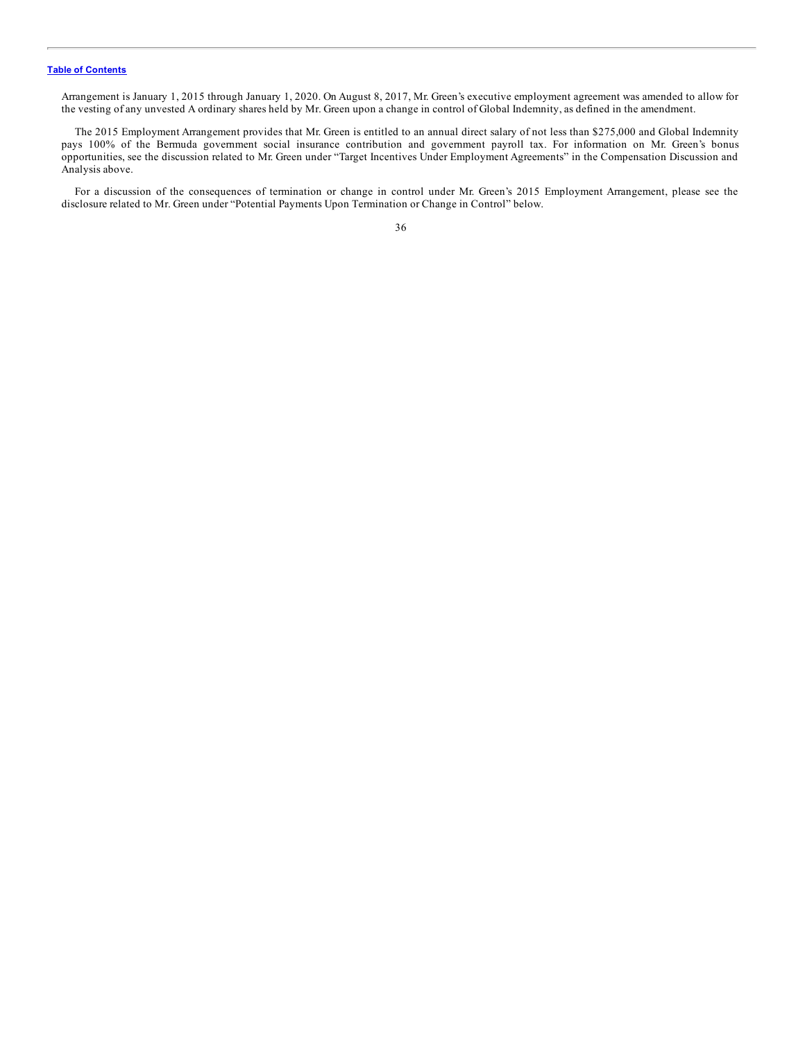Arrangement is January 1, 2015 through January 1, 2020. On August 8, 2017, Mr. Green's executive employment agreement was amended to allow for the vesting of any unvested A ordinary shares held by Mr. Green upon a change in control of Global Indemnity, as defined in the amendment.

The 2015 Employment Arrangement provides that Mr. Green is entitled to an annual direct salary of not less than \$275,000 and Global Indemnity pays 100% of the Bermuda government social insurance contribution and government payroll tax. For information on Mr. Green's bonus opportunities, see the discussion related to Mr. Green under "Target Incentives Under Employment Agreements" in the Compensation Discussion and Analysis above.

For a discussion of the consequences of termination or change in control under Mr. Green's 2015 Employment Arrangement, please see the disclosure related to Mr. Green under "Potential Payments Upon Termination or Change in Control" below.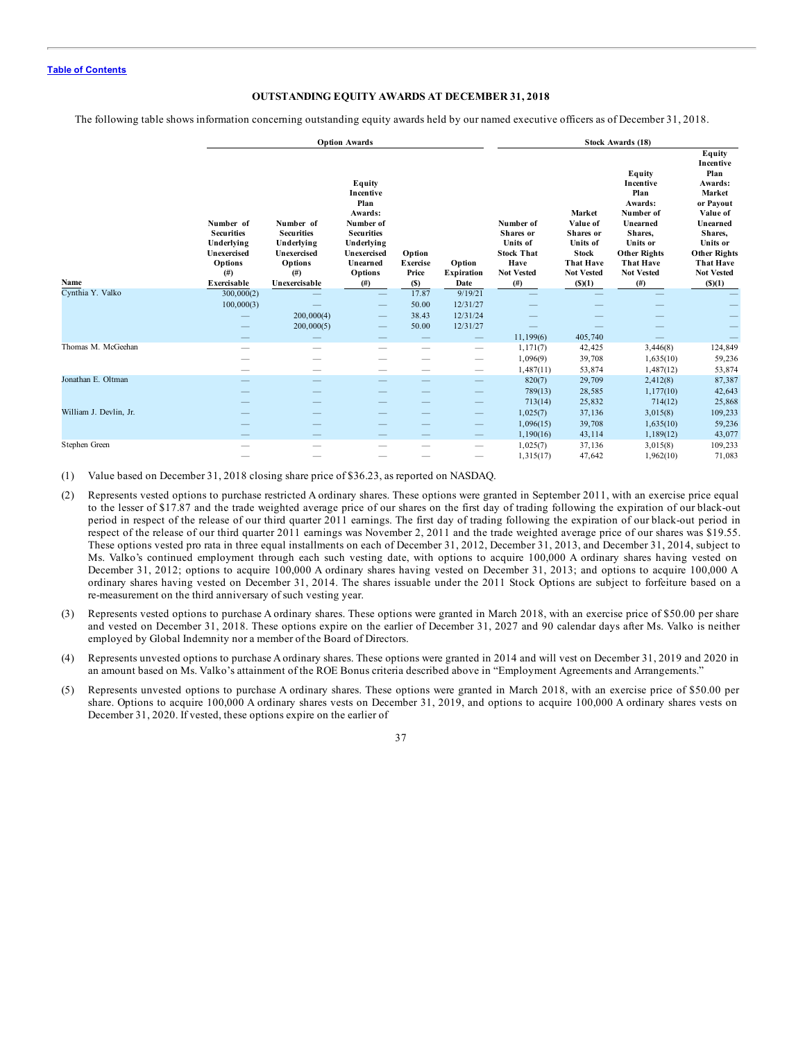## **OUTSTANDING EQUITY AWARDS AT DECEMBER 31, 2018**

The following table shows information concerning outstanding equity awards held by our named executive officers as of December 31, 2018.

|                        |                                                                                                    | <b>Option Awards</b>                                                                                 |                                                                                                                                             |                                           |                                     |                                                                                                         | Stock Awards (18)                                                                                                     |                                                                                                                                                                     |                                                                                                                                                                                        |  |  |
|------------------------|----------------------------------------------------------------------------------------------------|------------------------------------------------------------------------------------------------------|---------------------------------------------------------------------------------------------------------------------------------------------|-------------------------------------------|-------------------------------------|---------------------------------------------------------------------------------------------------------|-----------------------------------------------------------------------------------------------------------------------|---------------------------------------------------------------------------------------------------------------------------------------------------------------------|----------------------------------------------------------------------------------------------------------------------------------------------------------------------------------------|--|--|
| Name                   | Number of<br><b>Securities</b><br>Underlying<br>Unexercised<br>Options<br>$($ # $)$<br>Exercisable | Number of<br><b>Securities</b><br>Underlying<br>Unexercised<br>Options<br>$($ # $)$<br>Unexercisable | Equity<br>Incentive<br>Plan<br>Awards:<br>Number of<br><b>Securities</b><br>Underlying<br>Unexercised<br>Unearned<br><b>Options</b><br>(# ) | Option<br><b>Exercise</b><br>Price<br>(S) | Option<br><b>Expiration</b><br>Date | Number of<br>Shares or<br><b>Units</b> of<br><b>Stock That</b><br>Have<br><b>Not Vested</b><br>$^{(#)}$ | Market<br>Value of<br>Shares or<br>Units of<br><b>Stock</b><br><b>That Have</b><br><b>Not Vested</b><br>$($ \$ $)(1)$ | Equity<br>Incentive<br>Plan<br>Awards:<br>Number of<br>Unearned<br>Shares,<br>Units or<br><b>Other Rights</b><br><b>That Have</b><br><b>Not Vested</b><br>$($ # $)$ | Equity<br>Incentive<br>Plan<br>Awards:<br>Market<br>or Payout<br>Value of<br>Unearned<br>Shares,<br>Units or<br><b>Other Rights</b><br><b>That Have</b><br><b>Not Vested</b><br>(S)(1) |  |  |
| Cynthia Y. Valko       | 300,000(2)                                                                                         |                                                                                                      |                                                                                                                                             | 17.87                                     | 9/19/21                             |                                                                                                         |                                                                                                                       |                                                                                                                                                                     |                                                                                                                                                                                        |  |  |
|                        | 100,000(3)                                                                                         |                                                                                                      |                                                                                                                                             | 50.00                                     | 12/31/27                            |                                                                                                         |                                                                                                                       |                                                                                                                                                                     |                                                                                                                                                                                        |  |  |
|                        |                                                                                                    | 200,000(4)                                                                                           | $\overline{\phantom{a}}$                                                                                                                    | 38.43                                     | 12/31/24                            |                                                                                                         |                                                                                                                       |                                                                                                                                                                     |                                                                                                                                                                                        |  |  |
|                        |                                                                                                    | 200,000(5)                                                                                           |                                                                                                                                             | 50.00                                     | 12/31/27                            |                                                                                                         |                                                                                                                       |                                                                                                                                                                     |                                                                                                                                                                                        |  |  |
|                        |                                                                                                    |                                                                                                      |                                                                                                                                             |                                           |                                     | 11,199(6)                                                                                               | 405,740                                                                                                               |                                                                                                                                                                     |                                                                                                                                                                                        |  |  |
| Thomas M. McGeehan     |                                                                                                    |                                                                                                      |                                                                                                                                             |                                           |                                     | 1,171(7)                                                                                                | 42,425                                                                                                                | 3,446(8)                                                                                                                                                            | 124,849                                                                                                                                                                                |  |  |
|                        |                                                                                                    |                                                                                                      |                                                                                                                                             |                                           |                                     | 1,096(9)                                                                                                | 39,708                                                                                                                | 1,635(10)                                                                                                                                                           | 59,236                                                                                                                                                                                 |  |  |
|                        |                                                                                                    | -                                                                                                    | -                                                                                                                                           | -                                         |                                     | 1,487(11)                                                                                               | 53,874                                                                                                                | 1,487(12)                                                                                                                                                           | 53,874                                                                                                                                                                                 |  |  |
| Jonathan E. Oltman     |                                                                                                    |                                                                                                      |                                                                                                                                             |                                           |                                     | 820(7)                                                                                                  | 29,709                                                                                                                | 2,412(8)                                                                                                                                                            | 87,387                                                                                                                                                                                 |  |  |
|                        |                                                                                                    |                                                                                                      |                                                                                                                                             |                                           |                                     | 789(13)                                                                                                 | 28,585                                                                                                                | 1,177(10)                                                                                                                                                           | 42,643                                                                                                                                                                                 |  |  |
|                        |                                                                                                    |                                                                                                      |                                                                                                                                             |                                           |                                     | 713(14)                                                                                                 | 25,832                                                                                                                | 714(12)                                                                                                                                                             | 25,868                                                                                                                                                                                 |  |  |
| William J. Devlin, Jr. |                                                                                                    |                                                                                                      |                                                                                                                                             |                                           | _                                   | 1,025(7)                                                                                                | 37,136                                                                                                                | 3,015(8)                                                                                                                                                            | 109,233                                                                                                                                                                                |  |  |
|                        |                                                                                                    |                                                                                                      |                                                                                                                                             |                                           |                                     | 1,096(15)                                                                                               | 39,708                                                                                                                | 1,635(10)                                                                                                                                                           | 59,236                                                                                                                                                                                 |  |  |
|                        |                                                                                                    |                                                                                                      |                                                                                                                                             |                                           |                                     | 1,190(16)                                                                                               | 43,114                                                                                                                | 1,189(12)                                                                                                                                                           | 43,077                                                                                                                                                                                 |  |  |
| Stephen Green          |                                                                                                    |                                                                                                      |                                                                                                                                             |                                           | -                                   | 1,025(7)                                                                                                | 37,136                                                                                                                | 3,015(8)                                                                                                                                                            | 109,233                                                                                                                                                                                |  |  |
|                        |                                                                                                    |                                                                                                      |                                                                                                                                             |                                           | -                                   | 1,315(17)                                                                                               | 47,642                                                                                                                | 1,962(10)                                                                                                                                                           | 71,083                                                                                                                                                                                 |  |  |

(1) Value based on December 31, 2018 closing share price of \$36.23, as reported on NASDAQ.

- (2) Represents vested options to purchase restricted A ordinary shares. These options were granted in September 2011, with an exercise price equal to the lesser of \$17.87 and the trade weighted average price of our shares on the first day of trading following the expiration of our black-out period in respect of the release of our third quarter 2011 earnings. The first day of trading following the expiration of our black-out period in respect of the release of our third quarter 2011 earnings was November 2, 2011 and the trade weighted average price of our shares was \$19.55. These options vested pro rata in three equal installments on each of December 31, 2012, December 31, 2013, and December 31, 2014, subject to Ms. Valko's continued employment through each such vesting date, with options to acquire 100,000 A ordinary shares having vested on December 31, 2012; options to acquire 100,000 A ordinary shares having vested on December 31, 2013; and options to acquire 100,000 A ordinary shares having vested on December 31, 2014. The shares issuable under the 2011 Stock Options are subject to forfeiture based on a re-measurement on the third anniversary of such vesting year.
- (3) Represents vested options to purchase A ordinary shares. These options were granted in March 2018, with an exercise price of \$50.00 per share and vested on December 31, 2018. These options expire on the earlier of December 31, 2027 and 90 calendar days after Ms. Valko is neither employed by Global Indemnity nor a member of the Board of Directors.
- (4) Represents unvested options to purchase Aordinary shares. These options were granted in 2014 and will vest on December 31, 2019 and 2020 in an amount based on Ms. Valko's attainment of the ROE Bonus criteria described above in "Employment Agreements and Arrangements."
- (5) Represents unvested options to purchase A ordinary shares. These options were granted in March 2018, with an exercise price of \$50.00 per share. Options to acquire 100,000 A ordinary shares vests on December 31, 2019, and options to acquire 100,000 A ordinary shares vests on December 31, 2020. If vested, these options expire on the earlier of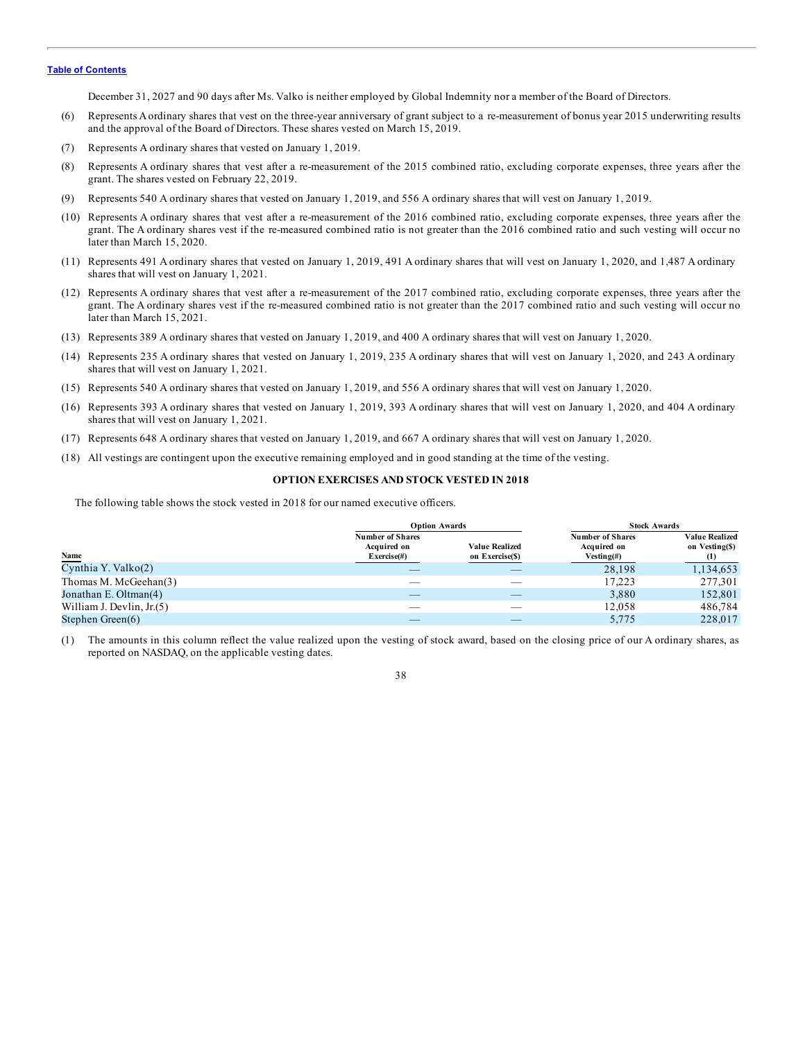December 31, 2027 and 90 days after Ms. Valko is neither employed by Global Indemnity nor a member of the Board of Directors.

- (6) Represents Aordinary shares that vest on the three-year anniversary of grant subject to a re-measurement of bonus year 2015 underwriting results and the approval of the Board of Directors. These shares vested on March 15, 2019.
- (7) Represents A ordinary shares that vested on January 1, 2019.
- (8) Represents A ordinary shares that vest after a re-measurement of the 2015 combined ratio, excluding corporate expenses, three years after the grant. The shares vested on February 22, 2019.
- (9) Represents 540 A ordinary shares that vested on January 1, 2019, and 556 A ordinary shares that will vest on January 1, 2019.
- (10) Represents A ordinary shares that vest after a re-measurement of the 2016 combined ratio, excluding corporate expenses, three years after the grant. The A ordinary shares vest if the re-measured combined ratio is not greater than the 2016 combined ratio and such vesting will occur no later than March 15, 2020.
- (11) Represents 491 A ordinary shares that vested on January 1, 2019, 491 A ordinary shares that will vest on January 1, 2020, and 1,487 A ordinary shares that will vest on January 1, 2021.
- (12) Represents A ordinary shares that vest after a re-measurement of the 2017 combined ratio, excluding corporate expenses, three years after the grant. The A ordinary shares vest if the re-measured combined ratio is not greater than the 2017 combined ratio and such vesting will occur no later than March 15, 2021.
- (13) Represents 389 A ordinary shares that vested on January 1, 2019, and 400 A ordinary shares that will vest on January 1, 2020.
- (14) Represents 235 A ordinary shares that vested on January 1, 2019, 235 A ordinary shares that will vest on January 1, 2020, and 243 A ordinary shares that will vest on January 1, 2021.
- (15) Represents 540 A ordinary shares that vested on January 1, 2019, and 556 A ordinary shares that will vest on January 1, 2020.
- (16) Represents 393 A ordinary shares that vested on January 1, 2019, 393 A ordinary shares that will vest on January 1, 2020, and 404 A ordinary shares that will vest on January 1, 2021.
- (17) Represents 648 A ordinary shares that vested on January 1, 2019, and 667 A ordinary shares that will vest on January 1, 2020.
- (18) All vestings are contingent upon the executive remaining employed and in good standing at the time of the vesting.

#### **OPTION EXERCISES AND STOCK VESTED IN 2018**

The following table shows the stock vested in 2018 for our named executive officers.

|                            | <b>Option Awards</b>                                  |                                          | <b>Stock Awards</b>                                      |                                                             |  |
|----------------------------|-------------------------------------------------------|------------------------------------------|----------------------------------------------------------|-------------------------------------------------------------|--|
| Name                       | <b>Number of Shares</b><br>Acquired on<br>Exercise(#) | <b>Value Realized</b><br>on Exercise(\$) | <b>Number of Shares</b><br>Acquired on<br>Vesting $(\#)$ | <b>Value Realized</b><br>on Vesting(\$)<br>$\left(1\right)$ |  |
| Cynthia Y. Valko(2)        |                                                       |                                          | 28,198                                                   | 1,134,653                                                   |  |
| Thomas M. McGeehan(3)      |                                                       | __                                       | 17.223                                                   | 277,301                                                     |  |
| Jonathan E. Oltman(4)      |                                                       |                                          | 3.880                                                    | 152,801                                                     |  |
| William J. Devlin, $Jr(5)$ |                                                       | __                                       | 12,058                                                   | 486,784                                                     |  |
| Stephen Green $(6)$        |                                                       |                                          | 5,775                                                    | 228,017                                                     |  |

(1) The amounts in this column reflect the value realized upon the vesting of stock award, based on the closing price of our A ordinary shares, as reported on NASDAQ, on the applicable vesting dates.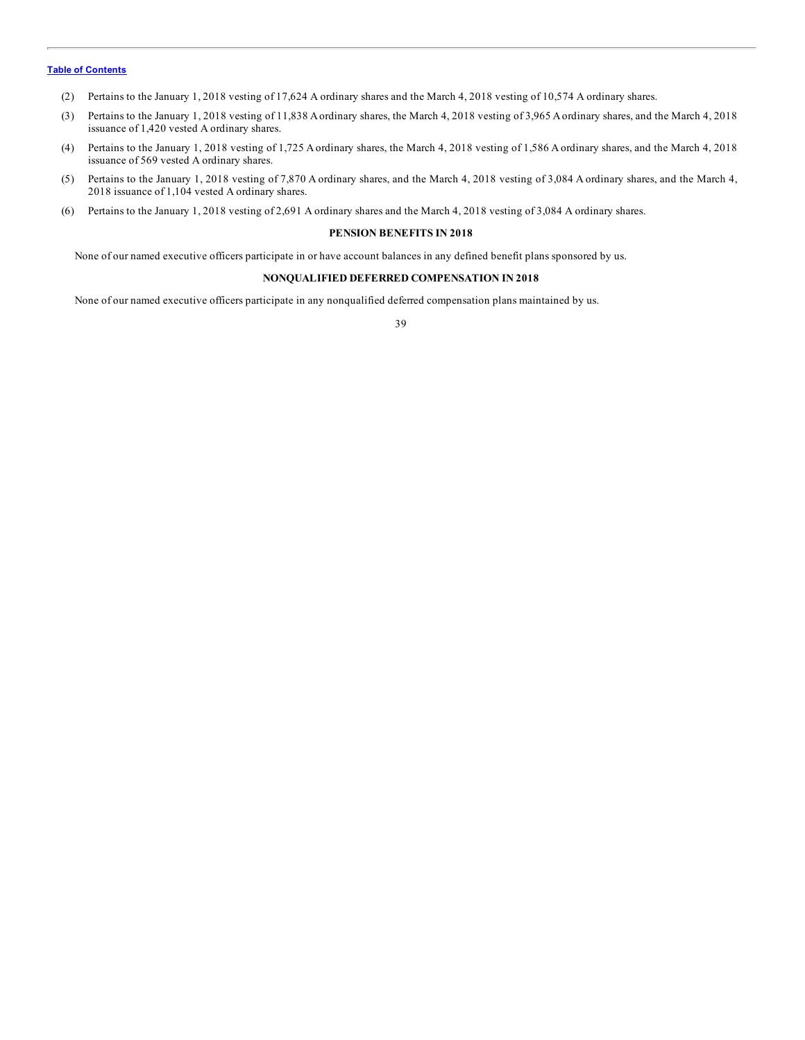- (2) Pertains to the January 1, 2018 vesting of 17,624 A ordinary shares and the March 4, 2018 vesting of 10,574 A ordinary shares.
- (3) Pertains to the January 1, 2018 vesting of 11,838 Aordinary shares, the March 4, 2018 vesting of 3,965 Aordinary shares, and the March 4, 2018 issuance of 1,420 vested A ordinary shares.
- (4) Pertains to the January 1, 2018 vesting of 1,725 A ordinary shares, the March 4, 2018 vesting of 1,586 A ordinary shares, and the March 4, 2018 issuance of 569 vested A ordinary shares.
- (5) Pertains to the January 1, 2018 vesting of 7,870 A ordinary shares, and the March 4, 2018 vesting of 3,084 A ordinary shares, and the March 4, 2018 issuance of 1,104 vested A ordinary shares.
- (6) Pertains to the January 1, 2018 vesting of 2,691 A ordinary shares and the March 4, 2018 vesting of 3,084 A ordinary shares.

#### **PENSION BENEFITS IN 2018**

None of our named executive officers participate in or have account balances in any defined benefit plans sponsored by us.

## **NONQUALIFIED DEFERRED COMPENSATION IN 2018**

None of our named executive officers participate in any nonqualified deferred compensation plans maintained by us.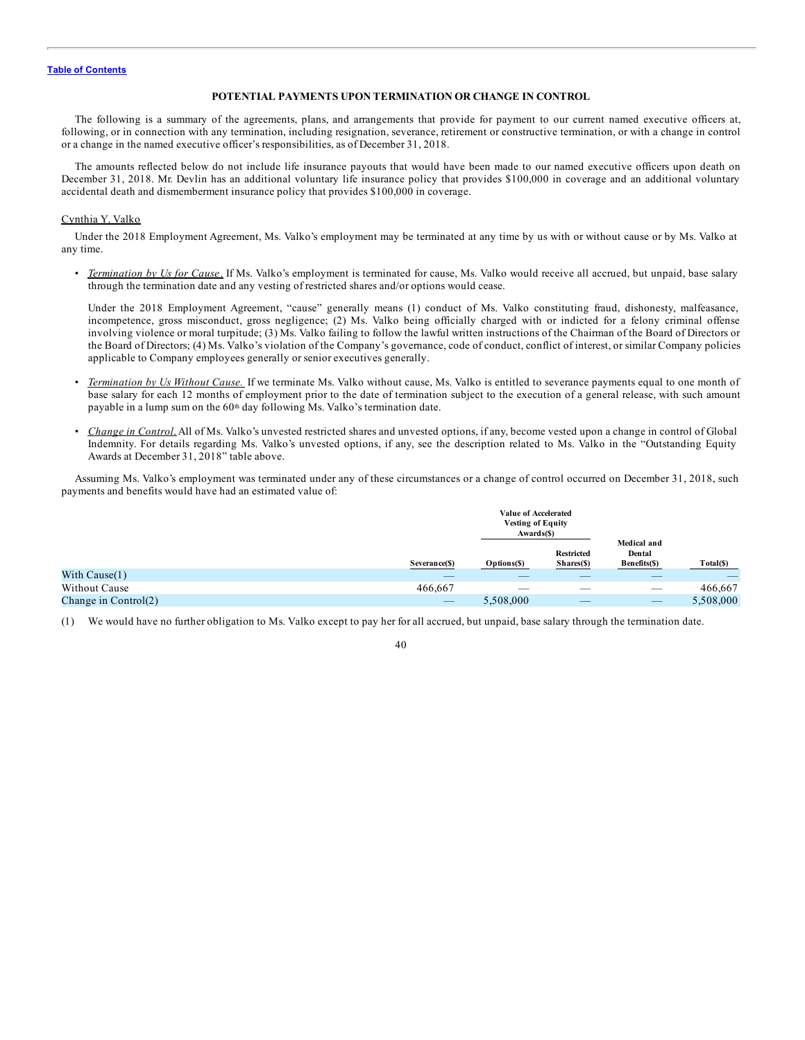#### **POTENTIAL PAYMENTS UPON TERMINATION OR CHANGE IN CONTROL**

The following is a summary of the agreements, plans, and arrangements that provide for payment to our current named executive officers at, following, or in connection with any termination, including resignation, severance, retirement or constructive termination, or with a change in control or a change in the named executive officer's responsibilities, as of December 31, 2018.

The amounts reflected below do not include life insurance payouts that would have been made to our named executive officers upon death on December 31, 2018. Mr. Devlin has an additional voluntary life insurance policy that provides \$100,000 in coverage and an additional voluntary accidental death and dismemberment insurance policy that provides \$100,000 in coverage.

# Cynthia Y. Valko

Under the 2018 Employment Agreement, Ms. Valko's employment may be terminated at any time by us with or without cause or by Ms. Valko at any time.

• *Termination by Us for Cause*. If Ms. Valko's employment is terminated for cause, Ms. Valko would receive all accrued, but unpaid, base salary through the termination date and any vesting of restricted shares and/or options would cease.

Under the 2018 Employment Agreement, "cause" generally means (1) conduct of Ms. Valko constituting fraud, dishonesty, malfeasance, incompetence, gross misconduct, gross negligence; (2) Ms. Valko being officially charged with or indicted for a felony criminal offense involving violence or moral turpitude; (3) Ms. Valko failing to follow the lawful written instructions of the Chairman of the Board of Directors or the Board of Directors; (4) Ms. Valko's violation of the Company's governance, code of conduct, conflict of interest, or similar Company policies applicable to Company employees generally or senior executives generally.

- *Termination by Us Without Cause.* If we terminate Ms. Valko without cause, Ms. Valko is entitled to severance payments equal to one month of base salary for each 12 months of employment prior to the date of termination subject to the execution of a general release, with such amount payable in a lump sum on the 60<sup>th</sup> day following Ms. Valko's termination date.
- *Change in Control*.All of Ms. Valko's unvested restricted shares and unvested options, if any, become vested upon a change in control of Global Indemnity. For details regarding Ms. Valko's unvested options, if any, see the description related to Ms. Valko in the "Outstanding Equity Awards at December 31, 2018" table above.

Assuming Ms. Valko's employment was terminated under any of these circumstances or a change of control occurred on December 31, 2018, such payments and benefits would have had an estimated value of:

|                        |                          | Value of Accelerated<br><b>Vesting of Equity</b><br>Awards(\$) |                                 |                                       |           |
|------------------------|--------------------------|----------------------------------------------------------------|---------------------------------|---------------------------------------|-----------|
|                        | Severance(\$)            | Options(\$)                                                    | <b>Restricted</b><br>Shares(\$) | Medical and<br>Dental<br>Benefits(\$) | Total(\$) |
| With $Cause(1)$        |                          |                                                                |                                 |                                       |           |
| Without Cause          | 466,667                  | __                                                             |                                 |                                       | 466,667   |
| Change in $Control(2)$ | $\overline{\phantom{a}}$ | 5,508,000                                                      |                                 | __                                    | 5,508,000 |

<sup>(1)</sup> We would have no further obligation to Ms. Valko except to pay her for all accrued, but unpaid, base salary through the termination date.

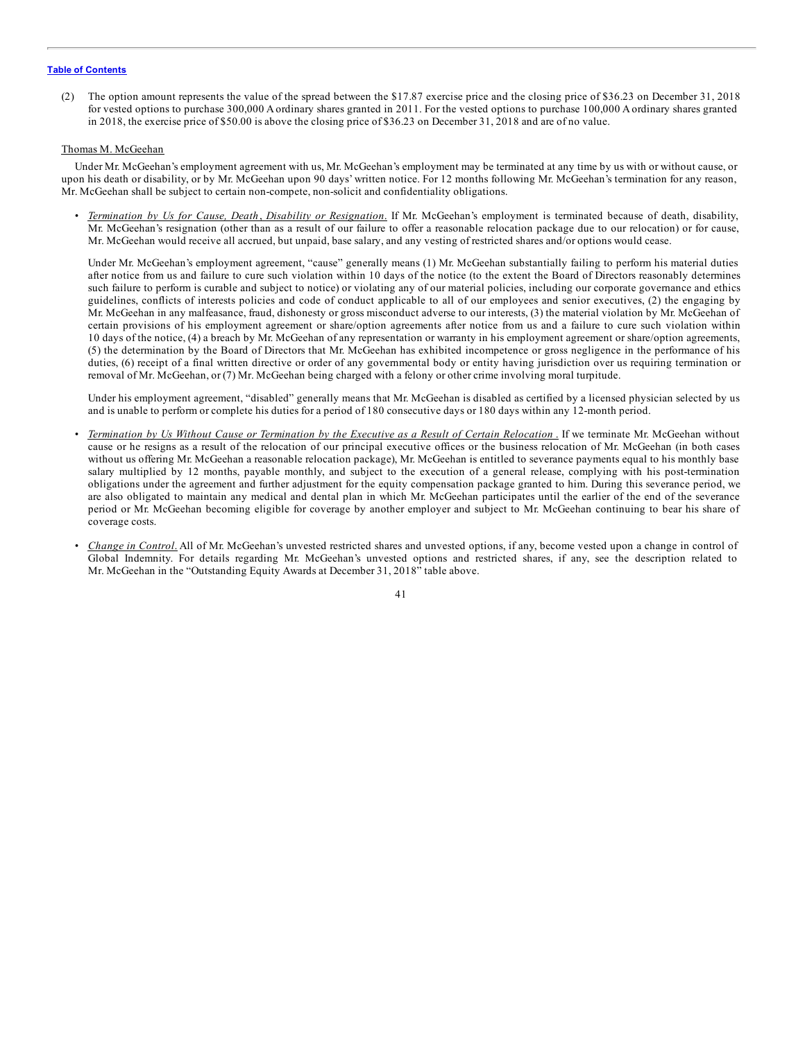(2) The option amount represents the value of the spread between the \$17.87 exercise price and the closing price of \$36.23 on December 31, 2018 for vested options to purchase 300,000 A ordinary shares granted in 2011. For the vested options to purchase 100,000 A ordinary shares granted in 2018, the exercise price of \$50.00 is above the closing price of \$36.23 on December 31, 2018 and are of no value.

#### Thomas M. McGeehan

Under Mr. McGeehan's employment agreement with us, Mr. McGeehan's employment may be terminated at any time by us with or without cause, or upon his death or disability, or by Mr. McGeehan upon 90 days' written notice. For 12 months following Mr. McGeehan's termination for any reason, Mr. McGeehan shall be subject to certain non-compete, non-solicit and confidentiality obligations.

• *Termination by Us for Cause, Death*, *Disability or Resignation*. If Mr. McGeehan's employment is terminated because of death, disability, Mr. McGeehan's resignation (other than as a result of our failure to offer a reasonable relocation package due to our relocation) or for cause, Mr. McGeehan would receive all accrued, but unpaid, base salary, and any vesting of restricted shares and/or options would cease.

Under Mr. McGeehan's employment agreement, "cause" generally means (1) Mr. McGeehan substantially failing to perform his material duties after notice from us and failure to cure such violation within 10 days of the notice (to the extent the Board of Directors reasonably determines such failure to perform is curable and subject to notice) or violating any of our material policies, including our corporate governance and ethics guidelines, conflicts of interests policies and code of conduct applicable to all of our employees and senior executives, (2) the engaging by Mr. McGeehan in any malfeasance, fraud, dishonesty or gross misconduct adverse to our interests, (3) the material violation by Mr. McGeehan of certain provisions of his employment agreement or share/option agreements after notice from us and a failure to cure such violation within 10 days of the notice, (4) a breach by Mr. McGeehan of any representation or warranty in his employment agreement or share/option agreements, (5) the determination by the Board of Directors that Mr. McGeehan has exhibited incompetence or gross negligence in the performance of his duties, (6) receipt of a final written directive or order of any governmental body or entity having jurisdiction over us requiring termination or removal of Mr. McGeehan, or (7) Mr. McGeehan being charged with a felony or other crime involving moral turpitude.

Under his employment agreement, "disabled" generally means that Mr. McGeehan is disabled as certified by a licensed physician selected by us and is unable to perform or complete his duties for a period of 180 consecutive days or 180 days within any 12-month period.

- Termination by Us Without Cause or Termination by the Executive as a Result of Certain Relocation. If we terminate Mr. McGeehan without cause or he resigns as a result of the relocation of our principal executive offices or the business relocation of Mr. McGeehan (in both cases without us offering Mr. McGeehan a reasonable relocation package), Mr. McGeehan is entitled to severance payments equal to his monthly base salary multiplied by 12 months, payable monthly, and subject to the execution of a general release, complying with his post-termination obligations under the agreement and further adjustment for the equity compensation package granted to him. During this severance period, we are also obligated to maintain any medical and dental plan in which Mr. McGeehan participates until the earlier of the end of the severance period or Mr. McGeehan becoming eligible for coverage by another employer and subject to Mr. McGeehan continuing to bear his share of coverage costs.
- *Change in Control*. All of Mr. McGeehan's unvested restricted shares and unvested options, if any, become vested upon a change in control of Global Indemnity. For details regarding Mr. McGeehan's unvested options and restricted shares, if any, see the description related to Mr. McGeehan in the "Outstanding Equity Awards at December 31, 2018" table above.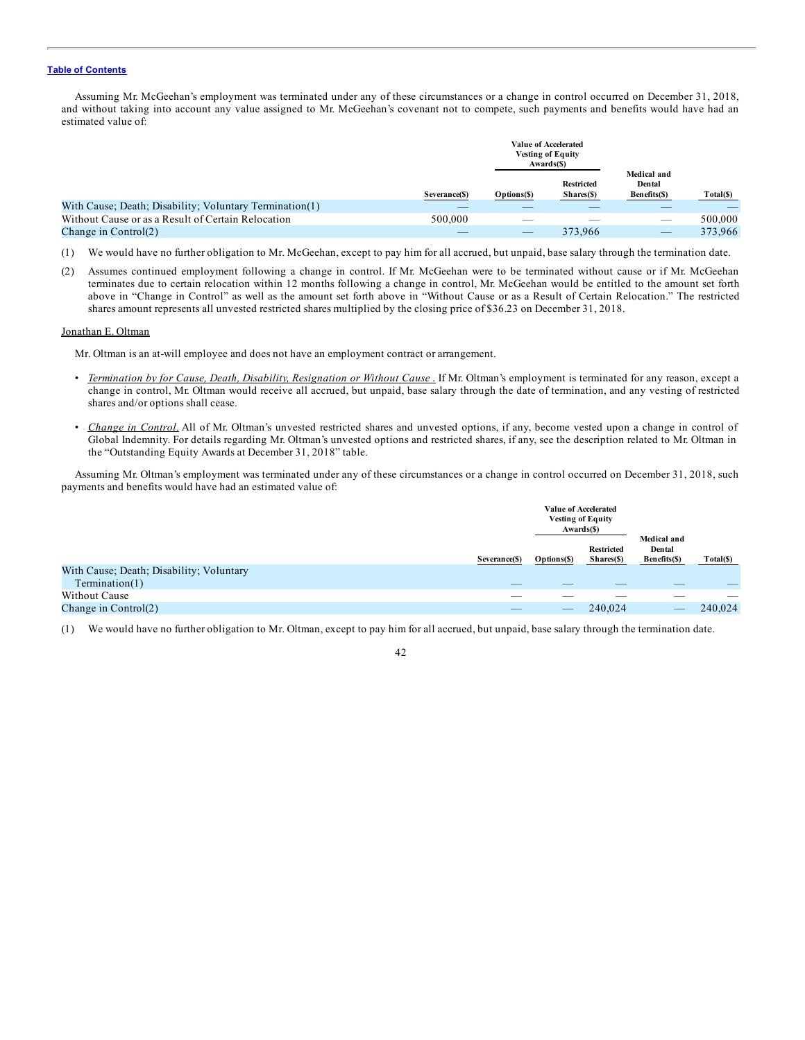Assuming Mr. McGeehan's employment was terminated under any of these circumstances or a change in control occurred on December 31, 2018, and without taking into account any value assigned to Mr. McGeehan's covenant not to compete, such payments and benefits would have had an estimated value of:

|                                                         |               | <b>Vesting of Equity</b><br>Awards(\$) | <b>Value of Accelerated</b>     |                                       |           |
|---------------------------------------------------------|---------------|----------------------------------------|---------------------------------|---------------------------------------|-----------|
|                                                         | Severance(\$) | Options(\$)                            | <b>Restricted</b><br>Shares(\$) | Medical and<br>Dental<br>Benefits(\$) | Total(\$) |
| With Cause; Death; Disability; Voluntary Termination(1) |               |                                        |                                 |                                       |           |
| Without Cause or as a Result of Certain Relocation      | 500,000       |                                        |                                 |                                       | 500,000   |
| Change in $Control(2)$                                  |               |                                        | 373,966                         |                                       | 373,966   |

- (1) We would have no further obligation to Mr. McGeehan, except to pay him for all accrued, but unpaid, base salary through the termination date.
- (2) Assumes continued employment following a change in control. If Mr. McGeehan were to be terminated without cause or if Mr. McGeehan terminates due to certain relocation within 12 months following a change in control, Mr. McGeehan would be entitled to the amount set forth above in "Change in Control" as well as the amount set forth above in "Without Cause or as a Result of Certain Relocation." The restricted shares amount represents all unvested restricted shares multiplied by the closing price of \$36.23 on December 31, 2018.

#### Jonathan E. Oltman

Mr. Oltman is an at-will employee and does not have an employment contract or arrangement.

- *Termination by for Cause, Death, Disability, Resignation or Without Cause* . If Mr. Oltman's employment is terminated for any reason, except a change in control, Mr. Oltman would receive all accrued, but unpaid, base salary through the date of termination, and any vesting of restricted shares and/or options shall cease.
- *Change in Control*. All of Mr. Oltman's unvested restricted shares and unvested options, if any, become vested upon a change in control of Global Indemnity. For details regarding Mr. Oltman's unvested options and restricted shares, if any, see the description related to Mr. Oltman in the "Outstanding Equity Awards at December 31, 2018" table.

Assuming Mr. Oltman's employment was terminated under any of these circumstances or a change in control occurred on December 31, 2018, such payments and benefits would have had an estimated value of:

|                                          |               |             | Value of Accelerated<br><b>Vesting of Equity</b><br>Awards(\$) |                                       |           |  |  |
|------------------------------------------|---------------|-------------|----------------------------------------------------------------|---------------------------------------|-----------|--|--|
|                                          | Severance(\$) | Options(\$) | <b>Restricted</b><br>Shares(\$)                                | Medical and<br>Dental<br>Benefits(\$) | Total(\$) |  |  |
| With Cause; Death; Disability; Voluntary |               |             |                                                                |                                       |           |  |  |
| Termination(1)                           |               |             |                                                                |                                       |           |  |  |
| Without Cause                            |               |             |                                                                |                                       |           |  |  |
| Change in $Control(2)$                   |               |             | 240,024                                                        |                                       | 240,024   |  |  |

(1) We would have no further obligation to Mr. Oltman, except to pay him for all accrued, but unpaid, base salary through the termination date.

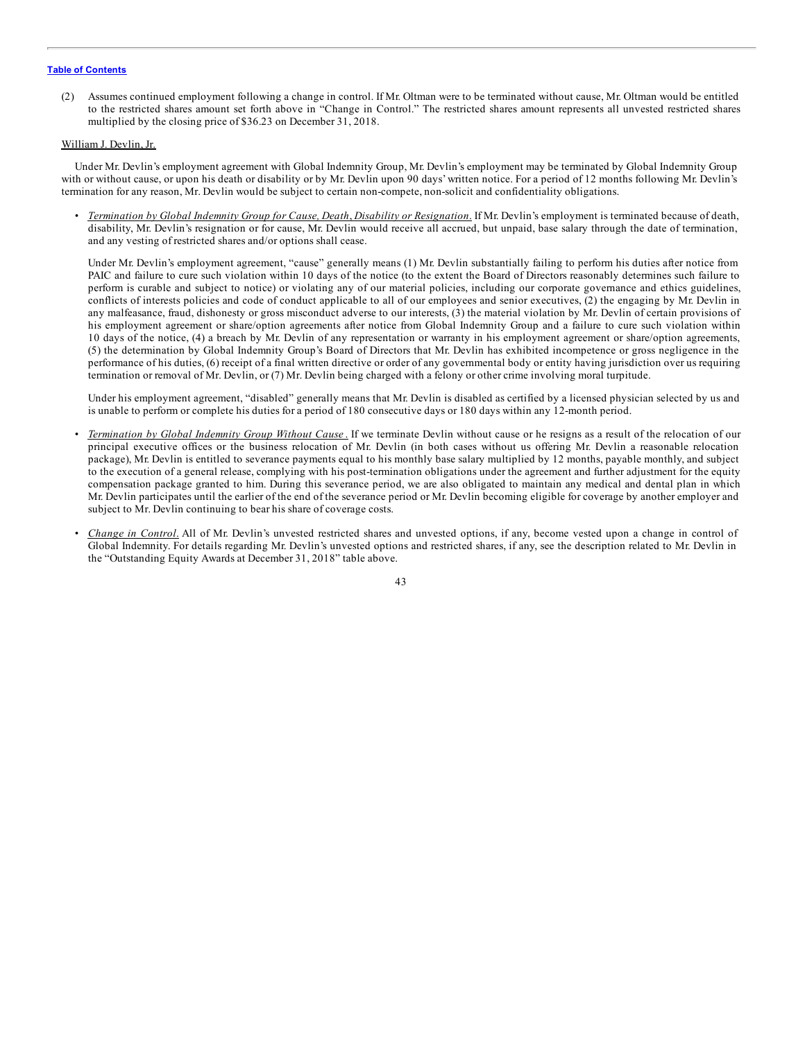(2) Assumes continued employment following a change in control. If Mr. Oltman were to be terminated without cause, Mr. Oltman would be entitled to the restricted shares amount set forth above in "Change in Control." The restricted shares amount represents all unvested restricted shares multiplied by the closing price of \$36.23 on December 31, 2018.

#### William J. Devlin, Jr.

Under Mr. Devlin's employment agreement with Global Indemnity Group, Mr. Devlin's employment may be terminated by Global Indemnity Group with or without cause, or upon his death or disability or by Mr. Devlin upon 90 days' written notice. For a period of 12 months following Mr. Devlin's termination for any reason, Mr. Devlin would be subject to certain non-compete, non-solicit and confidentiality obligations.

• *Termination by Global Indemnity Group for Cause, Death*, *Disability or Resignation*. If Mr. Devlin's employment is terminated because of death, disability, Mr. Devlin's resignation or for cause, Mr. Devlin would receive all accrued, but unpaid, base salary through the date of termination, and any vesting of restricted shares and/or options shall cease.

Under Mr. Devlin's employment agreement, "cause" generally means (1) Mr. Devlin substantially failing to perform his duties after notice from PAIC and failure to cure such violation within 10 days of the notice (to the extent the Board of Directors reasonably determines such failure to perform is curable and subject to notice) or violating any of our material policies, including our corporate governance and ethics guidelines, conflicts of interests policies and code of conduct applicable to all of our employees and senior executives, (2) the engaging by Mr. Devlin in any malfeasance, fraud, dishonesty or gross misconduct adverse to our interests, (3) the material violation by Mr. Devlin of certain provisions of his employment agreement or share/option agreements after notice from Global Indemnity Group and a failure to cure such violation within 10 days of the notice, (4) a breach by Mr. Devlin of any representation or warranty in his employment agreement or share/option agreements, (5) the determination by Global Indemnity Group's Board of Directors that Mr. Devlin has exhibited incompetence or gross negligence in the performance of his duties, (6) receipt of a final written directive or order of any governmental body or entity having jurisdiction over us requiring termination or removal of Mr. Devlin, or (7) Mr. Devlin being charged with a felony or other crime involving moral turpitude.

Under his employment agreement, "disabled" generally means that Mr. Devlin is disabled as certified by a licensed physician selected by us and is unable to perform or complete his duties for a period of 180 consecutive days or 180 days within any 12-month period.

- *Termination by Global Indemnity Group Without Cause* . If we terminate Devlin without cause or he resigns as a result of the relocation of our principal executive offices or the business relocation of Mr. Devlin (in both cases without us offering Mr. Devlin a reasonable relocation package), Mr. Devlin is entitled to severance payments equal to his monthly base salary multiplied by 12 months, payable monthly, and subject to the execution of a general release, complying with his post-termination obligations under the agreement and further adjustment for the equity compensation package granted to him. During this severance period, we are also obligated to maintain any medical and dental plan in which Mr. Devlin participates until the earlier of the end of the severance period or Mr. Devlin becoming eligible for coverage by another employer and subject to Mr. Devlin continuing to bear his share of coverage costs.
- *Change in Control*. All of Mr. Devlin's unvested restricted shares and unvested options, if any, become vested upon a change in control of Global Indemnity. For details regarding Mr. Devlin's unvested options and restricted shares, if any, see the description related to Mr. Devlin in the "Outstanding Equity Awards at December 31, 2018" table above.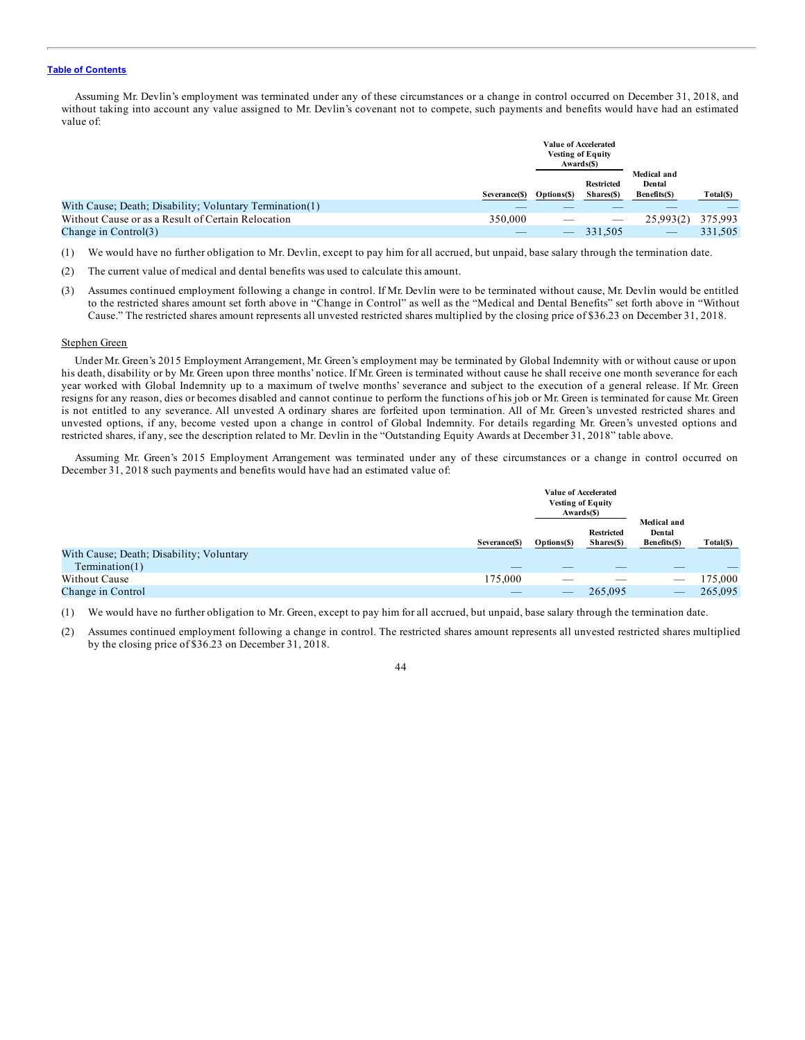Assuming Mr. Devlin's employment was terminated under any of these circumstances or a change in control occurred on December 31, 2018, and without taking into account any value assigned to Mr. Devlin's covenant not to compete, such payments and benefits would have had an estimated value of:

|                                                         |               | <b>Vesting of Equity</b><br>Awards(\$) | <b>Value of Accelerated</b>     |                                       |           |
|---------------------------------------------------------|---------------|----------------------------------------|---------------------------------|---------------------------------------|-----------|
|                                                         | Severance(\$) | Options(\$)                            | <b>Restricted</b><br>Shares(\$) | Medical and<br>Dental<br>Benefits(\$) | Total(\$) |
| With Cause; Death; Disability; Voluntary Termination(1) |               |                                        |                                 |                                       |           |
| Without Cause or as a Result of Certain Relocation      | 350,000       |                                        | $\sim$                          | 25,993(2)                             | 375,993   |
| Change in $Control(3)$                                  |               |                                        | 331,505                         | $\overline{\phantom{a}}$              | 331,505   |

- (1) We would have no further obligation to Mr. Devlin, except to pay him for all accrued, but unpaid, base salary through the termination date.
- (2) The current value of medical and dental benefits was used to calculate this amount.
- (3) Assumes continued employment following a change in control. If Mr. Devlin were to be terminated without cause, Mr. Devlin would be entitled to the restricted shares amount set forth above in "Change in Control" as well as the "Medical and Dental Benefits" set forth above in "Without Cause." The restricted shares amount represents all unvested restricted shares multiplied by the closing price of \$36.23 on December 31, 2018.

#### Stephen Green

Under Mr. Green's 2015 Employment Arrangement, Mr. Green's employment may be terminated by Global Indemnity with or without cause or upon his death, disability or by Mr. Green upon three months' notice. If Mr. Green is terminated without cause he shall receive one month severance for each year worked with Global Indemnity up to a maximum of twelve months' severance and subject to the execution of a general release. If Mr. Green resigns for any reason, dies or becomes disabled and cannot continue to perform the functions of his job or Mr. Green is terminated for cause Mr. Green is not entitled to any severance. All unvested A ordinary shares are forfeited upon termination. All of Mr. Green's unvested restricted shares and unvested options, if any, become vested upon a change in control of Global Indemnity. For details regarding Mr. Green's unvested options and restricted shares, if any, see the description related to Mr. Devlin in the "Outstanding Equity Awards at December 31, 2018" table above.

Assuming Mr. Green's 2015 Employment Arrangement was terminated under any of these circumstances or a change in control occurred on December 31, 2018 such payments and benefits would have had an estimated value of:

|                                          |               |                          | Value of Accelerated<br><b>Vesting of Equity</b><br>Awards(\$) |                                       |           |
|------------------------------------------|---------------|--------------------------|----------------------------------------------------------------|---------------------------------------|-----------|
|                                          | Severance(\$) | Options(\$)              | <b>Restricted</b><br>Shares(\$)                                | Medical and<br>Dental<br>Benefits(\$) | Total(\$) |
| With Cause; Death; Disability; Voluntary |               |                          |                                                                |                                       |           |
| Termination(1)                           |               |                          |                                                                |                                       |           |
| Without Cause                            | 175.000       |                          |                                                                |                                       | 175,000   |
| Change in Control                        |               | $\overline{\phantom{a}}$ | 265,095                                                        |                                       | 265,095   |

(1) We would have no further obligation to Mr. Green, except to pay him for all accrued, but unpaid, base salary through the termination date.

(2) Assumes continued employment following a change in control. The restricted shares amount represents all unvested restricted shares multiplied by the closing price of \$36.23 on December 31, 2018.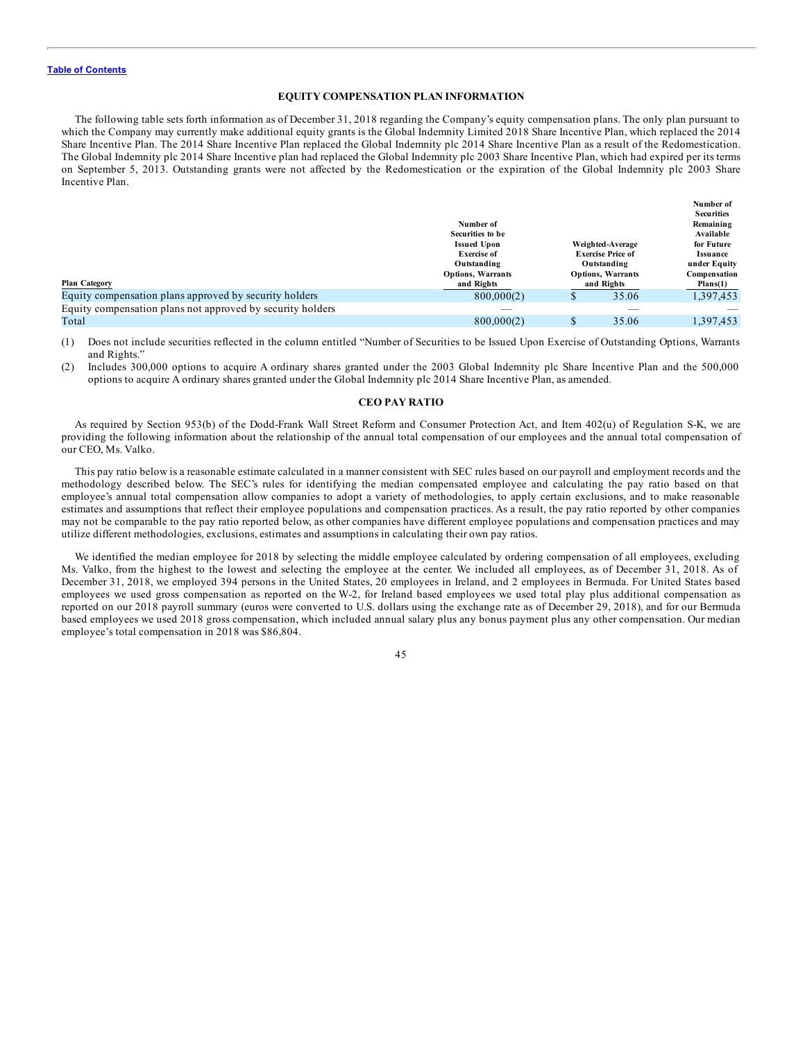#### **EQUITY COMPENSATION PLAN INFORMATION**

The following table sets forth information as of December 31, 2018 regarding the Company's equity compensation plans. The only plan pursuant to which the Company may currently make additional equity grants is the Global Indemnity Limited 2018 Share Incentive Plan, which replaced the 2014 Share Incentive Plan. The 2014 Share Incentive Plan replaced the Global Indemnity plc 2014 Share Incentive Plan as a result of the Redomestication. The Global Indemnity plc 2014 Share Incentive plan had replaced the Global Indemnity plc 2003 Share Incentive Plan, which had expired per its terms on September 5, 2013. Outstanding grants were not affected by the Redomestication or the expiration of the Global Indemnity plc 2003 Share Incentive Plan.

|                                                            |                          |                          |                          | Number of         |
|------------------------------------------------------------|--------------------------|--------------------------|--------------------------|-------------------|
|                                                            |                          |                          |                          | <b>Securities</b> |
|                                                            | Number of                |                          |                          | Remaining         |
|                                                            | Securities to be         |                          |                          | Available         |
|                                                            | <b>Issued Upon</b>       |                          | Weighted-Average         | for Future        |
|                                                            | <b>Exercise of</b>       | <b>Exercise Price of</b> |                          | <b>Issuance</b>   |
|                                                            | Outstanding              |                          | Outstanding              | under Equity      |
|                                                            | <b>Options, Warrants</b> |                          | <b>Options, Warrants</b> | Compensation      |
| <b>Plan Category</b>                                       | and Rights               |                          | and Rights               | Plans(1)          |
| Equity compensation plans approved by security holders     | 800,000(2)               | Φ                        | 35.06                    | 1,397,453         |
| Equity compensation plans not approved by security holders |                          |                          |                          |                   |
| Total                                                      | 800,000(2)               |                          | 35.06                    | .397.453          |

(1) Does not include securities reflected in the column entitled "Number of Securities to be Issued Upon Exercise of Outstanding Options, Warrants and Rights."

Includes 300,000 options to acquire A ordinary shares granted under the 2003 Global Indemnity plc Share Incentive Plan and the 500,000 options to acquire A ordinary shares granted under the Global Indemnity plc 2014 Share Incentive Plan, as amended.

#### **CEO PAY RATIO**

As required by Section 953(b) of the Dodd-Frank Wall Street Reform and Consumer Protection Act, and Item 402(u) of Regulation S-K, we are providing the following information about the relationship of the annual total compensation of our employees and the annual total compensation of our CEO, Ms. Valko.

This pay ratio below is a reasonable estimate calculated in a manner consistent with SEC rules based on our payroll and employment records and the methodology described below. The SEC's rules for identifying the median compensated employee and calculating the pay ratio based on that employee's annual total compensation allow companies to adopt a variety of methodologies, to apply certain exclusions, and to make reasonable estimates and assumptions that reflect their employee populations and compensation practices. As a result, the pay ratio reported by other companies may not be comparable to the pay ratio reported below, as other companies have different employee populations and compensation practices and may utilize different methodologies, exclusions, estimates and assumptions in calculating their own pay ratios.

We identified the median employee for 2018 by selecting the middle employee calculated by ordering compensation of all employees, excluding Ms. Valko, from the highest to the lowest and selecting the employee at the center. We included all employees, as of December 31, 2018. As of December 31, 2018, we employed 394 persons in the United States, 20 employees in Ireland, and 2 employees in Bermuda. For United States based employees we used gross compensation as reported on the W-2, for Ireland based employees we used total play plus additional compensation as reported on our 2018 payroll summary (euros were converted to U.S. dollars using the exchange rate as of December 29, 2018), and for our Bermuda based employees we used 2018 gross compensation, which included annual salary plus any bonus payment plus any other compensation. Our median employee's total compensation in 2018 was \$86,804.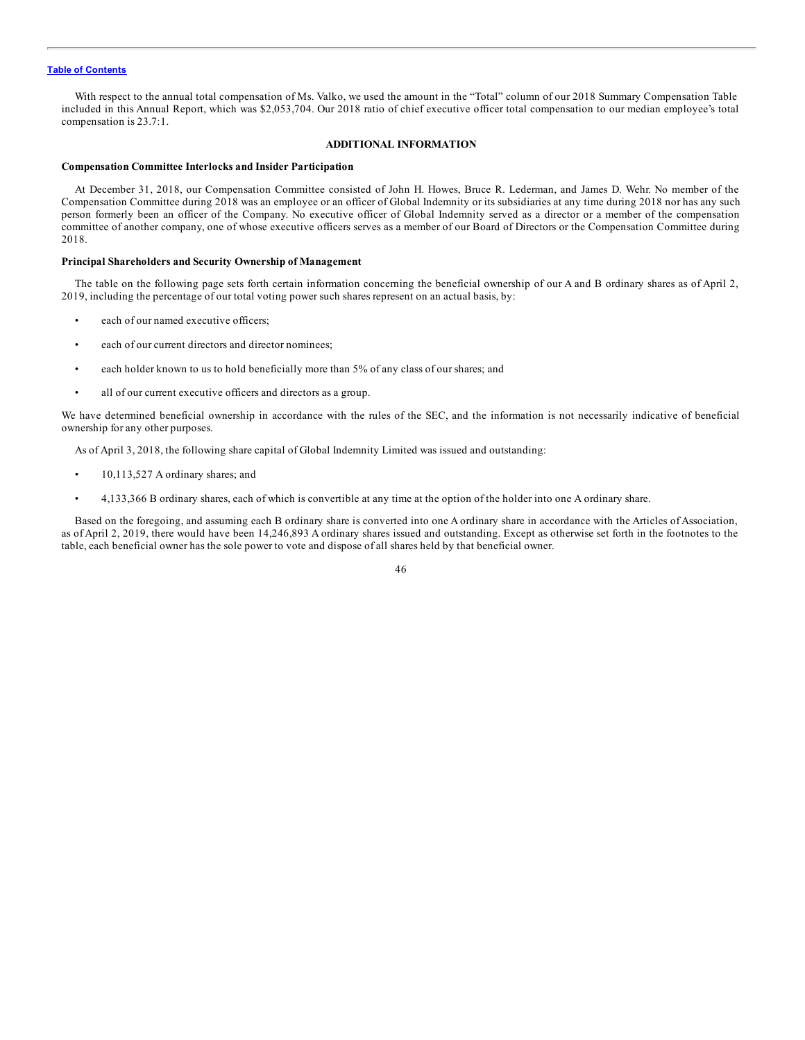<span id="page-50-0"></span>With respect to the annual total compensation of Ms. Valko, we used the amount in the "Total" column of our 2018 Summary Compensation Table included in this Annual Report, which was \$2,053,704. Our 2018 ratio of chief executive officer total compensation to our median employee's total compensation is 23.7:1.

#### **ADDITIONAL INFORMATION**

#### **Compensation Committee Interlocks and Insider Participation**

At December 31, 2018, our Compensation Committee consisted of John H. Howes, Bruce R. Lederman, and James D. Wehr. No member of the Compensation Committee during 2018 was an employee or an officer of Global Indemnity or its subsidiaries at any time during 2018 nor has any such person formerly been an officer of the Company. No executive officer of Global Indemnity served as a director or a member of the compensation committee of another company, one of whose executive officers serves as a member of our Board of Directors or the Compensation Committee during 2018.

#### **Principal Shareholders and Security Ownership of Management**

The table on the following page sets forth certain information concerning the beneficial ownership of our A and B ordinary shares as of April 2, 2019, including the percentage of our total voting power such shares represent on an actual basis, by:

- each of our named executive officers;
- each of our current directors and director nominees;
- each holder known to us to hold beneficially more than 5% of any class of our shares; and
- all of our current executive officers and directors as a group.

We have determined beneficial ownership in accordance with the rules of the SEC, and the information is not necessarily indicative of beneficial ownership for any other purposes.

As of April 3, 2018, the following share capital of Global Indemnity Limited was issued and outstanding:

- 10,113,527 A ordinary shares; and
- 4,133,366 B ordinary shares, each of which is convertible at any time at the option of the holder into one A ordinary share.

Based on the foregoing, and assuming each B ordinary share is converted into one A ordinary share in accordance with the Articles of Association, as of April 2, 2019, there would have been 14,246,893 A ordinary shares issued and outstanding. Except as otherwise set forth in the footnotes to the table, each beneficial owner has the sole power to vote and dispose of all shares held by that beneficial owner.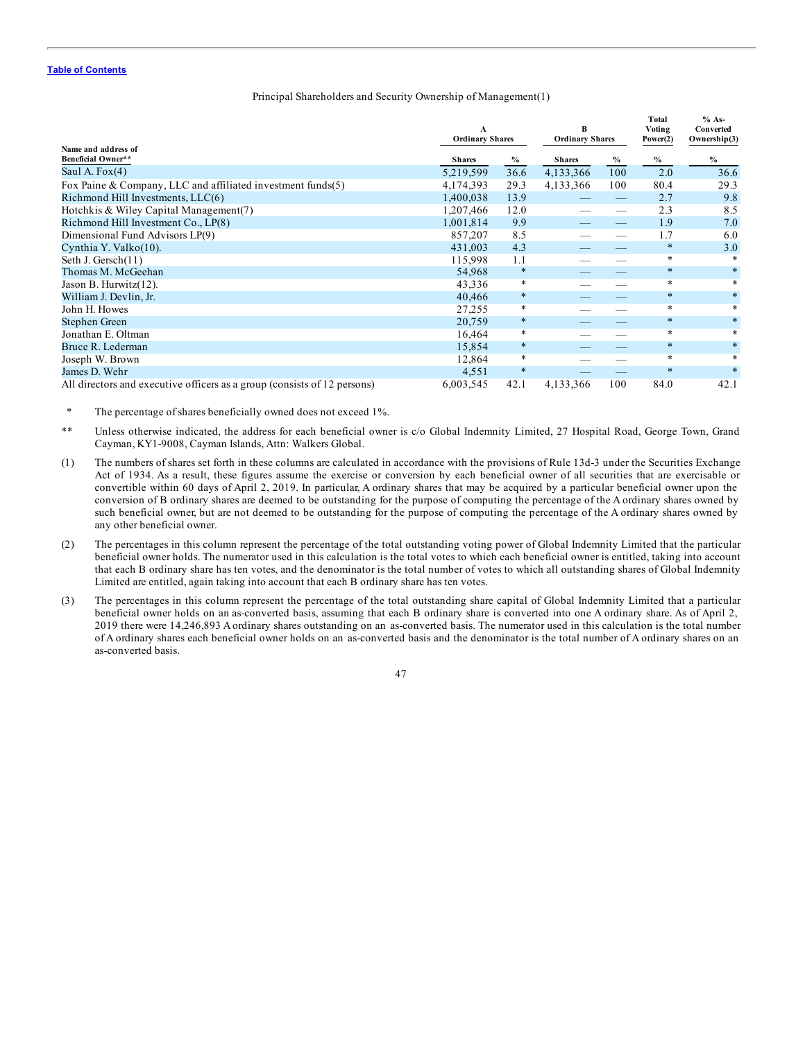#### Principal Shareholders and Security Ownership of Management(1)

|                                                                          | A<br><b>Ordinary Shares</b> |              | B<br><b>Ordinary Shares</b> |      | Total<br>Voting<br>Power(2) | $% As-$<br>Converted<br>Ownership(3) |  |
|--------------------------------------------------------------------------|-----------------------------|--------------|-----------------------------|------|-----------------------------|--------------------------------------|--|
| Name and address of<br>Beneficial Owner**                                | <b>Shares</b>               |              | <b>Shares</b>               | $\%$ | $\%$                        | $\frac{0}{0}$                        |  |
| Saul A. $Fox(4)$                                                         | 5,219,599                   | $\%$<br>36.6 | 4,133,366                   | 100  | 2.0                         | 36.6                                 |  |
| Fox Paine & Company, LLC and affiliated investment funds $(5)$           | 4,174,393                   | 29.3         | 4,133,366                   | 100  | 80.4                        | 29.3                                 |  |
| Richmond Hill Investments, LLC(6)                                        | 1,400,038                   | 13.9         |                             | —    | 2.7                         | 9.8                                  |  |
| Hotchkis & Wiley Capital Management(7)                                   | 1,207,466                   | 12.0         |                             |      | 2.3                         | 8.5                                  |  |
|                                                                          |                             |              |                             |      | 1.9                         | 7.0                                  |  |
| Richmond Hill Investment Co., LP(8)                                      | 1,001,814                   | 9.9          |                             |      |                             |                                      |  |
| Dimensional Fund Advisors LP(9)                                          | 857,207                     | 8.5          |                             |      | 1.7                         | 6.0                                  |  |
| Cynthia Y. Valko(10).                                                    | 431,003                     | 4.3          |                             |      | $\ast$                      | 3.0                                  |  |
| Seth J. Gersch(11)                                                       | 115,998                     | 1.1          |                             |      | $\ast$                      | *                                    |  |
| Thomas M. McGeehan                                                       | 54,968                      | $\ast$       |                             |      | $\ast$                      | $\ast$                               |  |
| Jason B. Hurwitz(12).                                                    | 43,336                      | $\ast$       |                             |      | $\ast$                      | $\ast$                               |  |
| William J. Devlin, Jr.                                                   | 40,466                      | $\ast$       |                             |      | $\ast$                      | $\ast$                               |  |
| John H. Howes                                                            | 27,255                      | $\ast$       |                             |      | $\ast$                      | *                                    |  |
| Stephen Green                                                            | 20,759                      | $\ast$       |                             |      | $\ast$                      | $\ast$                               |  |
| Jonathan E. Oltman                                                       | 16,464                      | $\ast$       |                             |      | $\ast$                      | $\ast$                               |  |
| Bruce R. Lederman                                                        | 15,854                      | $\ast$       |                             |      | $\ast$                      | $\ast$                               |  |
| Joseph W. Brown                                                          | 12,864                      | $\ast$       |                             |      | $\ast$                      | $\ast$                               |  |
| James D. Wehr                                                            | 4,551                       | $\ast$       |                             |      | $\ast$                      | $\ast$                               |  |
| All directors and executive officers as a group (consists of 12 persons) | 6,003,545                   | 42.1         | 4,133,366                   | 100  | 84.0                        | 42.1                                 |  |

\* The percentage of shares beneficially owned does not exceed 1%.

- \*\* Unless otherwise indicated, the address for each beneficial owner is c/o Global Indemnity Limited, 27 Hospital Road, George Town, Grand Cayman, KY1-9008, Cayman Islands, Attn: Walkers Global.
- (1) The numbers of shares set forth in these columns are calculated in accordance with the provisions of Rule 13d-3 under the Securities Exchange Act of 1934. As a result, these figures assume the exercise or conversion by each beneficial owner of all securities that are exercisable or convertible within 60 days of April 2, 2019. In particular, A ordinary shares that may be acquired by a particular beneficial owner upon the conversion of B ordinary shares are deemed to be outstanding for the purpose of computing the percentage of the A ordinary shares owned by such beneficial owner, but are not deemed to be outstanding for the purpose of computing the percentage of the A ordinary shares owned by any other beneficial owner.
- (2) The percentages in this column represent the percentage of the total outstanding voting power of Global Indemnity Limited that the particular beneficial owner holds. The numerator used in this calculation is the total votes to which each beneficial owner is entitled, taking into account that each B ordinary share has ten votes, and the denominator is the total number of votes to which all outstanding shares of Global Indemnity Limited are entitled, again taking into account that each B ordinary share has ten votes.
- (3) The percentages in this column represent the percentage of the total outstanding share capital of Global Indemnity Limited that a particular beneficial owner holds on an as-converted basis, assuming that each B ordinary share is converted into one A ordinary share. As of April 2, 2019 there were 14,246,893 A ordinary shares outstanding on an as-converted basis. The numerator used in this calculation is the total number of A ordinary shares each beneficial owner holds on an as-converted basis and the denominator is the total number of A ordinary shares on an as-converted basis.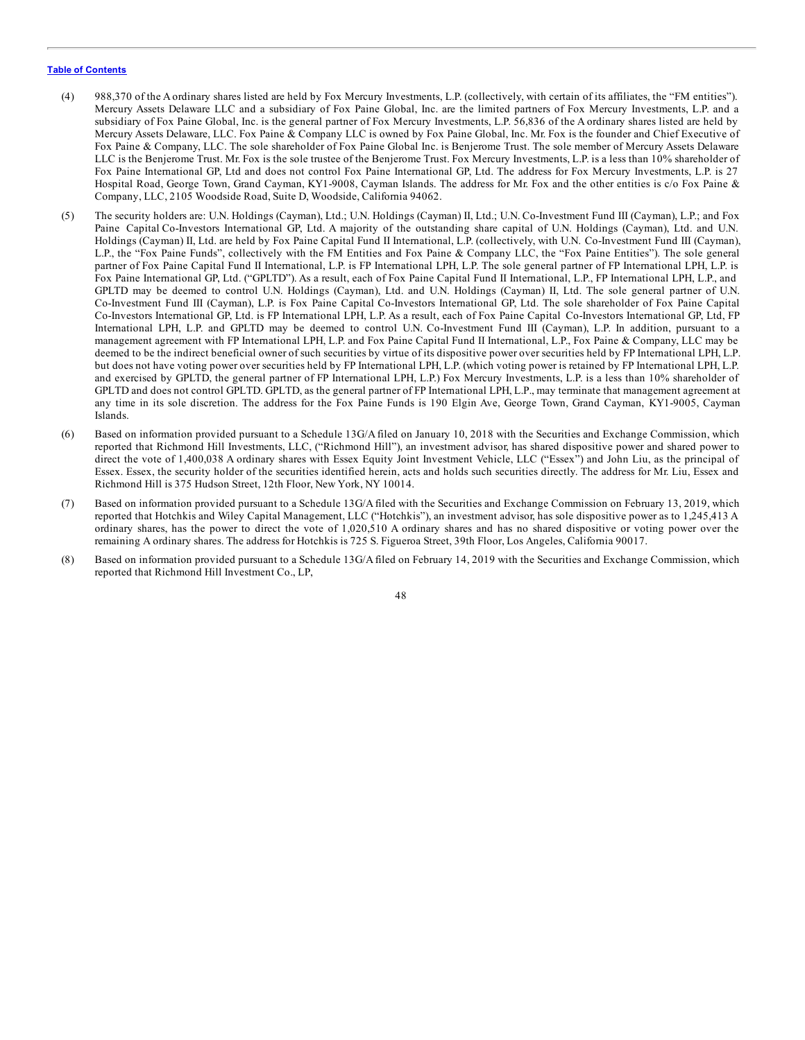- (4) 988,370 of the A ordinary shares listed are held by Fox Mercury Investments, L.P. (collectively, with certain of its affiliates, the "FM entities"). Mercury Assets Delaware LLC and a subsidiary of Fox Paine Global, Inc. are the limited partners of Fox Mercury Investments, L.P. and a subsidiary of Fox Paine Global, Inc. is the general partner of Fox Mercury Investments, L.P. 56,836 of the A ordinary shares listed are held by Mercury Assets Delaware, LLC. Fox Paine & Company LLC is owned by Fox Paine Global, Inc. Mr. Fox is the founder and Chief Executive of Fox Paine & Company, LLC. The sole shareholder of Fox Paine Global Inc. is Benjerome Trust. The sole member of Mercury Assets Delaware LLC is the Benjerome Trust. Mr. Fox is the sole trustee of the Benjerome Trust. Fox Mercury Investments, L.P. is a less than 10% shareholder of Fox Paine International GP, Ltd and does not control Fox Paine International GP, Ltd. The address for Fox Mercury Investments, L.P. is 27 Hospital Road, George Town, Grand Cayman, KY1-9008, Cayman Islands. The address for Mr. Fox and the other entities is c/o Fox Paine & Company, LLC, 2105 Woodside Road, Suite D, Woodside, California 94062.
- (5) The security holders are: U.N. Holdings (Cayman), Ltd.; U.N. Holdings (Cayman) II, Ltd.; U.N. Co-Investment Fund III (Cayman), L.P.; and Fox Paine Capital Co-Investors International GP, Ltd. A majority of the outstanding share capital of U.N. Holdings (Cayman), Ltd. and U.N. Holdings (Cayman) II, Ltd. are held by Fox Paine Capital Fund II International, L.P. (collectively, with U.N. Co-Investment Fund III (Cayman), L.P., the "Fox Paine Funds", collectively with the FM Entities and Fox Paine & Company LLC, the "Fox Paine Entities"). The sole general partner of Fox Paine Capital Fund II International, L.P. is FP International LPH, L.P. The sole general partner of FP International LPH, L.P. is Fox Paine International GP, Ltd. ("GPLTD"). As a result, each of Fox Paine Capital Fund II International, L.P., FP International LPH, L.P., and GPLTD may be deemed to control U.N. Holdings (Cayman), Ltd. and U.N. Holdings (Cayman) II, Ltd. The sole general partner of U.N. Co-Investment Fund III (Cayman), L.P. is Fox Paine Capital Co-Investors International GP, Ltd. The sole shareholder of Fox Paine Capital Co-Investors International GP, Ltd. is FP International LPH, L.P. As a result, each of Fox Paine Capital Co-Investors International GP, Ltd, FP International LPH, L.P. and GPLTD may be deemed to control U.N. Co-Investment Fund III (Cayman), L.P. In addition, pursuant to a management agreement with FP International LPH, L.P. and Fox Paine Capital Fund II International, L.P., Fox Paine & Company, LLC may be deemed to be the indirect beneficial owner of such securities by virtue of its dispositive power over securities held by FP International LPH, L.P. but does not have voting power over securities held by FP International LPH, L.P. (which voting power is retained by FP International LPH, L.P. and exercised by GPLTD, the general partner of FP International LPH, L.P.) Fox Mercury Investments, L.P. is a less than 10% shareholder of GPLTD and does not control GPLTD. GPLTD, as the general partner of FP International LPH, L.P., may terminate that management agreement at any time in its sole discretion. The address for the Fox Paine Funds is 190 Elgin Ave, George Town, Grand Cayman, KY1-9005, Cayman Islands.
- (6) Based on information provided pursuant to a Schedule 13G/A filed on January 10, 2018 with the Securities and Exchange Commission, which reported that Richmond Hill Investments, LLC, ("Richmond Hill"), an investment advisor, has shared dispositive power and shared power to direct the vote of 1,400,038 A ordinary shares with Essex Equity Joint Investment Vehicle, LLC ("Essex") and John Liu, as the principal of Essex. Essex, the security holder of the securities identified herein, acts and holds such securities directly. The address for Mr. Liu, Essex and Richmond Hill is 375 Hudson Street, 12th Floor, New York, NY 10014.
- (7) Based on information provided pursuant to a Schedule 13G/Afiled with the Securities and Exchange Commission on February 13, 2019, which reported that Hotchkis and Wiley Capital Management, LLC ("Hotchkis"), an investment advisor, has sole dispositive power as to 1,245,413 A ordinary shares, has the power to direct the vote of 1,020,510 A ordinary shares and has no shared dispositive or voting power over the remaining A ordinary shares. The address for Hotchkis is 725 S. Figueroa Street, 39th Floor, Los Angeles, California 90017.
- (8) Based on information provided pursuant to a Schedule 13G/Afiled on February 14, 2019 with the Securities and Exchange Commission, which reported that Richmond Hill Investment Co., LP,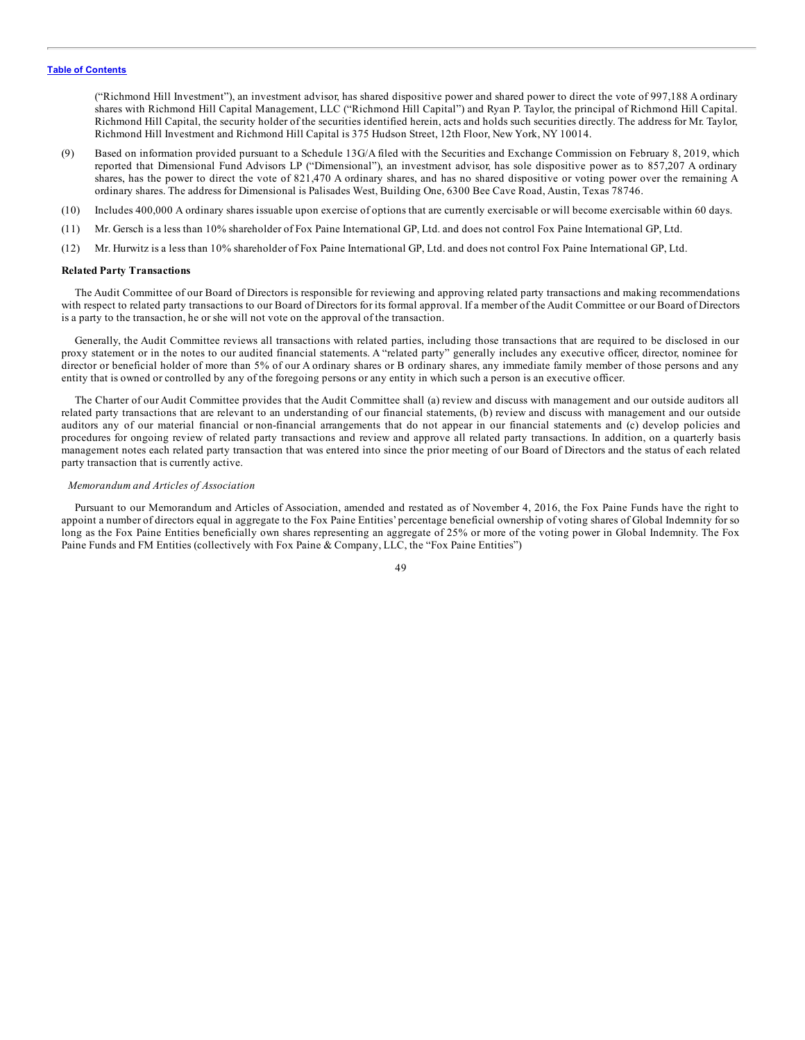<span id="page-53-0"></span>("Richmond Hill Investment"), an investment advisor, has shared dispositive power and shared power to direct the vote of 997,188 A ordinary shares with Richmond Hill Capital Management, LLC ("Richmond Hill Capital") and Ryan P. Taylor, the principal of Richmond Hill Capital. Richmond Hill Capital, the security holder of the securities identified herein, acts and holds such securities directly. The address for Mr. Taylor, Richmond Hill Investment and Richmond Hill Capital is 375 Hudson Street, 12th Floor, New York, NY 10014.

- (9) Based on information provided pursuant to a Schedule 13G/A filed with the Securities and Exchange Commission on February 8, 2019, which reported that Dimensional Fund Advisors LP ("Dimensional"), an investment advisor, has sole dispositive power as to 857,207 A ordinary shares, has the power to direct the vote of 821,470 A ordinary shares, and has no shared dispositive or voting power over the remaining A ordinary shares. The address for Dimensional is Palisades West, Building One, 6300 Bee Cave Road, Austin, Texas 78746.
- (10) Includes 400,000 A ordinary shares issuable upon exercise of options that are currently exercisable or will become exercisable within 60 days.
- (11) Mr. Gersch is a less than 10% shareholder of Fox Paine International GP, Ltd. and does not control Fox Paine International GP, Ltd.
- (12) Mr. Hurwitz is a less than 10% shareholder of Fox Paine International GP, Ltd. and does not control Fox Paine International GP, Ltd.

#### **Related Party Transactions**

The Audit Committee of our Board of Directors is responsible for reviewing and approving related party transactions and making recommendations with respect to related party transactions to our Board of Directors for its formal approval. If a member of the Audit Committee or our Board of Directors is a party to the transaction, he or she will not vote on the approval of the transaction.

Generally, the Audit Committee reviews all transactions with related parties, including those transactions that are required to be disclosed in our proxy statement or in the notes to our audited financial statements. A "related party" generally includes any executive officer, director, nominee for director or beneficial holder of more than 5% of our A ordinary shares or B ordinary shares, any immediate family member of those persons and any entity that is owned or controlled by any of the foregoing persons or any entity in which such a person is an executive officer.

The Charter of our Audit Committee provides that the Audit Committee shall (a) review and discuss with management and our outside auditors all related party transactions that are relevant to an understanding of our financial statements, (b) review and discuss with management and our outside auditors any of our material financial or non-financial arrangements that do not appear in our financial statements and (c) develop policies and procedures for ongoing review of related party transactions and review and approve all related party transactions. In addition, on a quarterly basis management notes each related party transaction that was entered into since the prior meeting of our Board of Directors and the status of each related party transaction that is currently active.

#### *Memorandum and Articles of Association*

Pursuant to our Memorandum and Articles of Association, amended and restated as of November 4, 2016, the Fox Paine Funds have the right to appoint a number of directors equal in aggregate to the Fox Paine Entities' percentage beneficial ownership of voting shares of Global Indemnity for so long as the Fox Paine Entities beneficially own shares representing an aggregate of 25% or more of the voting power in Global Indemnity. The Fox Paine Funds and FM Entities (collectively with Fox Paine & Company, LLC, the "Fox Paine Entities")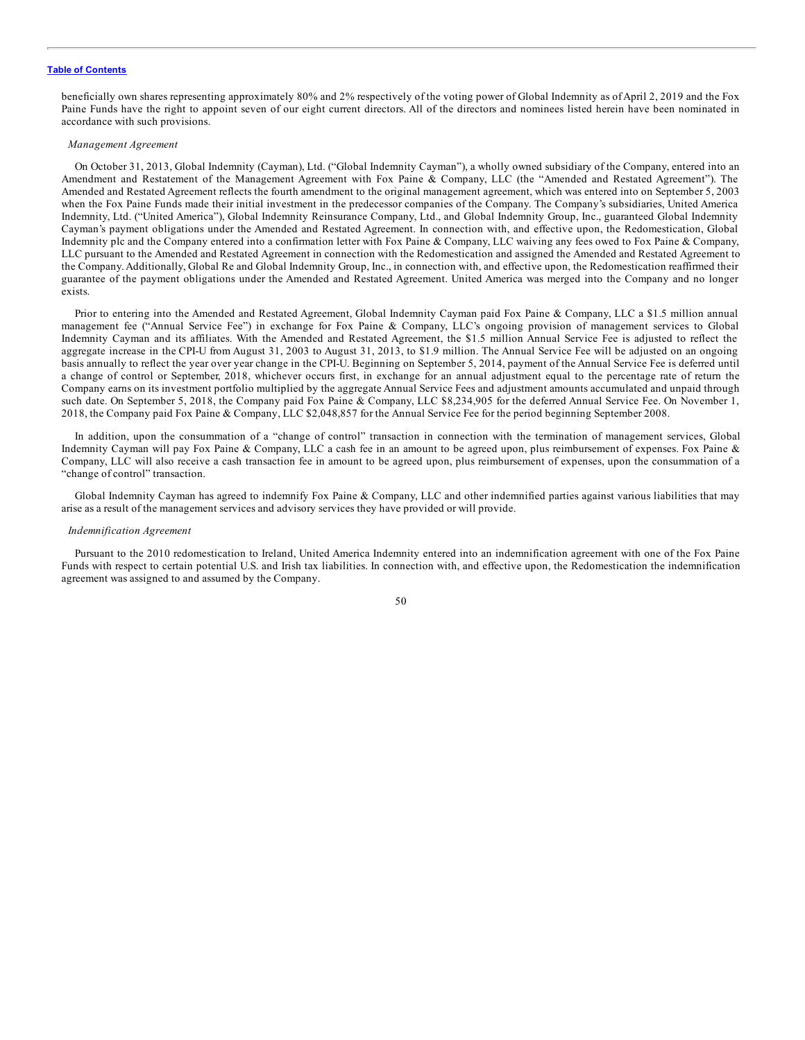beneficially own shares representing approximately 80% and 2% respectively of the voting power of Global Indemnity as of April 2, 2019 and the Fox Paine Funds have the right to appoint seven of our eight current directors. All of the directors and nominees listed herein have been nominated in accordance with such provisions.

#### *Management Agreement*

On October 31, 2013, Global Indemnity (Cayman), Ltd. ("Global Indemnity Cayman"), a wholly owned subsidiary of the Company, entered into an Amendment and Restatement of the Management Agreement with Fox Paine & Company, LLC (the "Amended and Restated Agreement"). The Amended and Restated Agreement reflects the fourth amendment to the original management agreement, which was entered into on September 5, 2003 when the Fox Paine Funds made their initial investment in the predecessor companies of the Company. The Company's subsidiaries, United America Indemnity, Ltd. ("United America"), Global Indemnity Reinsurance Company, Ltd., and Global Indemnity Group, Inc., guaranteed Global Indemnity Cayman's payment obligations under the Amended and Restated Agreement. In connection with, and effective upon, the Redomestication, Global Indemnity plc and the Company entered into a confirmation letter with Fox Paine & Company, LLC waiving any fees owed to Fox Paine & Company, LLC pursuant to the Amended and Restated Agreement in connection with the Redomestication and assigned the Amended and Restated Agreement to the Company. Additionally, Global Re and Global Indemnity Group, Inc., in connection with, and effective upon, the Redomestication reaffirmed their guarantee of the payment obligations under the Amended and Restated Agreement. United America was merged into the Company and no longer exists.

Prior to entering into the Amended and Restated Agreement, Global Indemnity Cayman paid Fox Paine & Company, LLC a \$1.5 million annual management fee ("Annual Service Fee") in exchange for Fox Paine & Company, LLC's ongoing provision of management services to Global Indemnity Cayman and its affiliates. With the Amended and Restated Agreement, the \$1.5 million Annual Service Fee is adjusted to reflect the aggregate increase in the CPI-U from August 31, 2003 to August 31, 2013, to \$1.9 million. The Annual Service Fee will be adjusted on an ongoing basis annually to reflect the year over year change in the CPI-U. Beginning on September 5, 2014, payment of the Annual Service Fee is deferred until a change of control or September, 2018, whichever occurs first, in exchange for an annual adjustment equal to the percentage rate of return the Company earns on its investment portfolio multiplied by the aggregate Annual Service Fees and adjustment amounts accumulated and unpaid through such date. On September 5, 2018, the Company paid Fox Paine & Company, LLC \$8,234,905 for the deferred Annual Service Fee. On November 1, 2018, the Company paid Fox Paine & Company, LLC \$2,048,857 for the Annual Service Fee for the period beginning September 2008.

In addition, upon the consummation of a "change of control" transaction in connection with the termination of management services, Global Indemnity Cayman will pay Fox Paine & Company, LLC a cash fee in an amount to be agreed upon, plus reimbursement of expenses. Fox Paine & Company, LLC will also receive a cash transaction fee in amount to be agreed upon, plus reimbursement of expenses, upon the consummation of a "change of control" transaction.

Global Indemnity Cayman has agreed to indemnify Fox Paine & Company, LLC and other indemnified parties against various liabilities that may arise as a result of the management services and advisory services they have provided or will provide.

#### *Indemnification Agreement*

Pursuant to the 2010 redomestication to Ireland, United America Indemnity entered into an indemnification agreement with one of the Fox Paine Funds with respect to certain potential U.S. and Irish tax liabilities. In connection with, and effective upon, the Redomestication the indemnification agreement was assigned to and assumed by the Company.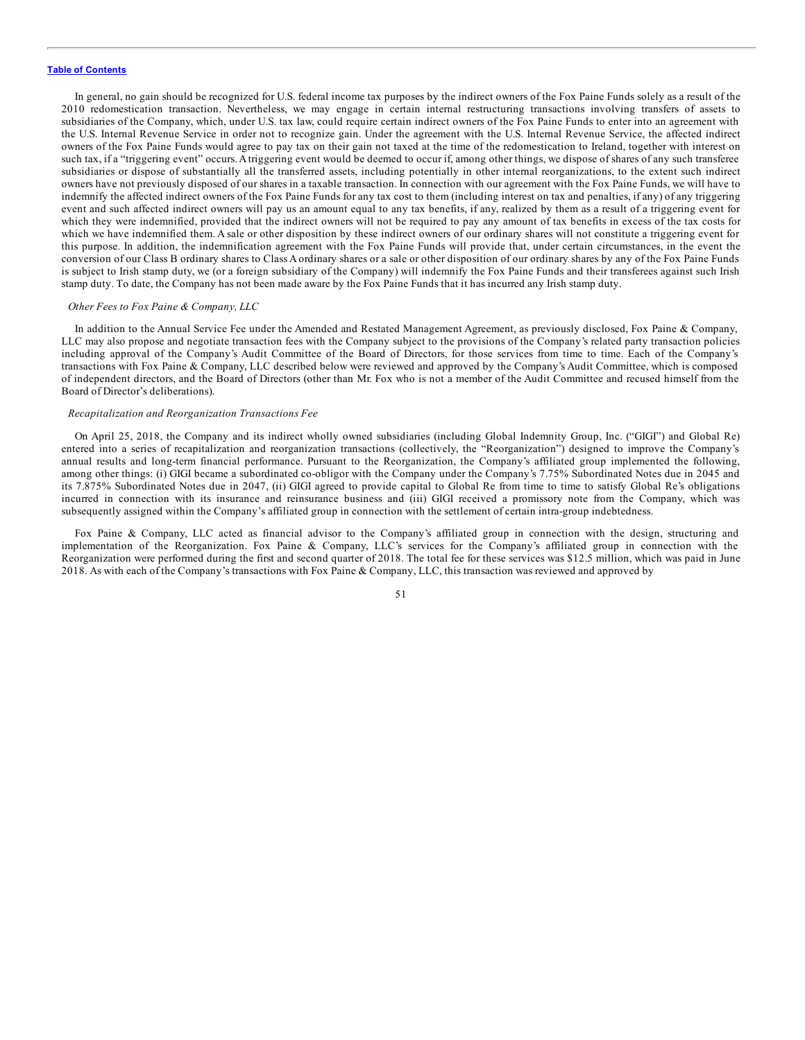In general, no gain should be recognized for U.S. federal income tax purposes by the indirect owners of the Fox Paine Funds solely as a result of the 2010 redomestication transaction. Nevertheless, we may engage in certain internal restructuring transactions involving transfers of assets to subsidiaries of the Company, which, under U.S. tax law, could require certain indirect owners of the Fox Paine Funds to enter into an agreement with the U.S. Internal Revenue Service in order not to recognize gain. Under the agreement with the U.S. Internal Revenue Service, the affected indirect owners of the Fox Paine Funds would agree to pay tax on their gain not taxed at the time of the redomestication to Ireland, together with interest on such tax, if a "triggering event" occurs.Atriggering event would be deemed to occur if, among other things, we dispose of shares of any such transferee subsidiaries or dispose of substantially all the transferred assets, including potentially in other internal reorganizations, to the extent such indirect owners have not previously disposed of our shares in a taxable transaction. In connection with our agreement with the Fox Paine Funds, we will have to indemnify the affected indirect owners of the Fox Paine Funds for any tax cost to them (including interest on tax and penalties, if any) of any triggering event and such affected indirect owners will pay us an amount equal to any tax benefits, if any, realized by them as a result of a triggering event for which they were indemnified, provided that the indirect owners will not be required to pay any amount of tax benefits in excess of the tax costs for which we have indemnified them. A sale or other disposition by these indirect owners of our ordinary shares will not constitute a triggering event for this purpose. In addition, the indemnification agreement with the Fox Paine Funds will provide that, under certain circumstances, in the event the conversion of our Class B ordinary shares to Class A ordinary shares or a sale or other disposition of our ordinary shares by any of the Fox Paine Funds is subject to Irish stamp duty, we (or a foreign subsidiary of the Company) will indemnify the Fox Paine Funds and their transferees against such Irish stamp duty. To date, the Company has not been made aware by the Fox Paine Funds that it has incurred any Irish stamp duty.

#### *Other Fees to Fox Paine & Company, LLC*

In addition to the Annual Service Fee under the Amended and Restated Management Agreement, as previously disclosed, Fox Paine & Company, LLC may also propose and negotiate transaction fees with the Company subject to the provisions of the Company's related party transaction policies including approval of the Company's Audit Committee of the Board of Directors, for those services from time to time. Each of the Company's transactions with Fox Paine & Company, LLC described below were reviewed and approved by the Company's Audit Committee, which is composed of independent directors, and the Board of Directors (other than Mr. Fox who is not a member of the Audit Committee and recused himself from the Board of Director's deliberations).

#### *Recapitalization and Reorganization Transactions Fee*

On April 25, 2018, the Company and its indirect wholly owned subsidiaries (including Global Indemnity Group, Inc. ("GIGI") and Global Re) entered into a series of recapitalization and reorganization transactions (collectively, the "Reorganization") designed to improve the Company's annual results and long-term financial performance. Pursuant to the Reorganization, the Company's affiliated group implemented the following, among other things: (i) GIGI became a subordinated co-obligor with the Company under the Company's 7.75% Subordinated Notes due in 2045 and its 7.875% Subordinated Notes due in 2047, (ii) GIGI agreed to provide capital to Global Re from time to time to satisfy Global Re's obligations incurred in connection with its insurance and reinsurance business and (iii) GIGI received a promissory note from the Company, which was subsequently assigned within the Company's affiliated group in connection with the settlement of certain intra-group indebtedness.

Fox Paine & Company, LLC acted as financial advisor to the Company's affiliated group in connection with the design, structuring and implementation of the Reorganization. Fox Paine & Company, LLC's services for the Company's affiliated group in connection with the Reorganization were performed during the first and second quarter of 2018. The total fee for these services was \$12.5 million, which was paid in June 2018. As with each of the Company's transactions with Fox Paine & Company, LLC, this transaction was reviewed and approved by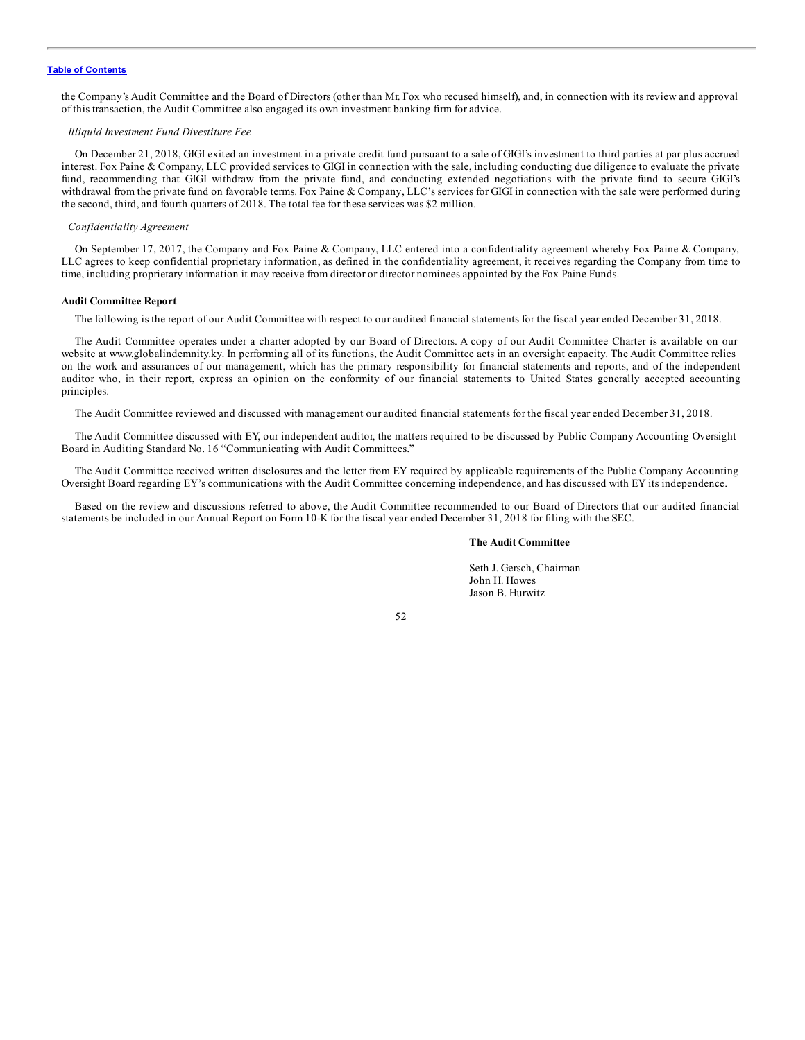<span id="page-56-0"></span>the Company's Audit Committee and the Board of Directors (other than Mr. Fox who recused himself), and, in connection with its review and approval of this transaction, the Audit Committee also engaged its own investment banking firm for advice.

#### *Illiquid Investment Fund Divestiture Fee*

On December 21, 2018, GIGI exited an investment in a private credit fund pursuant to a sale of GIGI's investment to third parties at par plus accrued interest. Fox Paine & Company, LLC provided services to GIGI in connection with the sale, including conducting due diligence to evaluate the private fund, recommending that GIGI withdraw from the private fund, and conducting extended negotiations with the private fund to secure GIGI's withdrawal from the private fund on favorable terms. Fox Paine & Company, LLC's services for GIGI in connection with the sale were performed during the second, third, and fourth quarters of 2018. The total fee for these services was \$2 million.

#### *Confidentiality Agreement*

On September 17, 2017, the Company and Fox Paine & Company, LLC entered into a confidentiality agreement whereby Fox Paine & Company, LLC agrees to keep confidential proprietary information, as defined in the confidentiality agreement, it receives regarding the Company from time to time, including proprietary information it may receive from director or director nominees appointed by the Fox Paine Funds.

#### **Audit Committee Report**

The following is the report of our Audit Committee with respect to our audited financial statements for the fiscal year ended December 31, 2018.

The Audit Committee operates under a charter adopted by our Board of Directors. A copy of our Audit Committee Charter is available on our website at www.globalindemnity.ky. In performing all of its functions, the Audit Committee acts in an oversight capacity. The Audit Committee relies on the work and assurances of our management, which has the primary responsibility for financial statements and reports, and of the independent auditor who, in their report, express an opinion on the conformity of our financial statements to United States generally accepted accounting principles.

The Audit Committee reviewed and discussed with management our audited financial statements for the fiscal year ended December 31, 2018.

The Audit Committee discussed with EY, our independent auditor, the matters required to be discussed by Public Company Accounting Oversight Board in Auditing Standard No. 16 "Communicating with Audit Committees."

The Audit Committee received written disclosures and the letter from EY required by applicable requirements of the Public Company Accounting Oversight Board regarding EY's communications with the Audit Committee concerning independence, and has discussed with EY its independence.

Based on the review and discussions referred to above, the Audit Committee recommended to our Board of Directors that our audited financial statements be included in our Annual Report on Form 10-K for the fiscal year ended December 31, 2018 for filing with the SEC.

#### **The Audit Committee**

Seth J. Gersch, Chairman John H. Howes Jason B. Hurwitz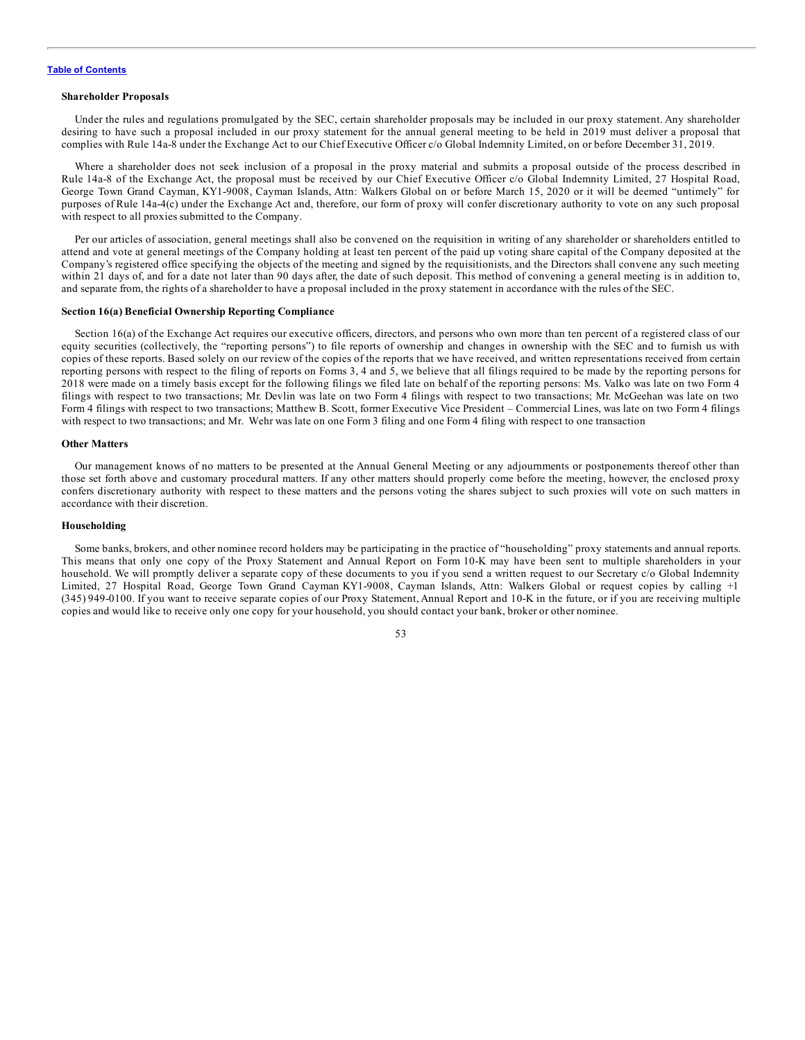#### <span id="page-57-0"></span>**Shareholder Proposals**

Under the rules and regulations promulgated by the SEC, certain shareholder proposals may be included in our proxy statement. Any shareholder desiring to have such a proposal included in our proxy statement for the annual general meeting to be held in 2019 must deliver a proposal that complies with Rule 14a-8 under the Exchange Act to our Chief Executive Officer c/o Global Indemnity Limited, on or before December 31, 2019.

Where a shareholder does not seek inclusion of a proposal in the proxy material and submits a proposal outside of the process described in Rule 14a-8 of the Exchange Act, the proposal must be received by our Chief Executive Officer c/o Global Indemnity Limited, 27 Hospital Road, George Town Grand Cayman, KY1-9008, Cayman Islands, Attn: Walkers Global on or before March 15, 2020 or it will be deemed "untimely" for purposes of Rule 14a-4(c) under the Exchange Act and, therefore, our form of proxy will confer discretionary authority to vote on any such proposal with respect to all proxies submitted to the Company.

Per our articles of association, general meetings shall also be convened on the requisition in writing of any shareholder or shareholders entitled to attend and vote at general meetings of the Company holding at least ten percent of the paid up voting share capital of the Company deposited at the Company's registered office specifying the objects of the meeting and signed by the requisitionists, and the Directors shall convene any such meeting within 21 days of, and for a date not later than 90 days after, the date of such deposit. This method of convening a general meeting is in addition to, and separate from, the rights of a shareholder to have a proposal included in the proxy statement in accordance with the rules of the SEC.

#### **Section 16(a) Beneficial Ownership Reporting Compliance**

Section 16(a) of the Exchange Act requires our executive officers, directors, and persons who own more than ten percent of a registered class of our equity securities (collectively, the "reporting persons") to file reports of ownership and changes in ownership with the SEC and to furnish us with copies of these reports. Based solely on our review of the copies of the reports that we have received, and written representations received from certain reporting persons with respect to the filing of reports on Forms 3, 4 and 5, we believe that all filings required to be made by the reporting persons for 2018 were made on a timely basis except for the following filings we filed late on behalf of the reporting persons: Ms. Valko was late on two Form 4 filings with respect to two transactions; Mr. Devlin was late on two Form 4 filings with respect to two transactions; Mr. McGeehan was late on two Form 4 filings with respect to two transactions; Matthew B. Scott, former Executive Vice President – Commercial Lines, was late on two Form 4 filings with respect to two transactions; and Mr. Wehr was late on one Form 3 filing and one Form 4 filing with respect to one transaction

#### **Other Matters**

Our management knows of no matters to be presented at the Annual General Meeting or any adjournments or postponements thereof other than those set forth above and customary procedural matters. If any other matters should properly come before the meeting, however, the enclosed proxy confers discretionary authority with respect to these matters and the persons voting the shares subject to such proxies will vote on such matters in accordance with their discretion.

#### **Householding**

Some banks, brokers, and other nominee record holders may be participating in the practice of "householding" proxy statements and annual reports. This means that only one copy of the Proxy Statement and Annual Report on Form 10-K may have been sent to multiple shareholders in your household. We will promptly deliver a separate copy of these documents to you if you send a written request to our Secretary c/o Global Indemnity Limited, 27 Hospital Road, George Town Grand Cayman KY1-9008, Cayman Islands, Attn: Walkers Global or request copies by calling +1 (345) 949-0100. If you want to receive separate copies of our Proxy Statement, Annual Report and 10-K in the future, or if you are receiving multiple copies and would like to receive only one copy for your household, you should contact your bank, broker or other nominee.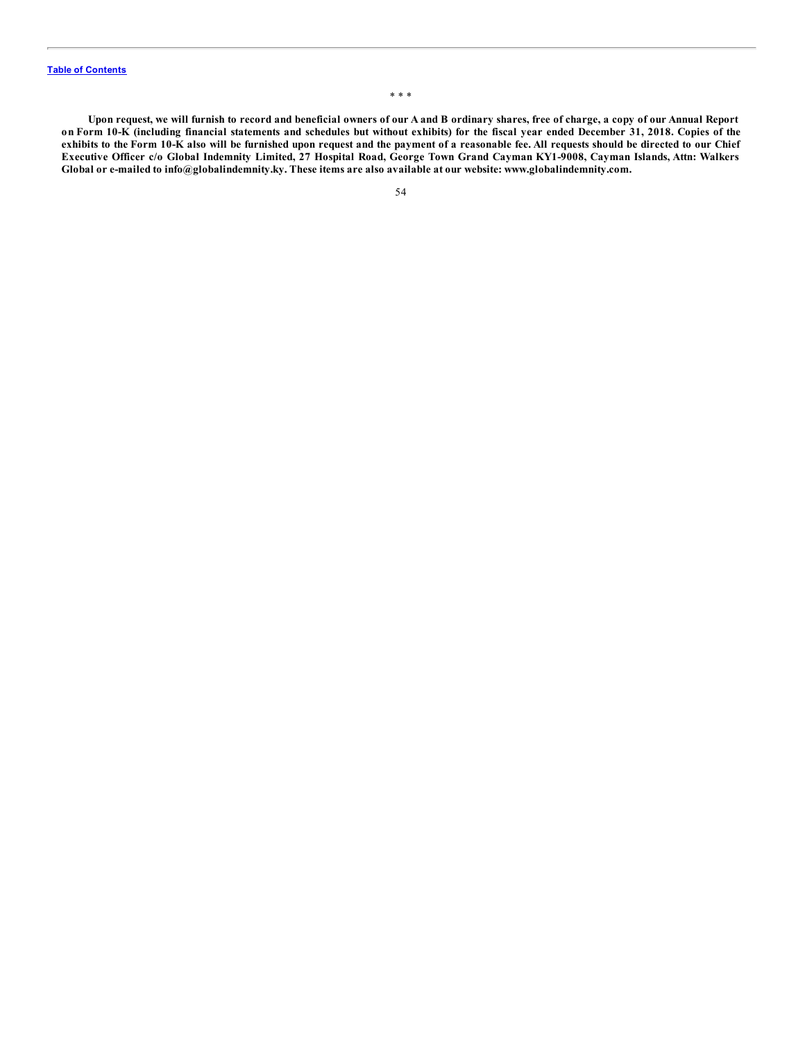Upon request, we will furnish to record and beneficial owners of our A and B ordinary shares, free of charge, a copy of our Annual Report on Form 10-K (including financial statements and schedules but without exhibits) for the fiscal year ended December 31, 2018. Copies of the exhibits to the Form 10-K also will be furnished upon request and the payment of a reasonable fee. All requests should be directed to our Chief Executive Officer c/o Global Indemnity Limited, 27 Hospital Road, George Town Grand Cayman KY1-9008, Cayman Islands, Attn: Walkers **Global or e-mailed to info@globalindemnity.ky. These items are also available at our website: www.globalindemnity.com.**

\* \* \*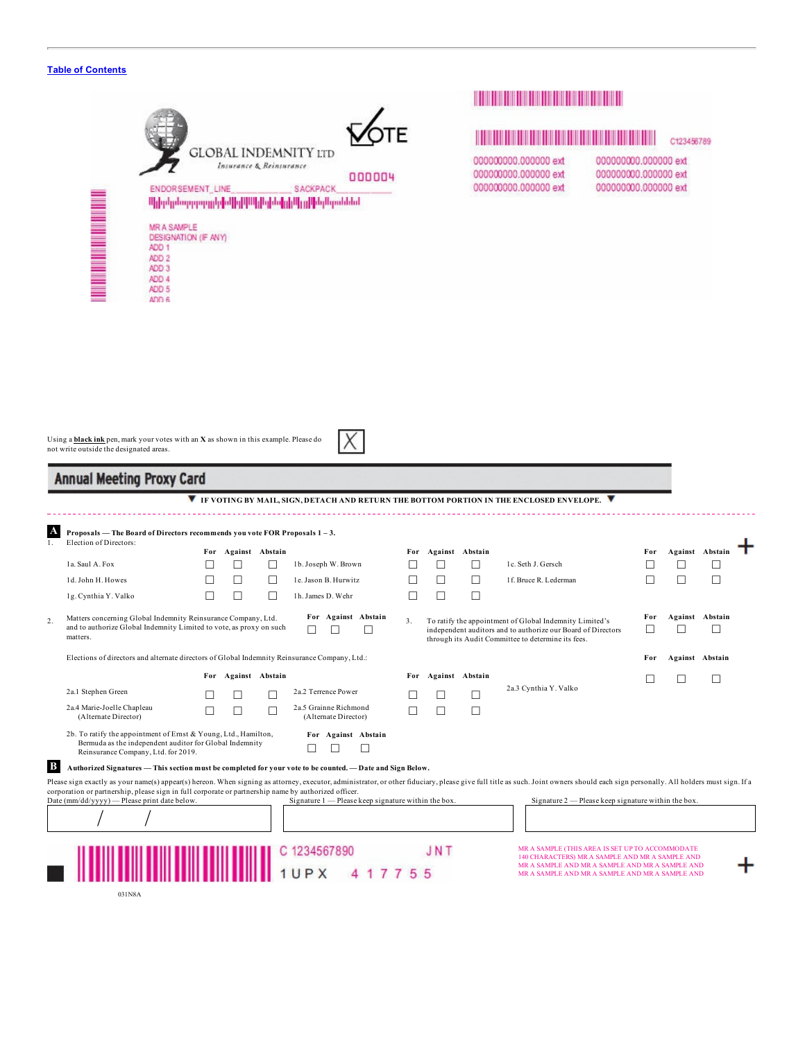|                                                                             | ENDORSEMENT_LINE<br>MR A SAMPLE<br>DESIGNATION (IF ANY)<br>ADD <sub>1</sub><br>ADD <sub>2</sub><br>ADD 3<br>ADD 4<br>ADD <sub>5</sub><br>ADD 6 | <b>GLOBAL INDEMNITY LTD</b><br>Insurance & Reinsurance<br>000004<br><b>SACKPACK</b><br><u>Ալիբերնաթրությունը[ա] թ] Ալիգիսի լրիկ գլխել Արաննակ</u> |                          | 000000000.000000 ext<br>000000000.000000 ext<br>000000000.000000 ext | C123456789<br>000000000.000000 ext<br>000000000.000000 ext<br>000000000.000000 ext |                           |  |  |  |
|-----------------------------------------------------------------------------|------------------------------------------------------------------------------------------------------------------------------------------------|---------------------------------------------------------------------------------------------------------------------------------------------------|--------------------------|----------------------------------------------------------------------|------------------------------------------------------------------------------------|---------------------------|--|--|--|
| not write outside the designated areas.<br><b>Annual Meeting Proxy Card</b> | Using a <b>black ink</b> pen, mark your votes with an X as shown in this example. Please do                                                    | <b>V</b> IF VOTING BY MAIL, SIGN, DETACH AND RETURN THE BOTTOM PORTION IN THE ENCLOSED ENVELOPE.                                                  |                          |                                                                      |                                                                                    |                           |  |  |  |
|                                                                             |                                                                                                                                                |                                                                                                                                                   |                          |                                                                      |                                                                                    |                           |  |  |  |
| Election of Directors:                                                      | Proposals — The Board of Directors recommends you vote FOR Proposals 1-3.                                                                      |                                                                                                                                                   |                          |                                                                      |                                                                                    |                           |  |  |  |
| 1a. Saul A. Fox                                                             | For Against Abstain<br>□                                                                                                                       | 1b. Joseph W. Brown<br>$\Box$                                                                                                                     | For Against Abstain<br>□ | □<br>1c. Seth J. Gersch                                              | For<br>□                                                                           | Against Abstain<br>$\Box$ |  |  |  |
| 1d. John H. Howes                                                           | □<br>H                                                                                                                                         | □<br>1e. Jason B. Hurwitz                                                                                                                         | П                        | 1f. Bruce R. Lederman<br>□                                           | $\Box$<br>□                                                                        | П                         |  |  |  |
| 1g. Cynthia Y. Valko                                                        | $\Box$<br>П                                                                                                                                    | $\Box$<br>1h. James D. Wehr                                                                                                                       | $\Box$<br>$\Box$         | $\Box$                                                               |                                                                                    |                           |  |  |  |

| Matters concerning Global Indemnity Reinsurance Company, Ltd.<br>and to authorize Global Indemnity Limited to vote, as proxy on such<br>matters.                  | For Against Abstain |         | To ratify the appointment of Global Indemnity Limited's<br>independent auditors and to authorize our Board of Directors<br>through its Audit Committee to determine its fees. |                                               |     | For     | Against | Abstain               |  |  |                 |
|-------------------------------------------------------------------------------------------------------------------------------------------------------------------|---------------------|---------|-------------------------------------------------------------------------------------------------------------------------------------------------------------------------------|-----------------------------------------------|-----|---------|---------|-----------------------|--|--|-----------------|
| Elections of directors and alternate directors of Global Indemnity Reinsurance Company, Ltd.:                                                                     |                     |         |                                                                                                                                                                               |                                               |     |         |         |                       |  |  | Against Abstain |
|                                                                                                                                                                   | For                 | Against | Abstain                                                                                                                                                                       |                                               | For | Against | Abstain |                       |  |  |                 |
| 2a.1 Stephen Green                                                                                                                                                |                     |         |                                                                                                                                                                               | 2a.2 Terrence Power                           |     |         |         | 2a.3 Cynthia Y. Valko |  |  |                 |
| 2a.4 Marie-Joelle Chapleau<br>(Alternate Director)                                                                                                                |                     |         |                                                                                                                                                                               | 2a.5 Grainne Richmond<br>(Alternate Director) |     |         |         |                       |  |  |                 |
| 2b. To ratify the appointment of Ernst & Young, Ltd., Hamilton,<br>Bermuda as the independent auditor for Global Indemnity<br>Reinsurance Company, Ltd. for 2019. |                     |         |                                                                                                                                                                               | For Against Abstain                           |     |         |         |                       |  |  |                 |

**B Authorized Signatures —This section must be completed for your vote to be counted.—Date and Sign Below.**

Please sign exactly as your name(s) appear(s) hereon. When signing as attorney, executor, administrator, or other fiduciary, please give full title as such. Joint owners should each sign personally. All holders must sign.

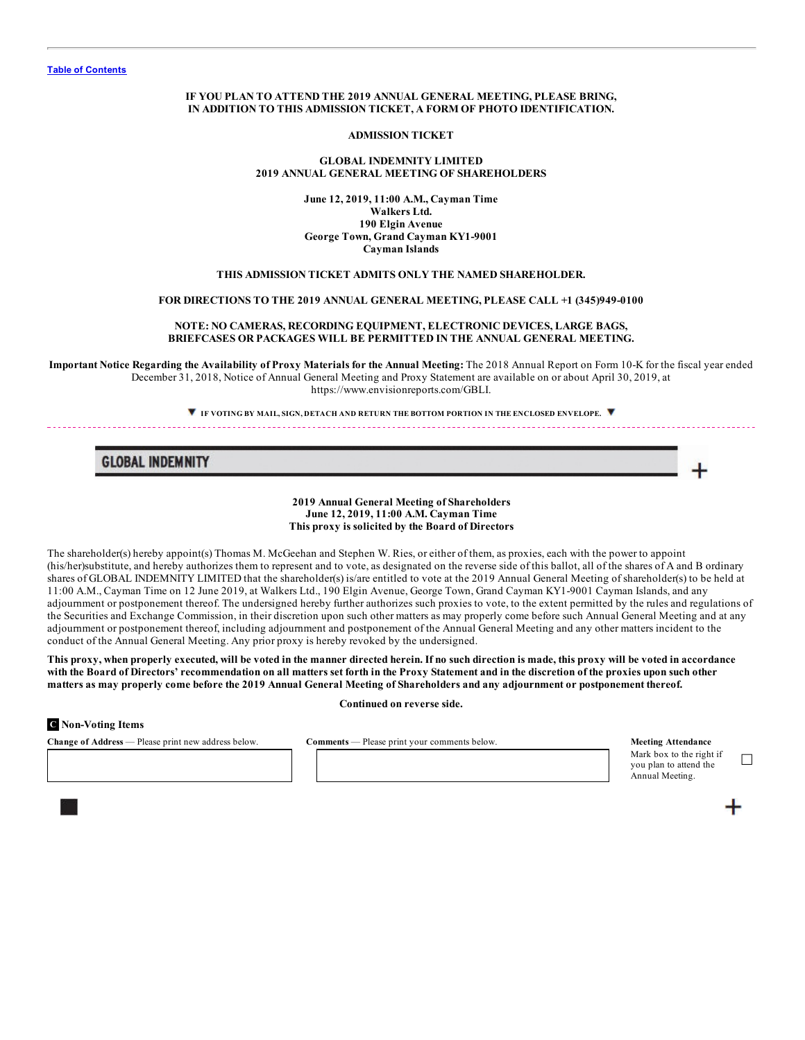### **IF YOU PLAN TO ATTEND THE 2019 ANNUAL GENERAL MEETING, PLEASE BRING, IN ADDITION TO THIS ADMISSION TICKET, A FORM OF PHOTO IDENTIFICATION.**

**ADMISSION TICKET**

## **GLOBAL INDEMNITY LIMITED 2019 ANNUAL GENERAL MEETING OF SHAREHOLDERS**

**June 12, 2019, 11:00 A.M., Cayman Time Walkers Ltd. 190 Elgin Avenue George Town, Grand Cayman KY1-9001 Cayman Islands**

## **THIS ADMISSION TICKET ADMITS ONLY THE NAMED SHAREHOLDER.**

#### **FOR DIRECTIONS TO THE 2019 ANNUAL GENERAL MEETING, PLEASE CALL +1 (345)949-0100**

# **NOTE: NO CAMERAS, RECORDING EQUIPMENT, ELECTRONIC DEVICES, LARGE BAGS, BRIEFCASES OR PACKAGES WILL BE PERMITTED IN THE ANNUAL GENERAL MEETING.**

Important Notice Regarding the Availability of Proxy Materials for the Annual Meeting: The 2018 Annual Report on Form 10-K for the fiscal year ended December 31, 2018, Notice of Annual General Meeting and Proxy Statement are available on or about April 30, 2019, at https://www.envisionreports.com/GBLI.

**IF VOTING BY MAIL, SIGN, DETACH AND RETURN THE BOTTOM PORTION IN THE ENCLOSED ENVELOPE.**

# **GLOBAL INDEMNITY**

#### **2019 Annual General Meeting of Shareholders June 12, 2019, 11:00 A.M. Cayman Time This proxy is solicited by the Board of Directors**

The shareholder(s) hereby appoint(s) Thomas M. McGeehan and Stephen W. Ries, or either of them, as proxies, each with the power to appoint (his/her)substitute, and hereby authorizes them to represent and to vote, as designated on the reverse side of this ballot, all of the shares of A and B ordinary shares of GLOBAL INDEMNITY LIMITED that the shareholder(s) is/are entitled to vote at the 2019 Annual General Meeting of shareholder(s) to be held at 11:00 A.M., Cayman Time on 12 June 2019, at Walkers Ltd., 190 Elgin Avenue, George Town, Grand Cayman KY1-9001 Cayman Islands, and any adjournment or postponement thereof. The undersigned hereby further authorizes such proxies to vote, to the extent permitted by the rules and regulations of the Securities and Exchange Commission, in their discretion upon such other matters as may properly come before such Annual General Meeting and at any adjournment or postponement thereof, including adjournment and postponement of the Annual General Meeting and any other matters incident to the conduct of the Annual General Meeting. Any prior proxy is hereby revoked by the undersigned.

This proxy, when properly executed, will be voted in the manner directed herein. If no such direction is made, this proxy will be voted in accordance with the Board of Directors' recommendation on all matters set forth in the Proxy Statement and in the discretion of the proxies upon such other matters as may properly come before the 2019 Annual General Meeting of Shareholders and any adjournment or postponement thereof.

#### **Continued on reverse side.**

#### **C Non-Voting Items**

**Change of Address** — Please print new address below. **Comments** — Please print your comments below. **Meeting Attendance** 

Mark box to the right if you plan to attend the

Annual Meeting.

☐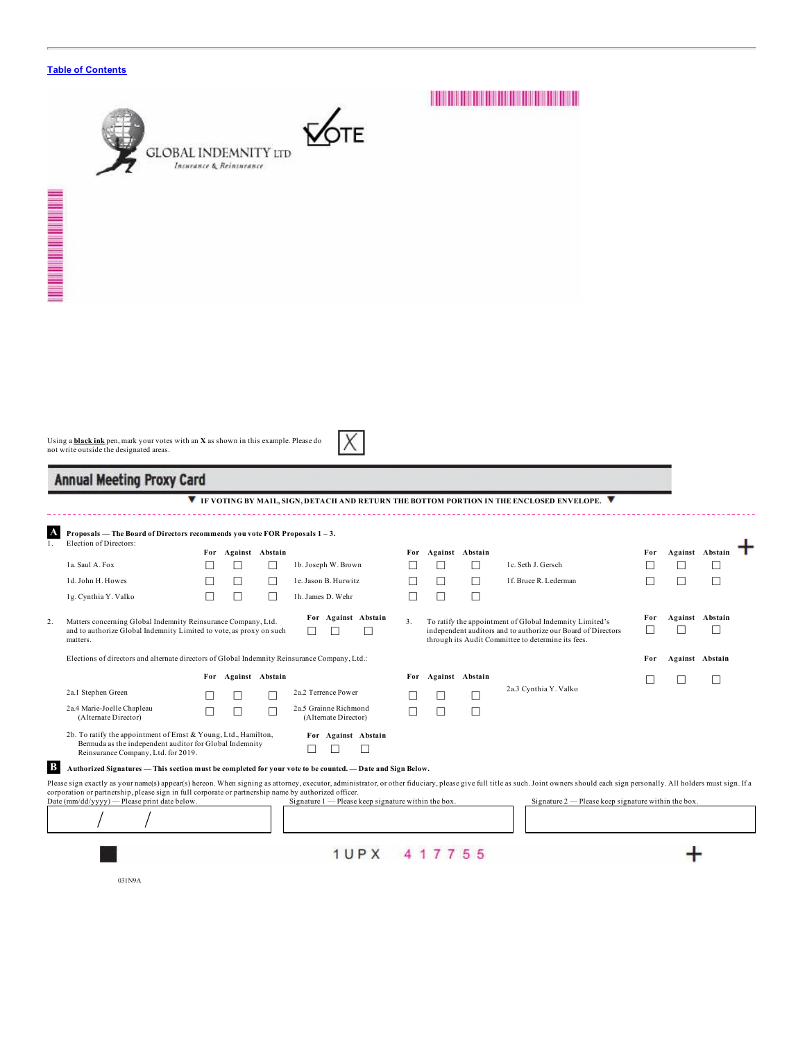|                                                                                                                                                                                           | GLOBAL INDEMNITY ltd<br>Insurance & Reinsurance |                     |                   |                                                                                                            |         |                     |        |                                                                                                                                                                                                                                                                                      |          |        |                        |
|-------------------------------------------------------------------------------------------------------------------------------------------------------------------------------------------|-------------------------------------------------|---------------------|-------------------|------------------------------------------------------------------------------------------------------------|---------|---------------------|--------|--------------------------------------------------------------------------------------------------------------------------------------------------------------------------------------------------------------------------------------------------------------------------------------|----------|--------|------------------------|
| <b>THE REAL PROPERTY AND REAL</b>                                                                                                                                                         |                                                 |                     |                   |                                                                                                            |         |                     |        |                                                                                                                                                                                                                                                                                      |          |        |                        |
| Using a <b>black ink</b> pen, mark your votes with an X as shown in this example. Please do<br>not write outside the designated areas.<br><b>Annual Meeting Proxy Card</b>                |                                                 |                     |                   |                                                                                                            |         |                     |        |                                                                                                                                                                                                                                                                                      |          |        |                        |
|                                                                                                                                                                                           |                                                 |                     |                   |                                                                                                            |         |                     |        |                                                                                                                                                                                                                                                                                      |          |        |                        |
| Proposals - The Board of Directors recommends you vote FOR Proposals 1-3.                                                                                                                 |                                                 |                     |                   |                                                                                                            |         |                     |        | <b>V</b> IF VOTING BY MAIL, SIGN, DETACH AND RETURN THE BOTTOM PORTION IN THE ENCLOSED ENVELOPE. <b>V</b>                                                                                                                                                                            |          |        |                        |
| Election of Directors:                                                                                                                                                                    |                                                 | For Against Abstain |                   |                                                                                                            |         | For Against Abstain |        |                                                                                                                                                                                                                                                                                      | For      |        | Against Abstain        |
| 1a. Saul A. Fox                                                                                                                                                                           | □                                               | □                   | ⊔                 | 1b. Joseph W. Brown                                                                                        | ш       | □                   | ⊔      | 1c. Seth J. Gersch                                                                                                                                                                                                                                                                   | □        | □      | □                      |
| 1d. John H. Howes                                                                                                                                                                         | □                                               | □                   | ⊔                 | 1e. Jason B. Hurwitz                                                                                       | Ш       | □                   | $\Box$ | 1f. Bruce R. Lederman                                                                                                                                                                                                                                                                | □        | □      | □                      |
| 1g. Cynthia Y. Valko<br>Matters concerning Global Indemnity Reinsurance Company, Ltd.<br>and to authorize Global Indemnity Limited to vote, as proxy on such<br>matters.                  | □                                               | □                   | □                 | 1h. James D. Wehr<br>For Against Abstain<br>$\Box$<br>⊔<br>$\Box$                                          | □<br>3. | □                   | $\Box$ | To ratify the appointment of Global Indemnity Limited's<br>independent auditors and to authorize our Board of Directors<br>through its Audit Committee to determine its fees.                                                                                                        | For<br>□ | ⊔      | Against Abstain<br>□   |
| Elections of directors and alternate directors of Global Indemnity Reinsurance Company, Ltd.:                                                                                             |                                                 |                     |                   |                                                                                                            |         |                     |        |                                                                                                                                                                                                                                                                                      | For      |        | <b>Against Abstain</b> |
|                                                                                                                                                                                           |                                                 | For Against Abstain |                   |                                                                                                            |         | For Against Abstain |        |                                                                                                                                                                                                                                                                                      |          | $\Box$ |                        |
| 2a.1 Stephen Green                                                                                                                                                                        |                                                 |                     |                   | 2a.2 Terrence Power                                                                                        |         |                     |        | 2a.3 Cynthia Y. Valko                                                                                                                                                                                                                                                                |          |        |                        |
| 2a.4 Marie-Joelle Chapleau                                                                                                                                                                | П                                               | □                   | $\mathsf{L}$<br>П | 2a.5 Grainne Richmond                                                                                      | Ш       | $\mathsf{L}$<br>□   | ⊔<br>□ |                                                                                                                                                                                                                                                                                      |          |        |                        |
| (Alternate Director)<br>2b. To ratify the appointment of Ernst & Young, Ltd., Hamilton,<br>Bermuda as the independent auditor for Global Indemnity<br>Reinsurance Company, Ltd. for 2019. |                                                 |                     |                   | (Alternate Director)<br>For Against Abstain<br>⊔                                                           |         |                     |        |                                                                                                                                                                                                                                                                                      |          |        |                        |
| A<br>1.<br>2.<br>B                                                                                                                                                                        |                                                 |                     |                   | Authorized Signatures - This section must be completed for your vote to be counted. - Date and Sign Below. |         |                     |        |                                                                                                                                                                                                                                                                                      |          |        |                        |
| corporation or partnership, please sign in full corporate or partnership name by authorized officer.<br>Date (mm/dd/yyyy) - Please print date below.                                      |                                                 |                     |                   | Signature 1 - Please keep signature within the box.                                                        |         |                     |        | Please sign exactly as your name(s) appear(s) hereon. When signing as attorney, executor, administrator, or other fiduciary, please give full title as such. Joint owners should each sign personally. All holders must sign.<br>Signature 2 — Please keep signature within the box. |          |        |                        |
|                                                                                                                                                                                           |                                                 |                     |                   |                                                                                                            |         |                     |        |                                                                                                                                                                                                                                                                                      |          |        |                        |

031N9A